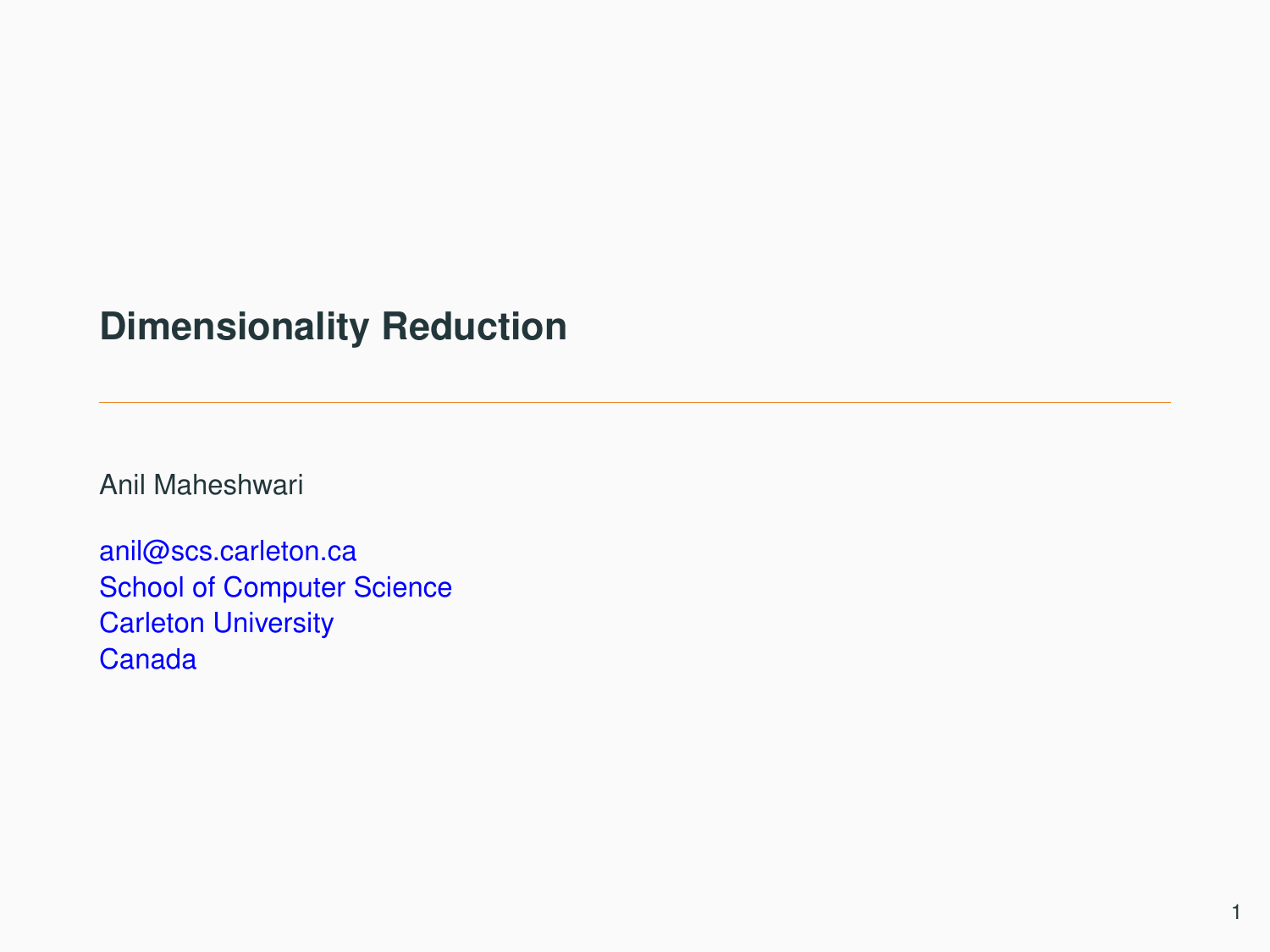# **Dimensionality Reduction**

Anil Maheshwari

anil@scs.carleton.ca School of Computer Science Carleton University Canada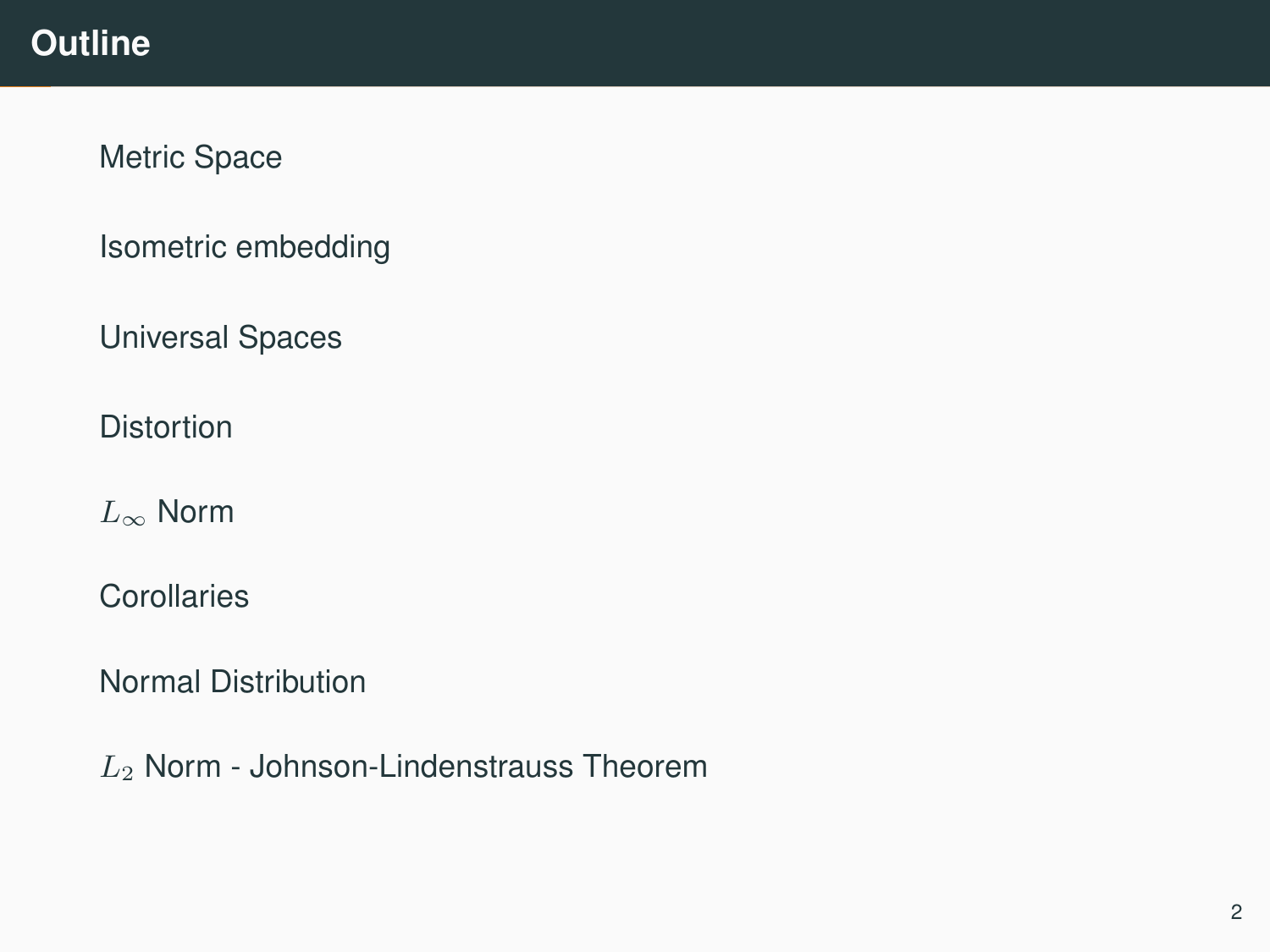# **Outline**

[Metric Space](#page-2-0)

[Isometric embedding](#page-4-0)

[Universal Spaces](#page-13-0)

**[Distortion](#page-17-0)** 

 $L_{\infty}$  [Norm](#page-19-0)

**[Corollaries](#page-37-0)** 

[Normal Distribution](#page-41-0)

L<sup>2</sup> [Norm - Johnson-Lindenstrauss Theorem](#page-44-0)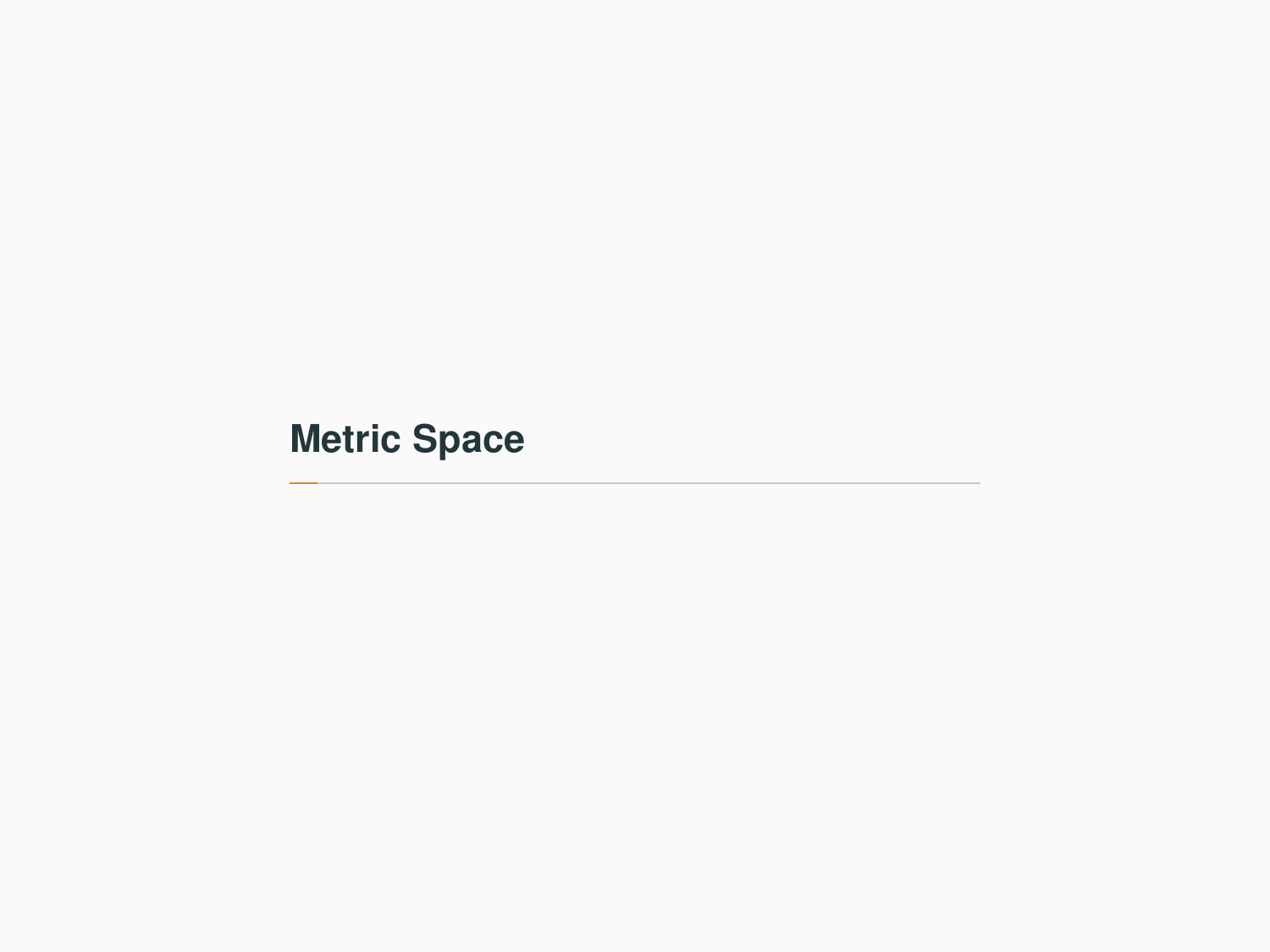<span id="page-2-0"></span>**[Metric Space](#page-2-0)**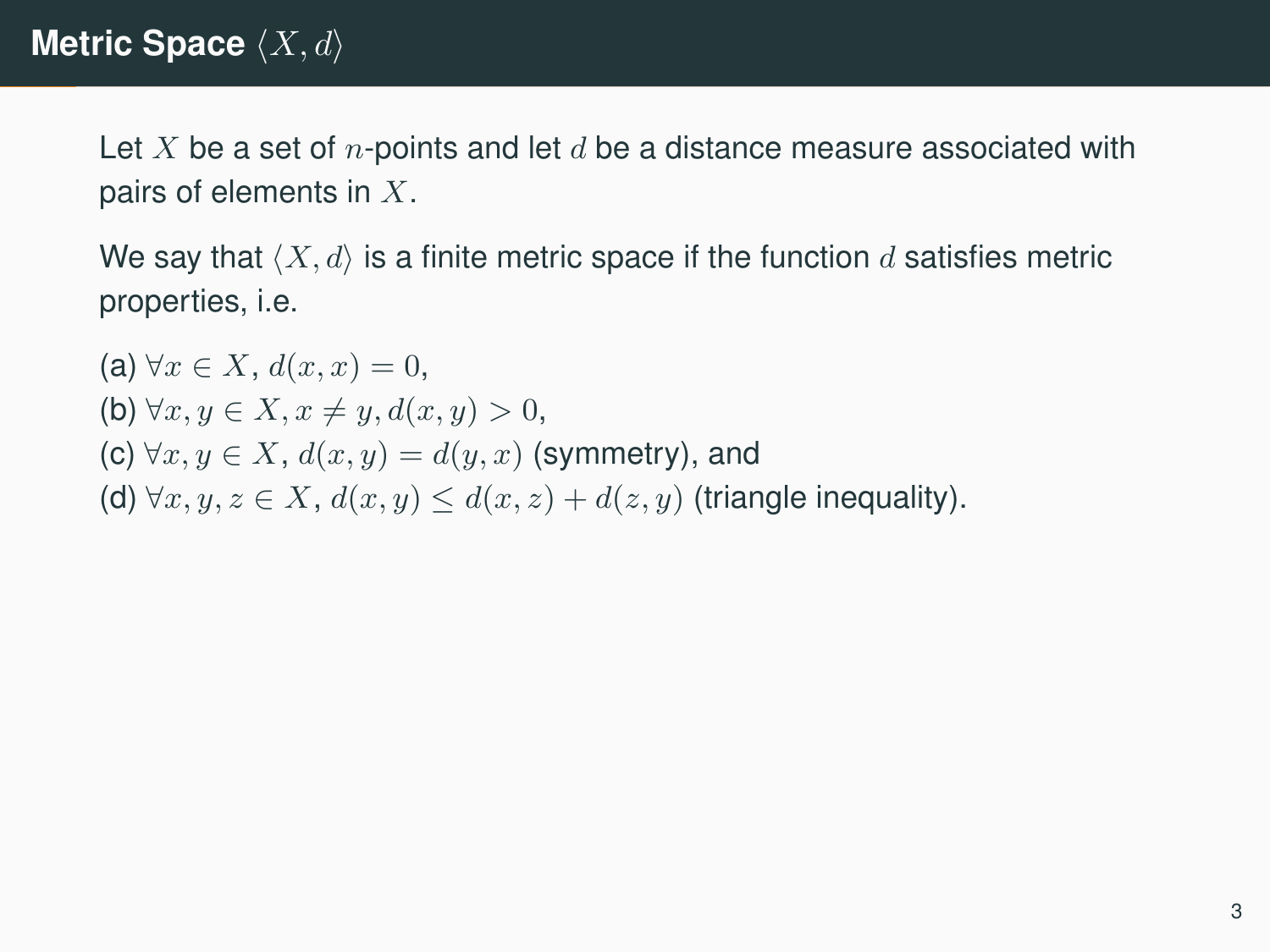Let X be a set of *n*-points and let  $d$  be a distance measure associated with pairs of elements in X.

We say that  $\langle X, d \rangle$  is a finite metric space if the function d satisfies metric properties, i.e.

(a)  $\forall x \in X$ ,  $d(x, x) = 0$ , (b)  $\forall x, y \in X, x \neq y, d(x, y) > 0,$ (c)  $\forall x, y \in X$ ,  $d(x, y) = d(y, x)$  (symmetry), and (d)  $\forall x, y, z \in X$ ,  $d(x, y) \leq d(x, z) + d(z, y)$  (triangle inequality).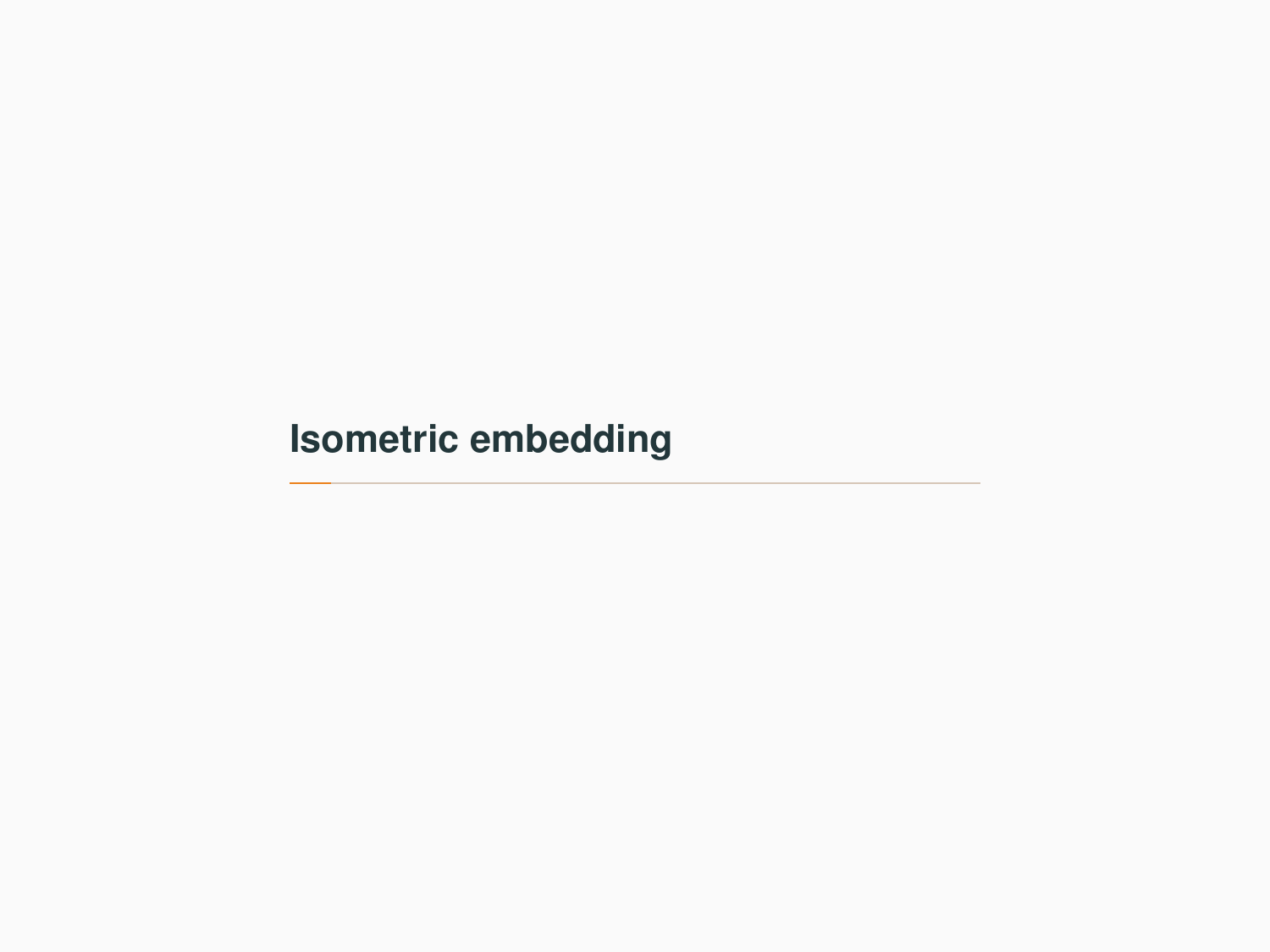# <span id="page-4-0"></span>**[Isometric embedding](#page-4-0)**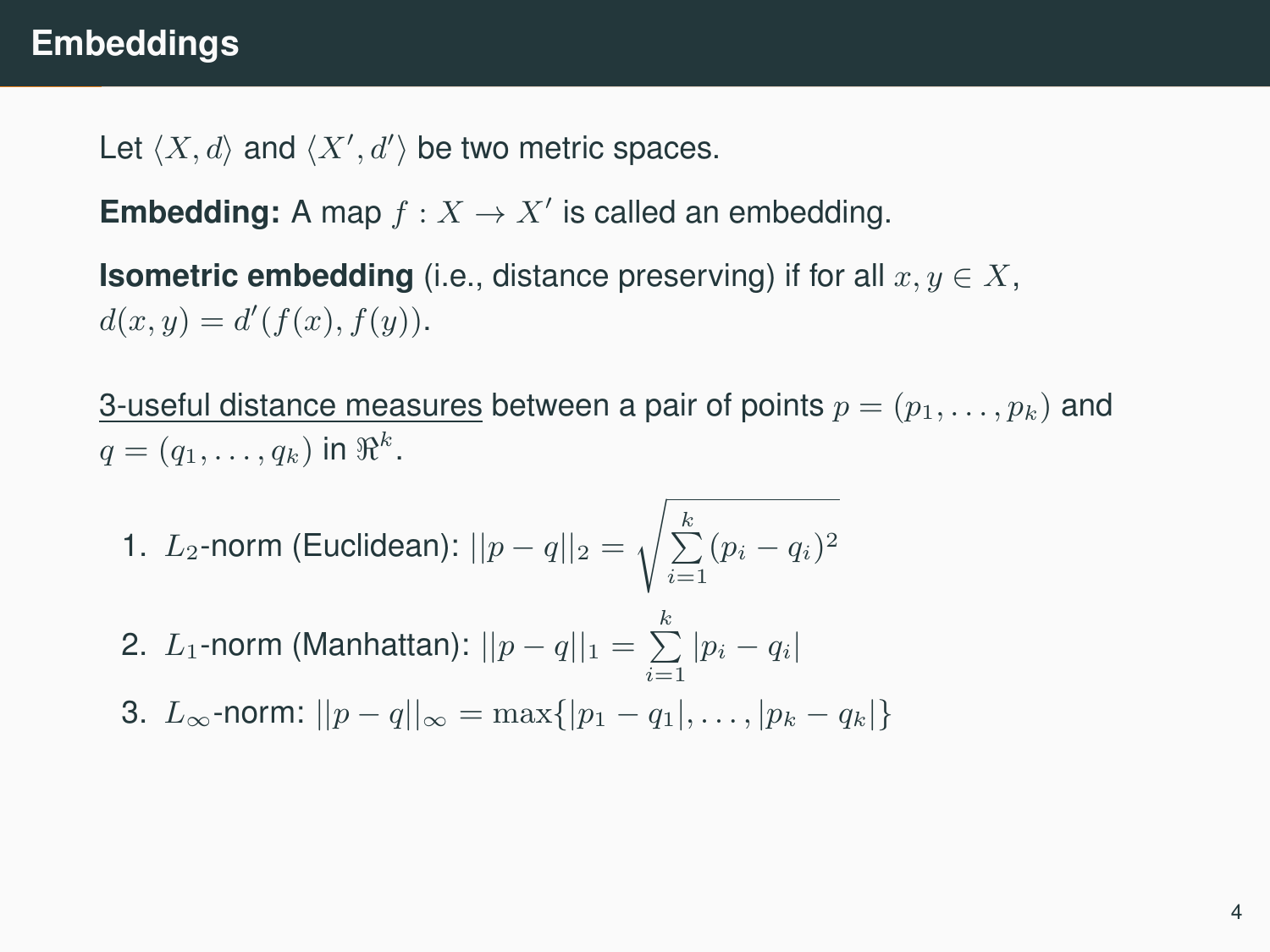# **Embeddings**

Let  $\langle X, d \rangle$  and  $\langle X', d' \rangle$  be two metric spaces.

**Embedding:** A map  $f: X \to X'$  is called an embedding.

**Isometric embedding** (i.e., distance preserving) if for all  $x, y \in X$ ,  $d(x, y) = d'(f(x), f(y)).$ 

3-useful distance measures between a pair of points  $p = (p_1, \ldots, p_k)$  and  $q=(q_1,\ldots,q_k)$  in  $\Re^k$ .

- 1.  $L_2$ -norm (Euclidean):  $||p q||_2 =$  $\sqrt{\sum_{i=1}^{k} (p_i - q_i)^2}$
- 2. L<sub>1</sub>-norm (Manhattan):  $||p q||_1 = \sum_{i=1}^{k} |p_i q_i|$
- 3.  $L_{\infty}$ -norm:  $||p q||_{\infty} = \max\{|p_1 q_1|, \ldots, |p_k q_k|\}$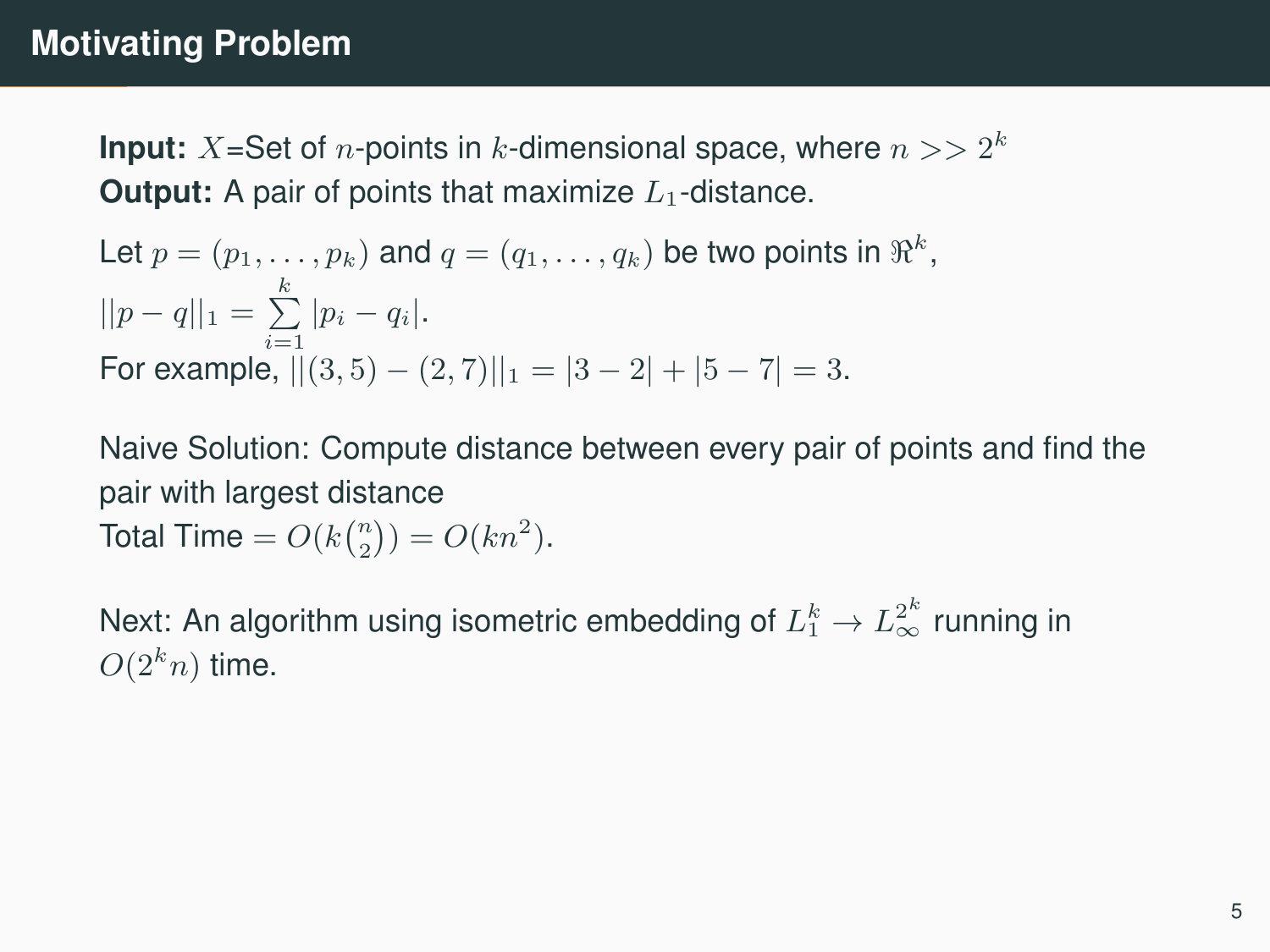# **Motivating Problem**

**Input:**  $X$ =Set of  $n$ -points in  $k$ -dimensional space, where  $n >> 2^k$ **Output:** A pair of points that maximize  $L_1$ -distance.

Let 
$$
p = (p_1, ..., p_k)
$$
 and  $q = (q_1, ..., q_k)$  be two points in  $\mathbb{R}^k$ ,  
\n
$$
||p - q||_1 = \sum_{i=1}^k |p_i - q_i|.
$$
\nFor example,  $||(3, 5) - (2, 7)||_1 = |3 - 2| + |5 - 7| = 3.$ 

Naive Solution: Compute distance between every pair of points and find the pair with largest distance Total Time =  $O(k{n \choose 2}) = O(kn^2)$ .

Next: An algorithm using isometric embedding of  $L_1^k \to L_\infty^{2^k}$  running in  $O(2^k n)$  time.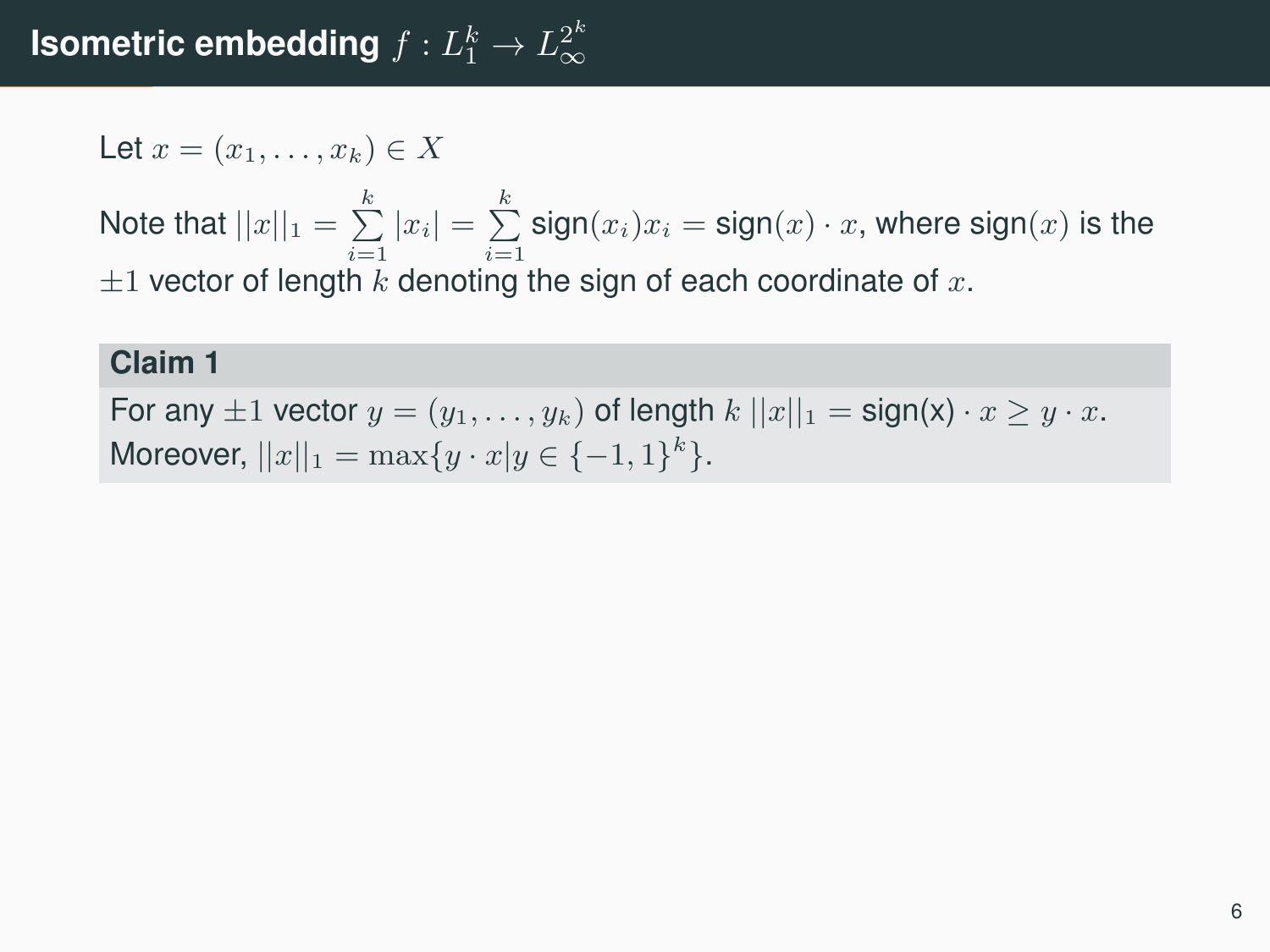Let 
$$
x = (x_1, \ldots, x_k) \in X
$$

Note that  $||x||_1 = \sum\limits_{i=1}^k |x_i| = \sum\limits_{i=1}^k \text{sign}(x_i)x_i = \text{sign}(x) \cdot x$ , where  $\text{sign}(x)$  is the  $\pm 1$  vector of length k denoting the sign of each coordinate of x.

#### **Claim 1**

For any  $\pm 1$  vector  $y = (y_1, \ldots, y_k)$  of length  $k ||x||_1 = \text{sign}(x) \cdot x \geq y \cdot x$ . Moreover,  $||x||_1 = \max\{y \cdot x | y \in \{-1, 1\}^k\}.$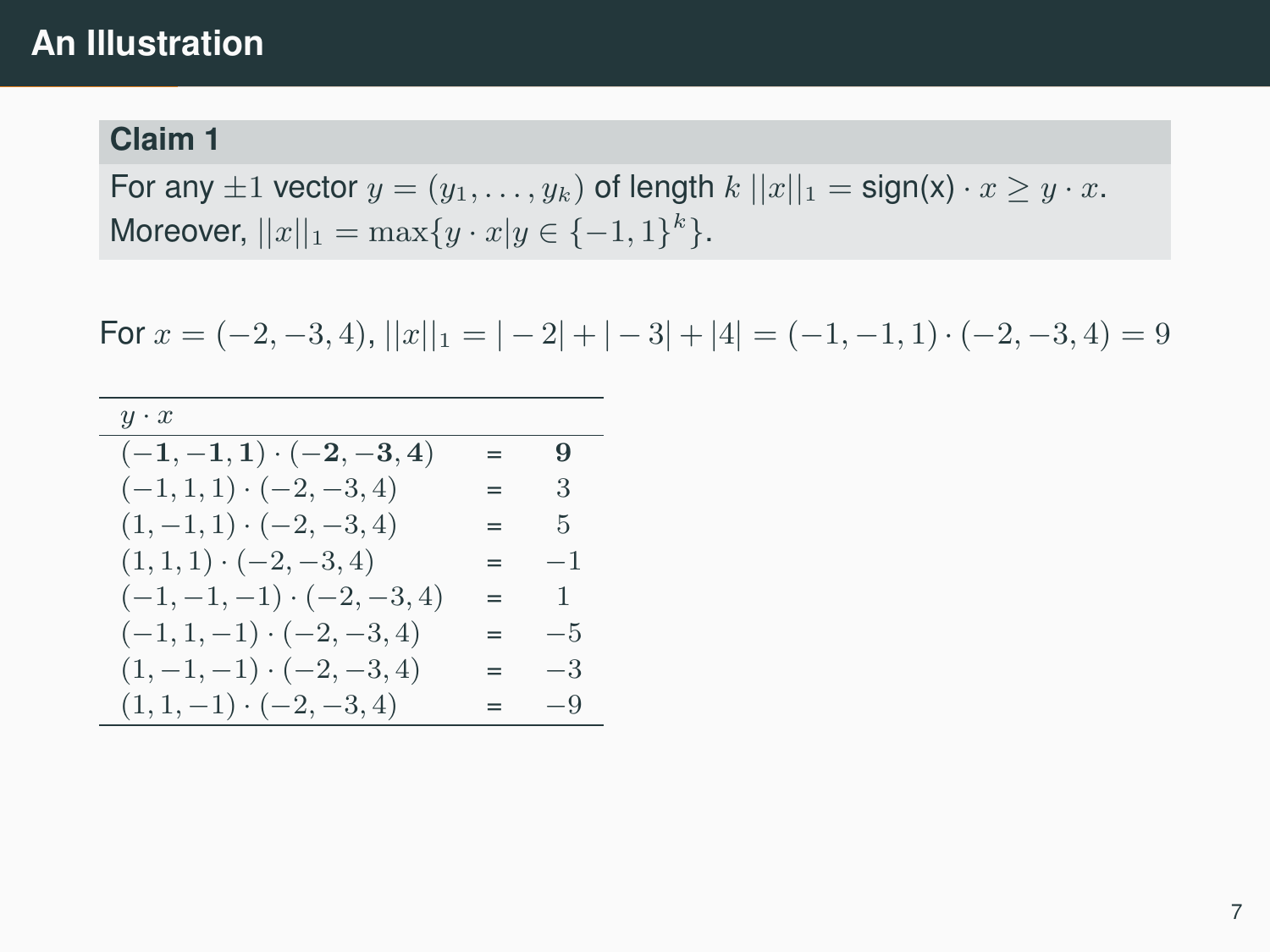## **An Illustration**

#### **Claim 1**

For any  $\pm 1$  vector  $y = (y_1, \ldots, y_k)$  of length  $k ||x||_1 = \text{sign}(x) \cdot x \geq y \cdot x$ . Moreover,  $||x||_1 = \max\{y \cdot x | y \in \{-1, 1\}^k\}.$ 

For  $x = (-2, -3, 4)$ ,  $||x||_1 = |-2| + |-3| + |4| = (-1, -1, 1) \cdot (-2, -3, 4) = 9$ 

| $y \cdot x$                     |     |               |
|---------------------------------|-----|---------------|
| $(-1,-1,1)\cdot(-2,-3,4)$       | $=$ | 9             |
| $(-1, 1, 1) \cdot (-2, -3, 4)$  | $=$ | -3            |
| $(1, -1, 1) \cdot (-2, -3, 4)$  | $=$ | $\frac{5}{2}$ |
| $(1, 1, 1) \cdot (-2, -3, 4)$   | $=$ | $-1$          |
| $(-1,-1,-1) \cdot (-2,-3,4)$    | $=$ | $\mathbf{1}$  |
| $(-1, 1, -1) \cdot (-2, -3, 4)$ | $=$ | $-5$          |
| $(1, -1, -1) \cdot (-2, -3, 4)$ | $=$ | $-3$          |
| $(1, 1, -1) \cdot (-2, -3, 4)$  | $=$ | $-9$          |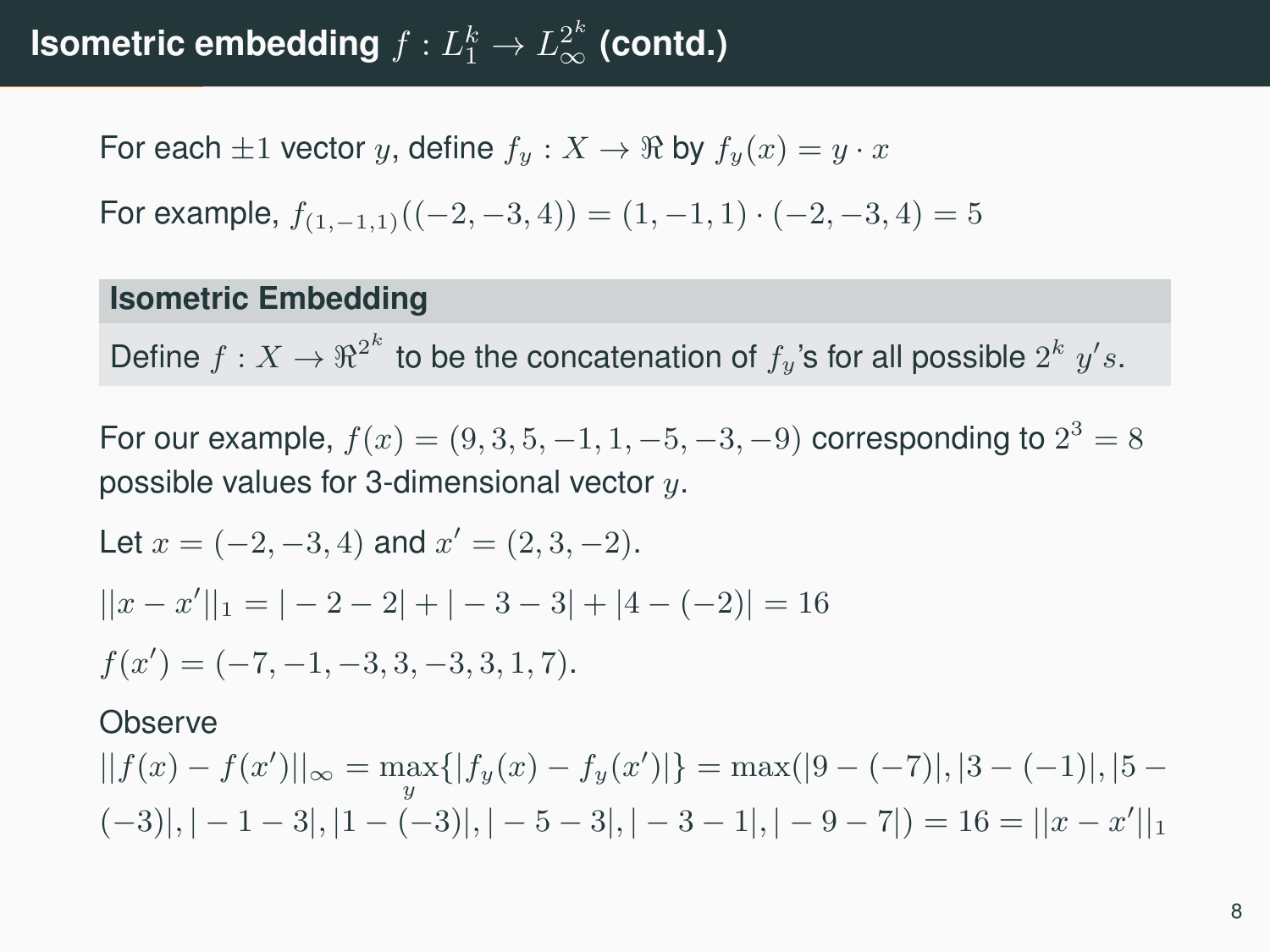# **Isometric embedding**  $f: L_1^k \rightarrow L_\infty^{2^k}$  (contd.)

For each  $\pm 1$  vector y, define  $f_y: X \to \mathbb{R}$  by  $f_y(x) = y \cdot x$ 

For example, 
$$
f_{(1,-1,1)}((-2,-3,4)) = (1,-1,1) \cdot (-2,-3,4) = 5
$$

#### **Isometric Embedding**

Define  $f: X \to \Re^{2^k}$  to be the concatenation of  $f_y$ 's for all possible  $2^k$   $y's$ .

For our example,  $f(x) = (9, 3, 5, -1, 1, -5, -3, -9)$  corresponding to  $2^3 = 8$ possible values for 3-dimensional vector  $y$ .

Let 
$$
x = (-2, -3, 4)
$$
 and  $x' = (2, 3, -2)$ .  
\n $||x - x'||_1 = |-2 - 2| + |-3 - 3| + |4 - (-2)| = 16$   
\n $f(x') = (-7, -1, -3, 3, -3, 3, 1, 7)$ .

#### **Observe**

 $||f(x) - f(x')||_{\infty} = \max_{y} { |f_y(x) - f_y(x')| } = \max(|9 - (-7)|, |3 - (-1)|, |5 (-3)|$ ,  $|-1-3|$ ,  $|1-(-3)|$ ,  $|-5-3|$ ,  $|-3-1|$ ,  $|-9-7|$ ) = 16 =  $||x-x'||_1$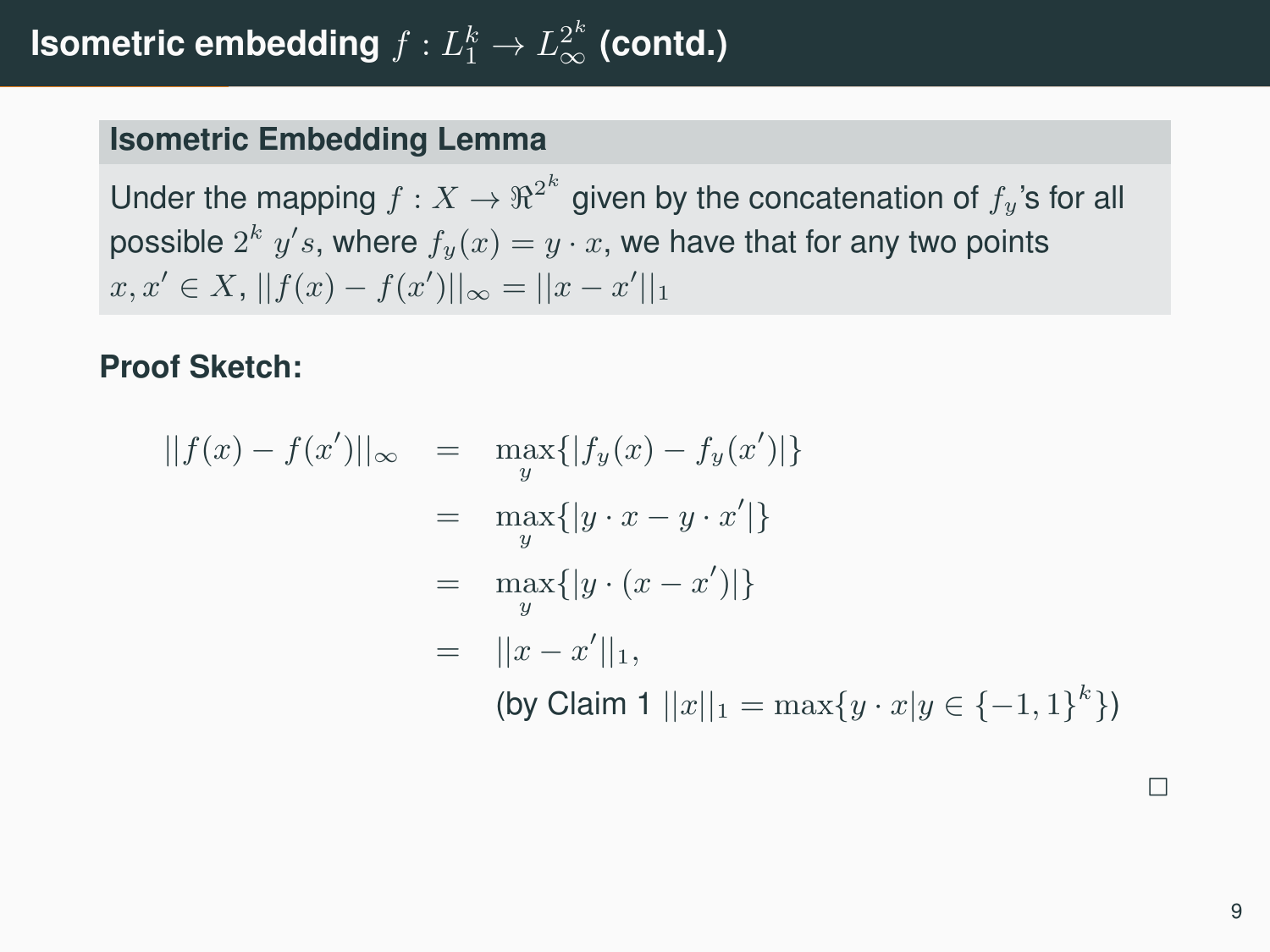#### **Isometric Embedding Lemma**

Under the mapping  $f:X\to\Re^{2^k}$  given by the concatenation of  $f_y$ 's for all possible  $2^k$   $y's$ , where  $f_y(x) = y \cdot x,$  we have that for any two points  $x, x' \in X$ ,  $||f(x) - f(x')||_{\infty} = ||x - x'||_1$ 

**Proof Sketch:**

$$
||f(x) - f(x')||_{\infty} = \max_{y} { |f_y(x) - f_y(x')| }
$$
  

$$
= \max_{y} { |y \cdot x - y \cdot x'| }
$$
  

$$
= \max_{y} { |y \cdot (x - x')| }
$$
  

$$
= ||x - x'||_1,
$$
  
(by Claim 1 ||x||<sub>1</sub> = max{y \cdot x|y \in {-1, 1}<sup>k</sup> })

 $\overline{\phantom{0}}$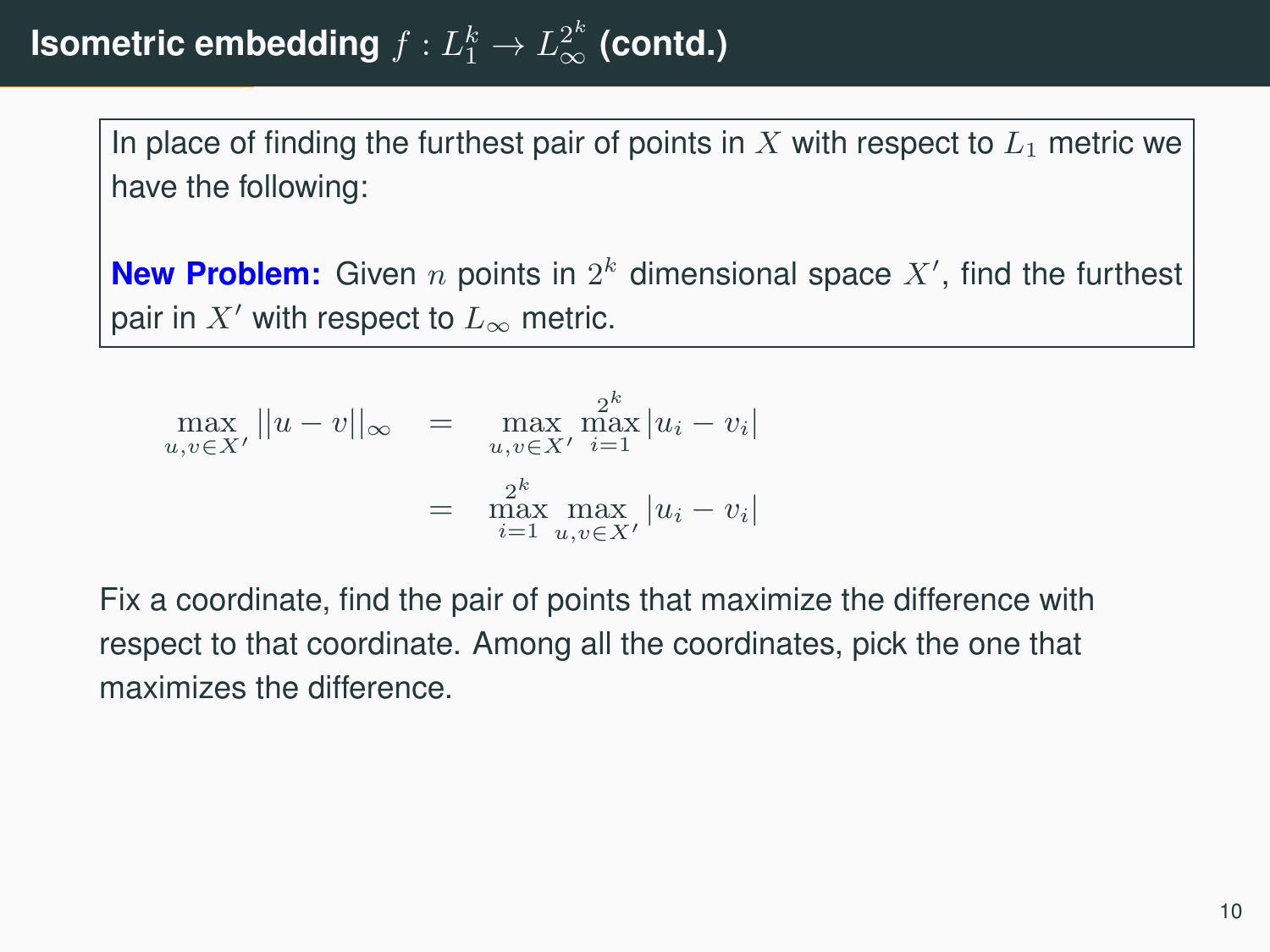In place of finding the furthest pair of points in  $X$  with respect to  $L_1$  metric we have the following:

**New Problem:** Given  $n$  points in  $2^k$  dimensional space  $X'$ , find the furthest pair in  $X'$  with respect to  $L_{\infty}$  metric.

$$
\max_{u,v \in X'} ||u - v||_{\infty} = \max_{u,v \in X'} \max_{i=1}^{2^k} |u_i - v_i|
$$
  
= 
$$
\max_{i=1}^{2^k} \max_{u,v \in X'} |u_i - v_i|
$$

Fix a coordinate, find the pair of points that maximize the difference with respect to that coordinate. Among all the coordinates, pick the one that maximizes the difference.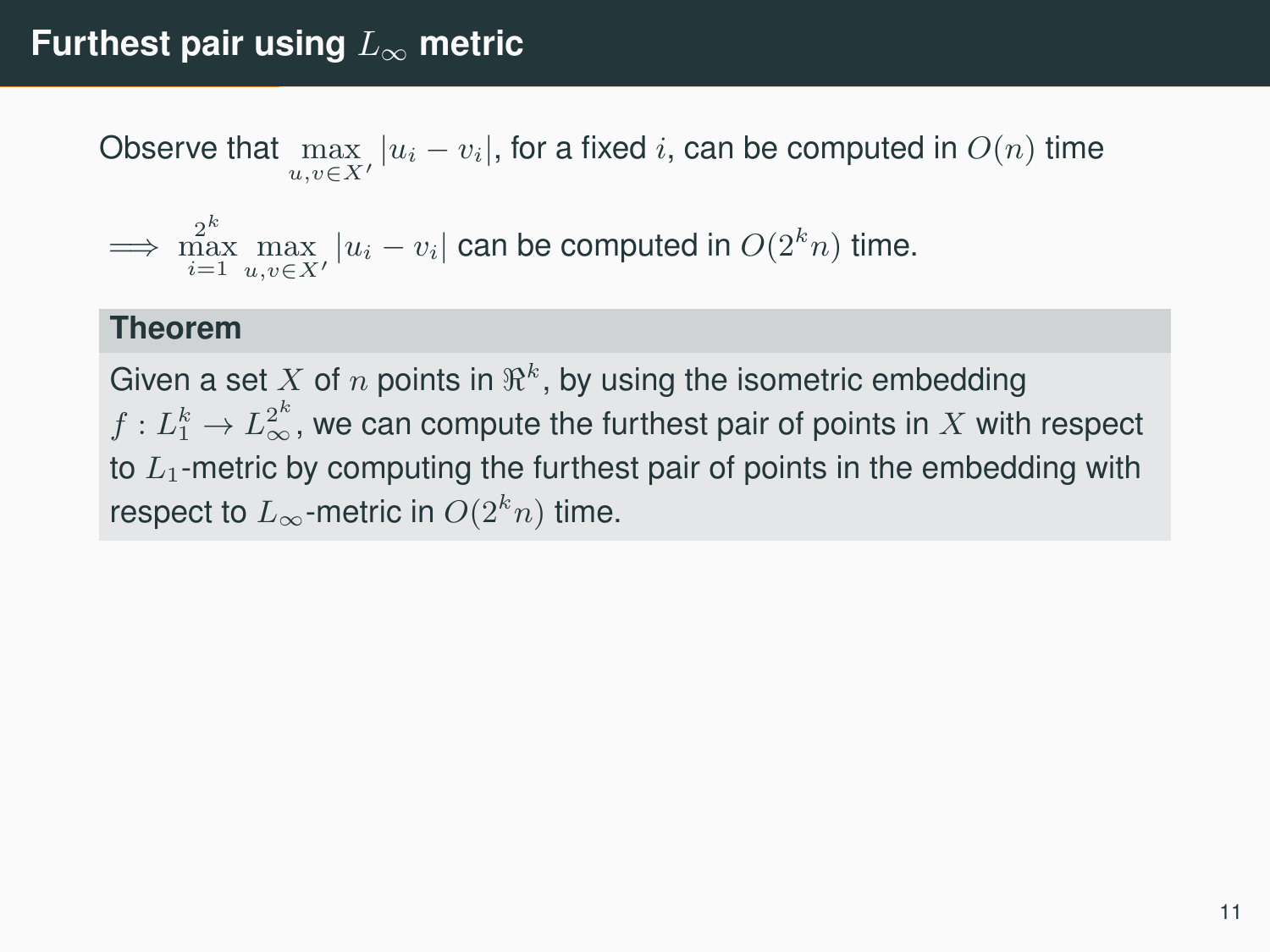Observe that  $\max\limits_{u,v\in X'}|u_i-v_i|$ , for a fixed  $i$ , can be computed in  $O(n)$  time

$$
\implies \max_{i=1}^{2^k} \max_{u,v \in X'} |u_i - v_i| \text{ can be computed in } O(2^k n) \text{ time.}
$$

#### **Theorem**

Given a set  $X$  of  $n$  points in  $\Re^k$ , by using the isometric embedding  $f: L_1^k \rightarrow L_\infty^{2^k}$  , we can compute the furthest pair of points in  $X$  with respect to  $L_1$ -metric by computing the furthest pair of points in the embedding with respect to  $L_{\infty}$ -metric in  $O(2^k n)$  time.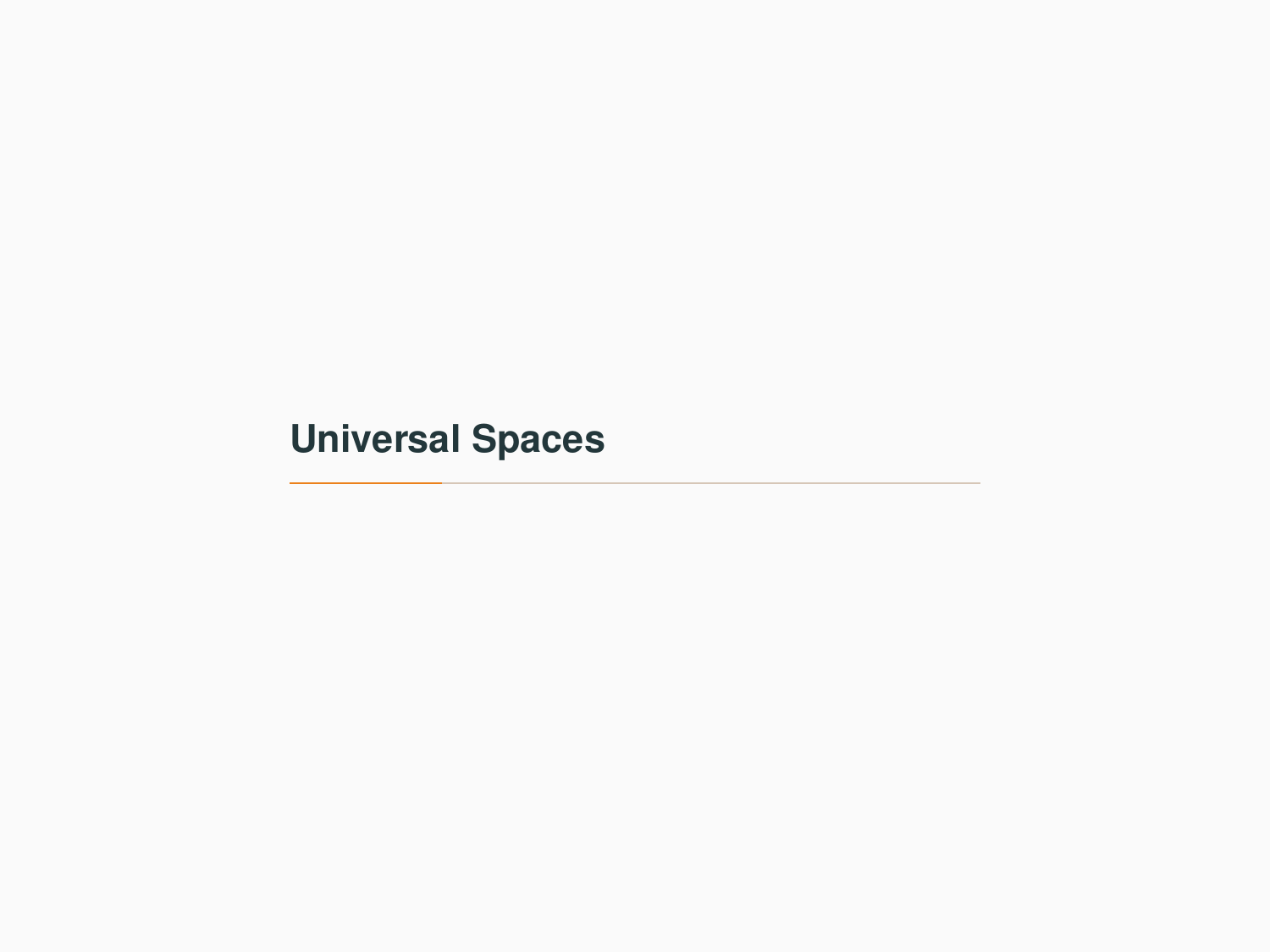# <span id="page-13-0"></span>**[Universal Spaces](#page-13-0)**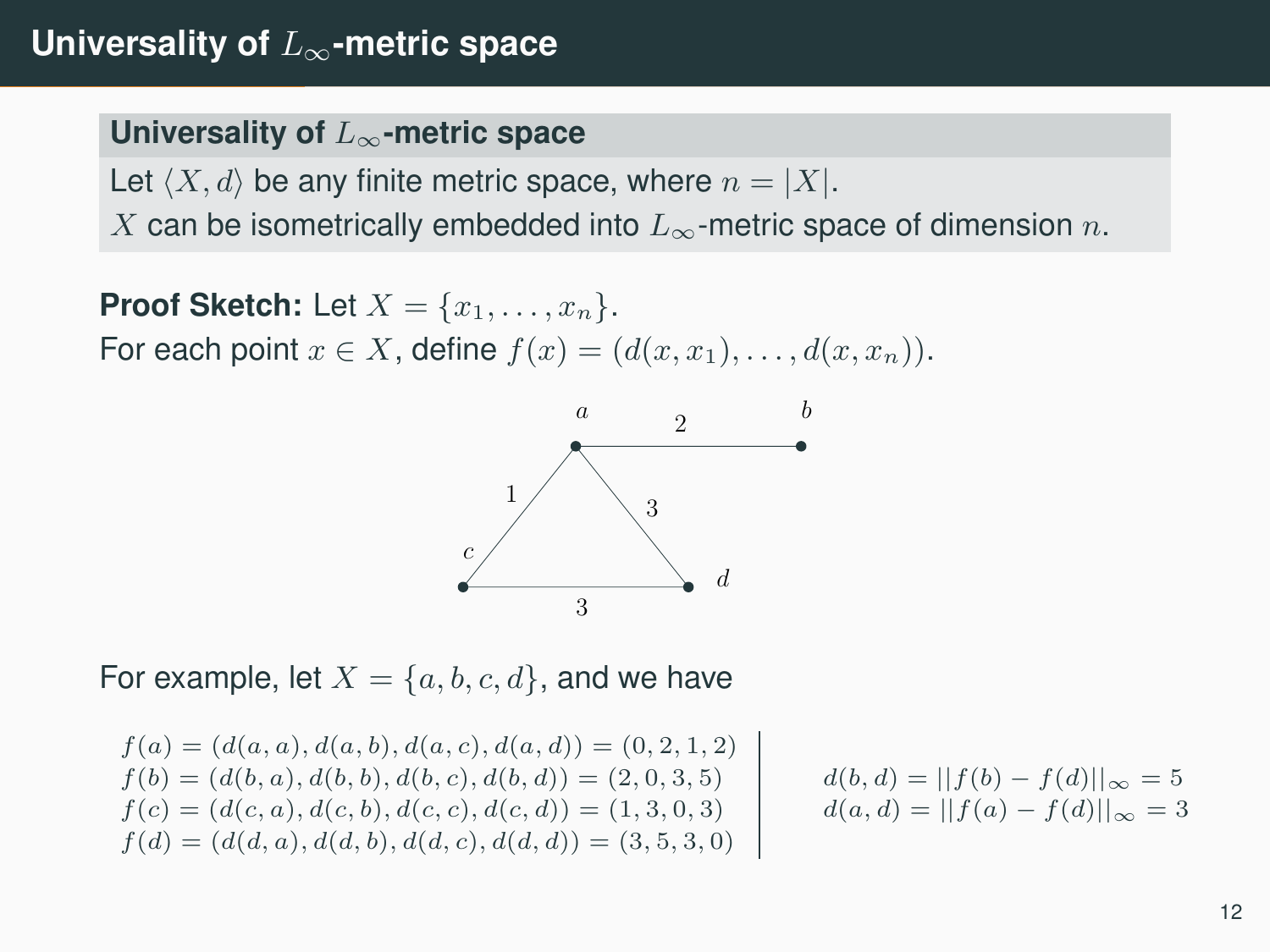## **Universality of** L∞**-metric space**

#### **Universality of** L∞**-metric space**

Let  $\langle X, d \rangle$  be any finite metric space, where  $n = |X|$ .

X can be isometrically embedded into  $L_{\infty}$ -metric space of dimension n.

**Proof Sketch:** Let  $X = \{x_1, \ldots, x_n\}$ . For each point  $x \in X$ , define  $f(x) = (d(x, x_1), \ldots, d(x, x_n))$ .



For example, let  $X = \{a, b, c, d\}$ , and we have

$$
f(a) = (d(a, a), d(a, b), d(a, c), d(a, d)) = (0, 2, 1, 2)
$$
  
\n
$$
f(b) = (d(b, a), d(b, b), d(b, c), d(b, d)) = (2, 0, 3, 5)
$$
  
\n
$$
f(c) = (d(c, a), d(c, b), d(c, c), d(c, d)) = (1, 3, 0, 3)
$$
  
\n
$$
f(d) = (d(d, a), d(d, b), d(d, c), d(d, d)) = (3, 5, 3, 0)
$$
  
\n
$$
d(a, d) = ||f(a) - f(d)||_{\infty} = 3
$$

$$
d(b, d) = ||f(b) - f(d)||_{\infty} = 5
$$
  

$$
d(a, d) = ||f(a) - f(d)||_{\infty} = 3
$$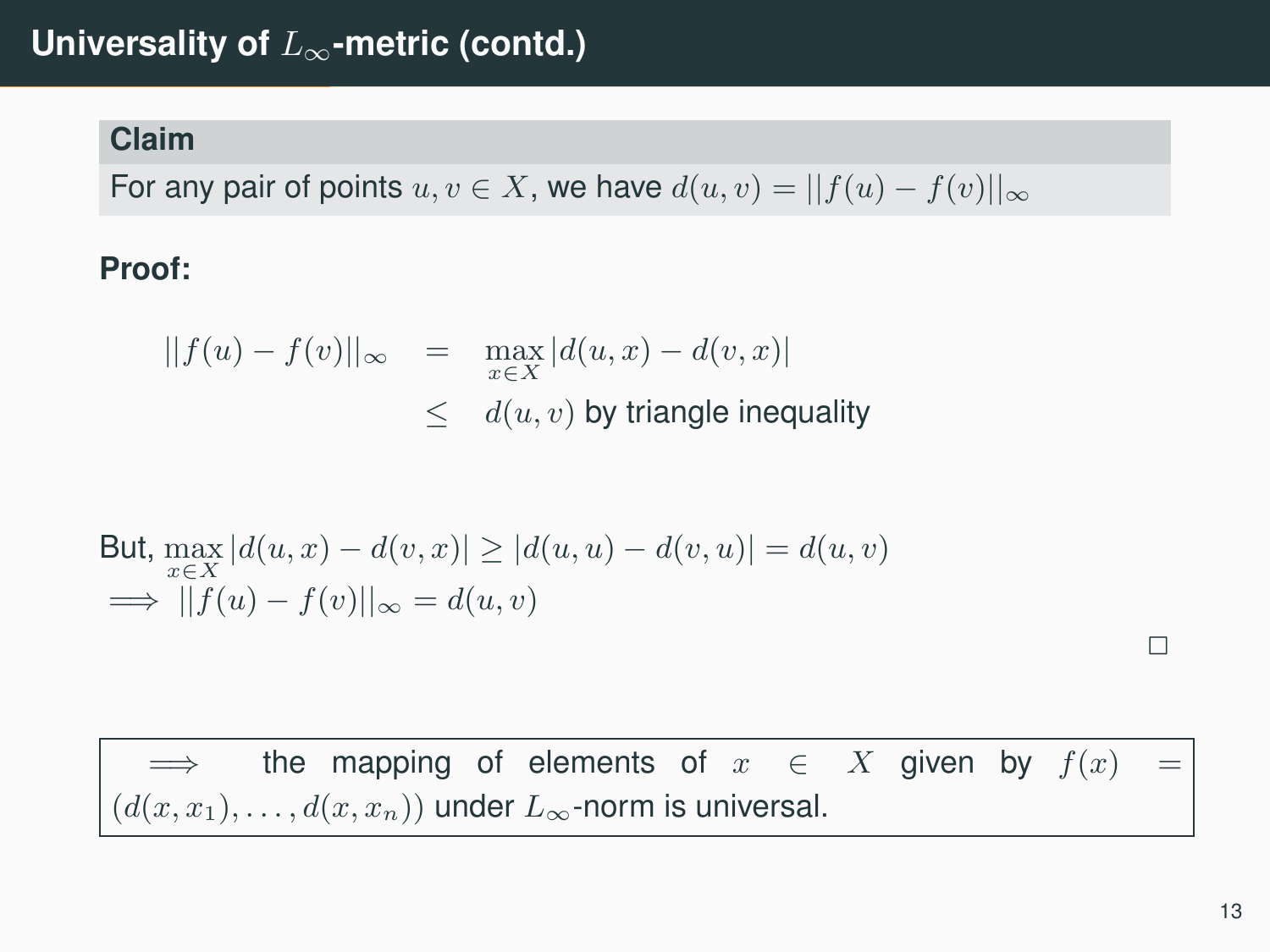#### **Claim**

For any pair of points  $u, v \in X$ , we have  $d(u, v) = ||f(u) - f(v)||_{\infty}$ 

## **Proof:**

$$
||f(u) - f(v)||_{\infty} = \max_{x \in X} |d(u, x) - d(v, x)|
$$
  

$$
\leq d(u, v) \text{ by triangle inequality}
$$

But, 
$$
\max_{x \in X} |d(u, x) - d(v, x)| \ge |d(u, u) - d(v, u)| = d(u, v)
$$
  
\n $\implies ||f(u) - f(v)||_{\infty} = d(u, v)$ 

 $\implies$  the mapping of elements of  $x \in X$  given by  $f(x) =$  $(d(x, x_1), \ldots, d(x, x_n))$  under  $L_{\infty}$ -norm is universal.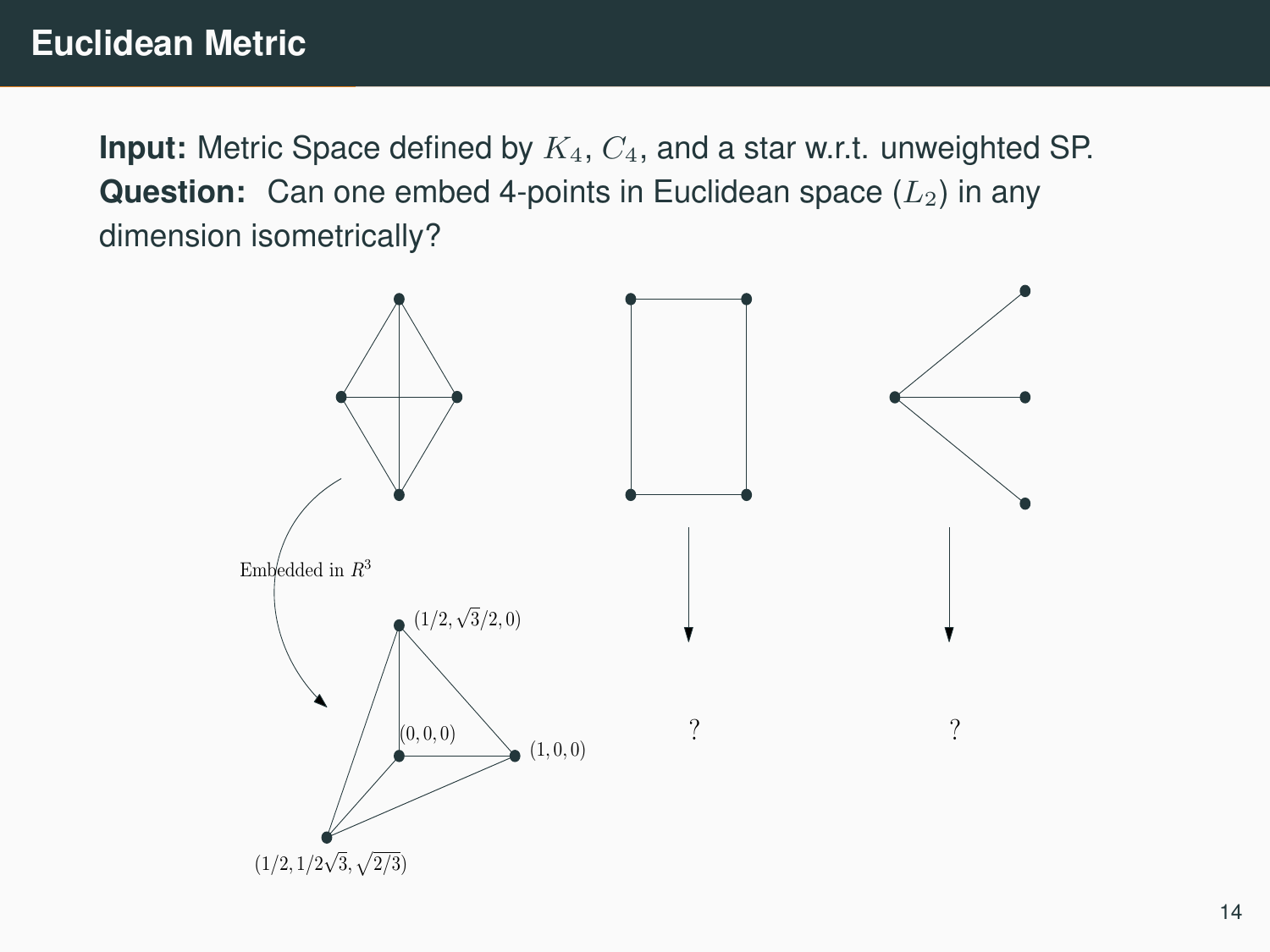**Input:** Metric Space defined by  $K_4$ ,  $C_4$ , and a star w.r.t. unweighted SP. **Question:** Can one embed 4-points in Euclidean space  $(L_2)$  in any dimension isometrically?

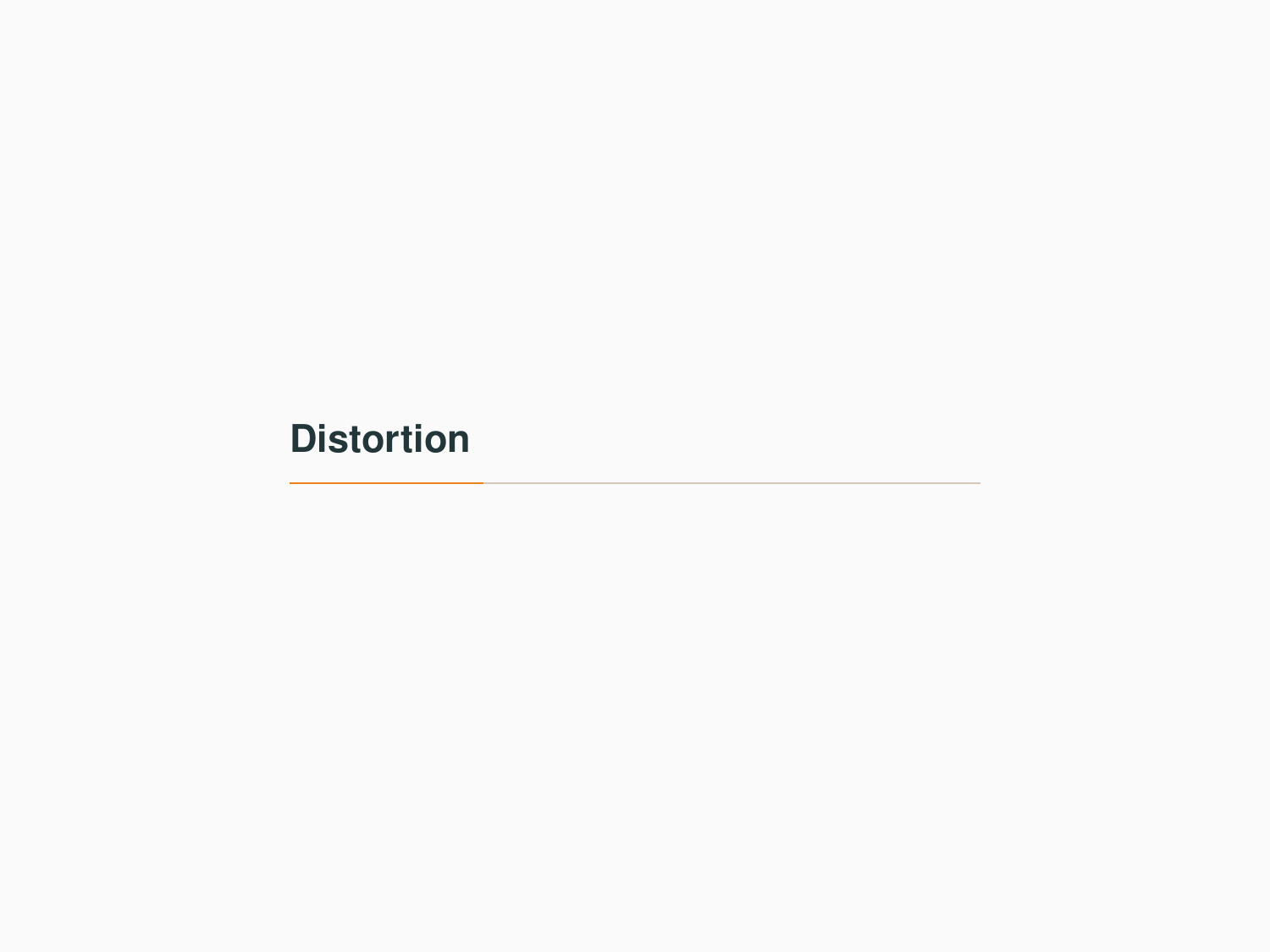# <span id="page-17-0"></span>**[Distortion](#page-17-0)**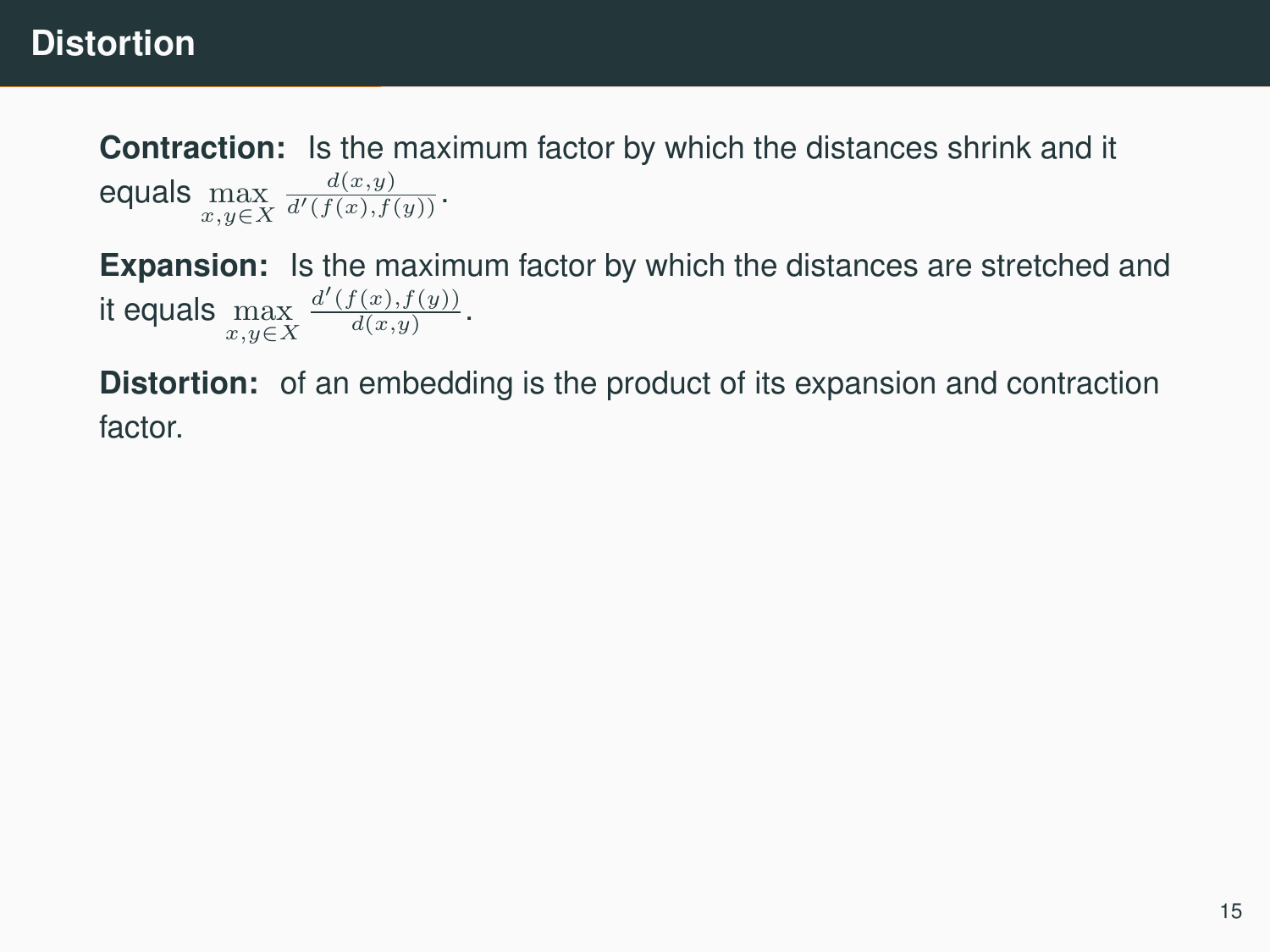## **Distortion**

**Contraction:** Is the maximum factor by which the distances shrink and it equals  $\max\limits_{x,y\in X}$  $\frac{d(x,y)}{d'(f(x),f(y))}$ .

**Expansion:** Is the maximum factor by which the distances are stretched and it equals  $\max\limits_{x,y\in X}$  $\frac{d'(f(x),f(y))}{d(x,y)}$ .

**Distortion:** of an embedding is the product of its expansion and contraction factor.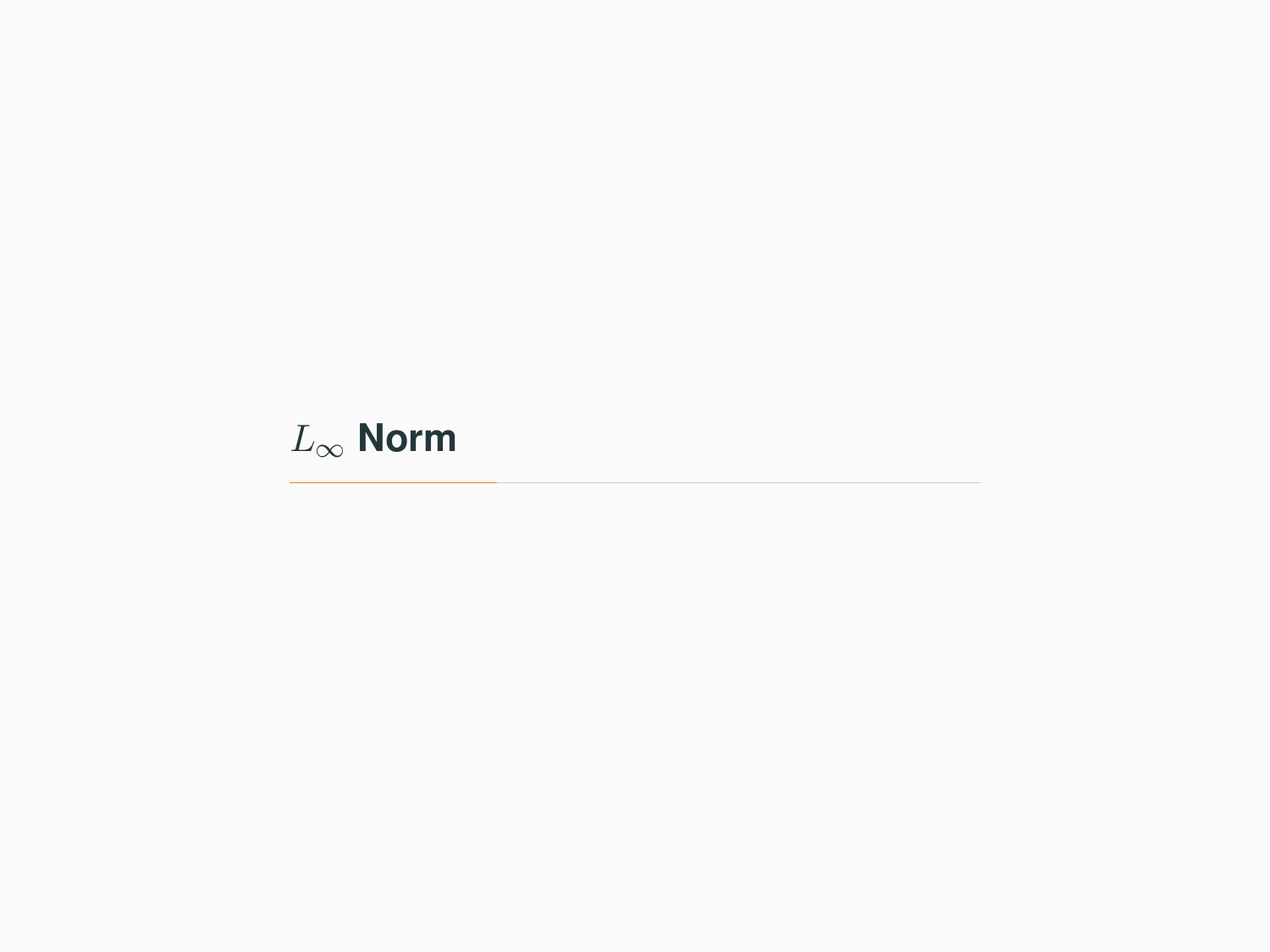# <span id="page-19-0"></span>L<sup>∞</sup> **[Norm](#page-19-0)**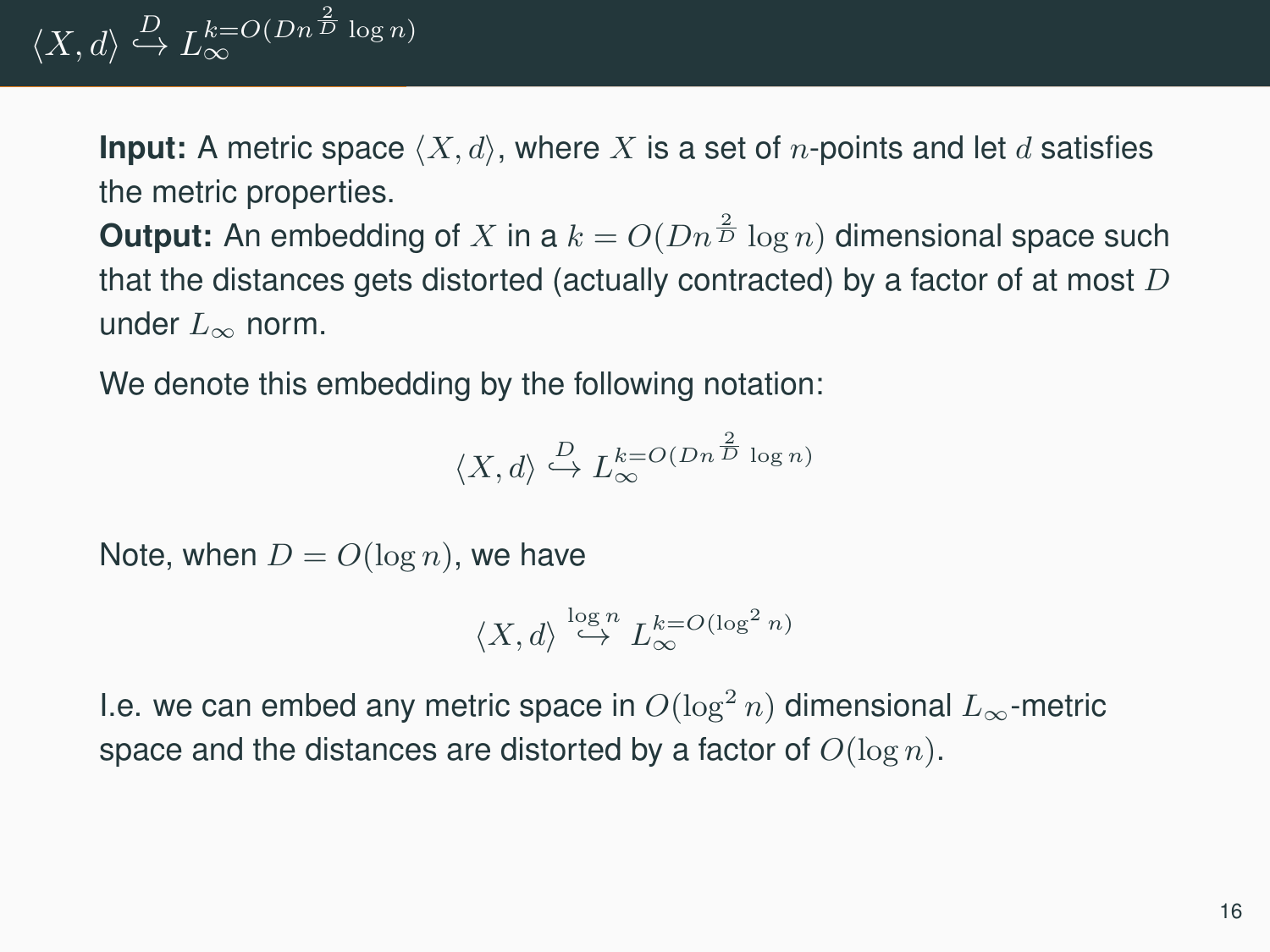$\langle X, d \rangle \stackrel{D}{\hookrightarrow} L_{\infty}^{k=O(Dn^{\frac{2}{D}} \log n)}$ 

**Input:** A metric space  $\langle X, d \rangle$ , where X is a set of n-points and let d satisfies the metric properties.

**Output:** An embedding of X in a  $k = O(Dn^{\frac{2}{D}} \log n)$  dimensional space such that the distances gets distorted (actually contracted) by a factor of at most  $D$ under  $L_{\infty}$  norm.

We denote this embedding by the following notation:

$$
\langle X,d\rangle \overset{D}{\hookrightarrow} L_{\infty}^{k=O(Dn^{\frac{2}{D}}\log n)}
$$

Note, when  $D = O(\log n)$ , we have

$$
\langle X, d \rangle \stackrel{\log n}{\hookrightarrow} L_{\infty}^{k=O(\log^2 n)}
$$

I.e. we can embed any metric space in  $O(\log^2 n)$  dimensional  $L_{\infty}$ -metric space and the distances are distorted by a factor of  $O(\log n)$ .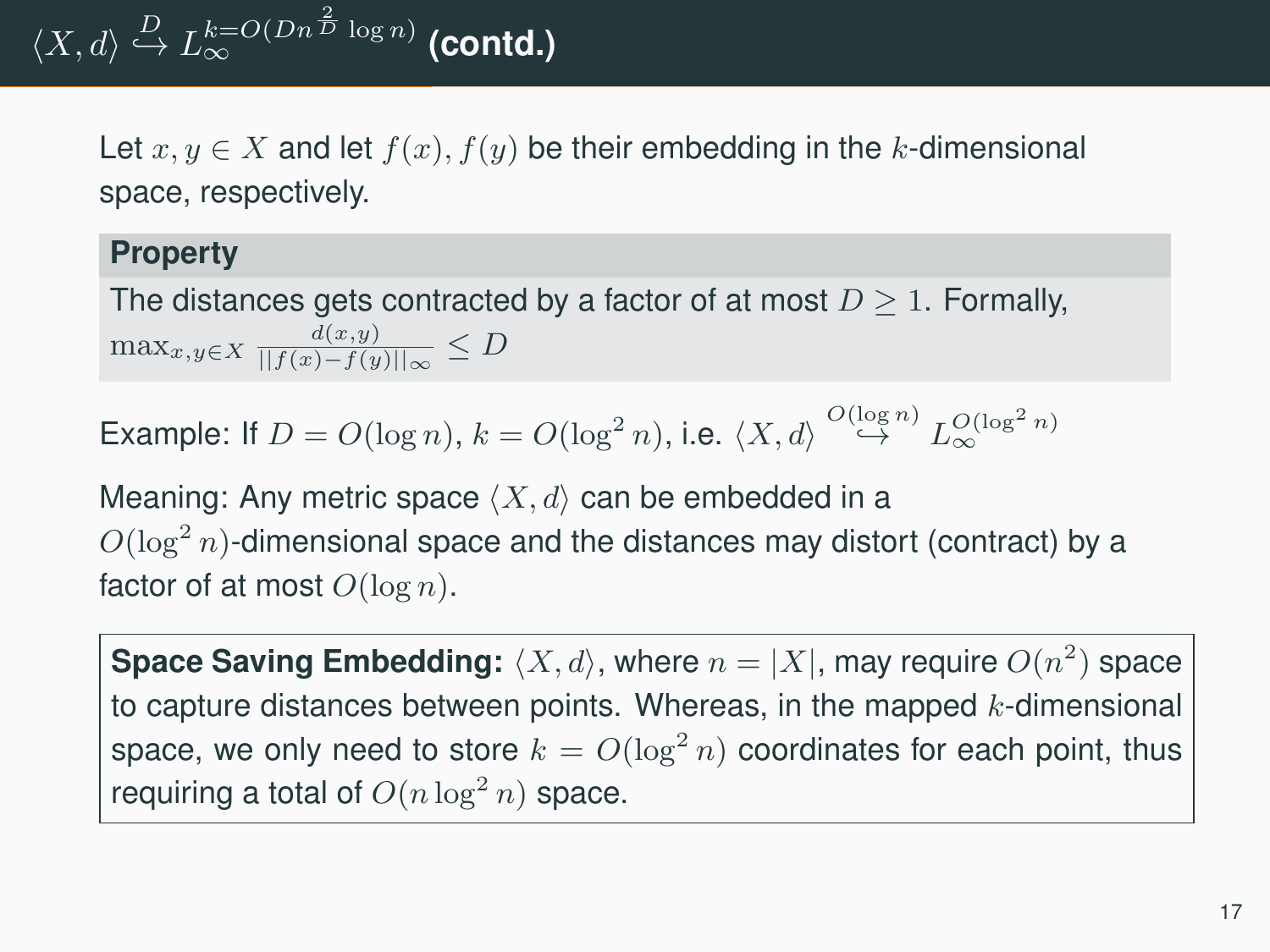Let  $x, y \in X$  and let  $f(x), f(y)$  be their embedding in the k-dimensional space, respectively.

#### **Property**

The distances gets contracted by a factor of at most  $D \geq 1$ . Formally,  $\max_{x,y\in X} \frac{d(x,y)}{||f(x)-f(y)||_{\infty}} \leq D$ 

**Example:** If 
$$
D = O(\log n)
$$
,  $k = O(\log^2 n)$ , i.e.  $\langle X, d \rangle \stackrel{O(\log n)}{\hookrightarrow} L_{\infty}^{O(\log^2 n)}$ 

Meaning: Any metric space  $\langle X, d \rangle$  can be embedded in a  $O(\log^2 n)$ -dimensional space and the distances may distort (contract) by a factor of at most  $O(\log n)$ .

**Space Saving Embedding:**  $\langle X, d \rangle$ , where  $n = |X|$ , may require  $O(n^2)$  space to capture distances between points. Whereas, in the mapped  $k$ -dimensional space, we only need to store  $k = O(\log^2 n)$  coordinates for each point, thus requiring a total of  $O(n \log^2 n)$  space.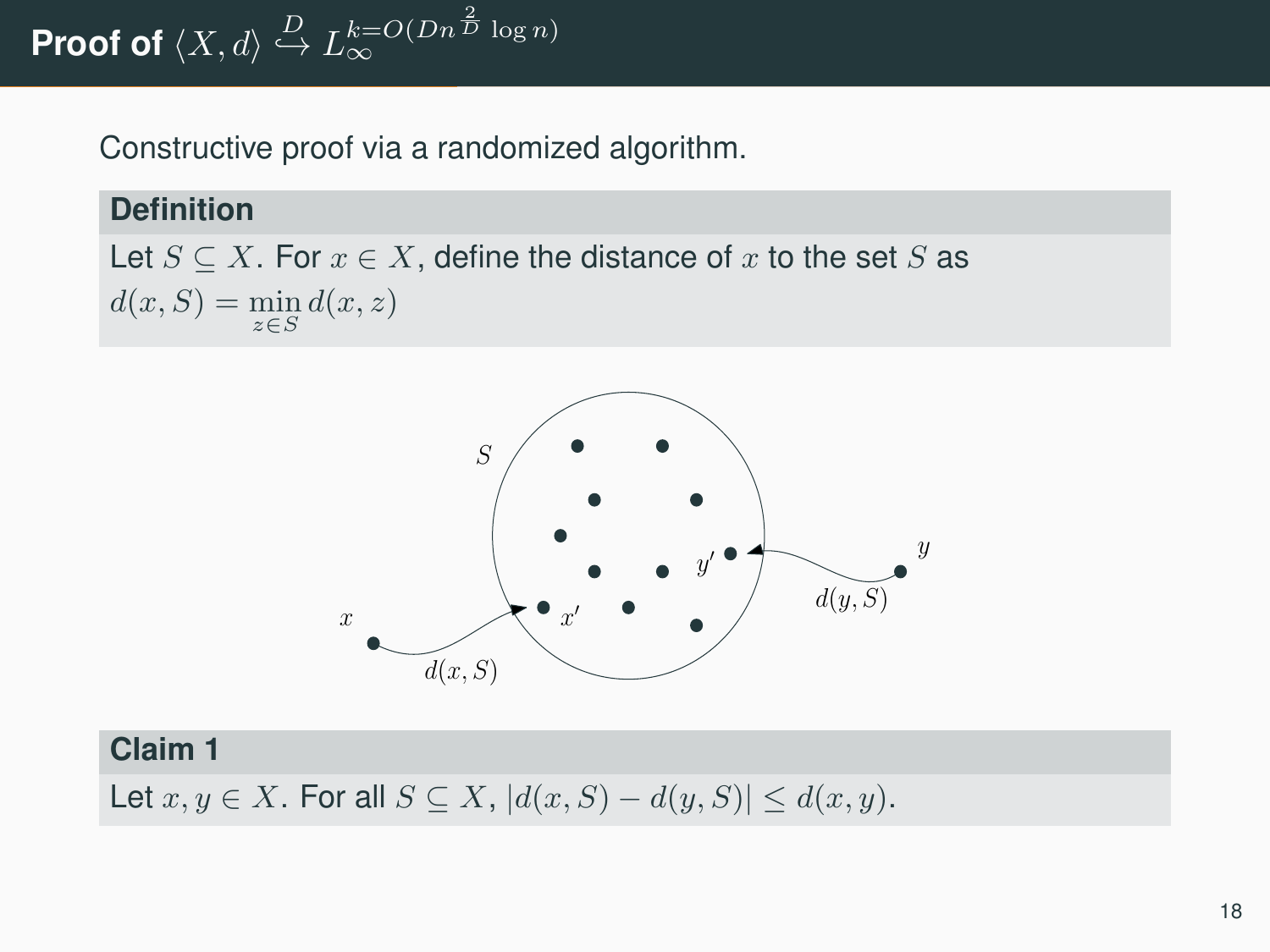Proof of  $\langle X, d \rangle \stackrel{D}{\hookrightarrow} L_{\infty}^{k=O(Dn^{\frac{2}{D}}\log n)}$ 

Constructive proof via a randomized algorithm.

#### **Definition**

Let  $S \subseteq X$ . For  $x \in X$ , define the distance of x to the set S as  $d(x, S) = \min_{z \in S} d(x, z)$ 



#### **Claim 1**

Let  $x, y \in X$ . For all  $S \subseteq X$ ,  $|d(x, S) - d(y, S)| \leq d(x, y)$ .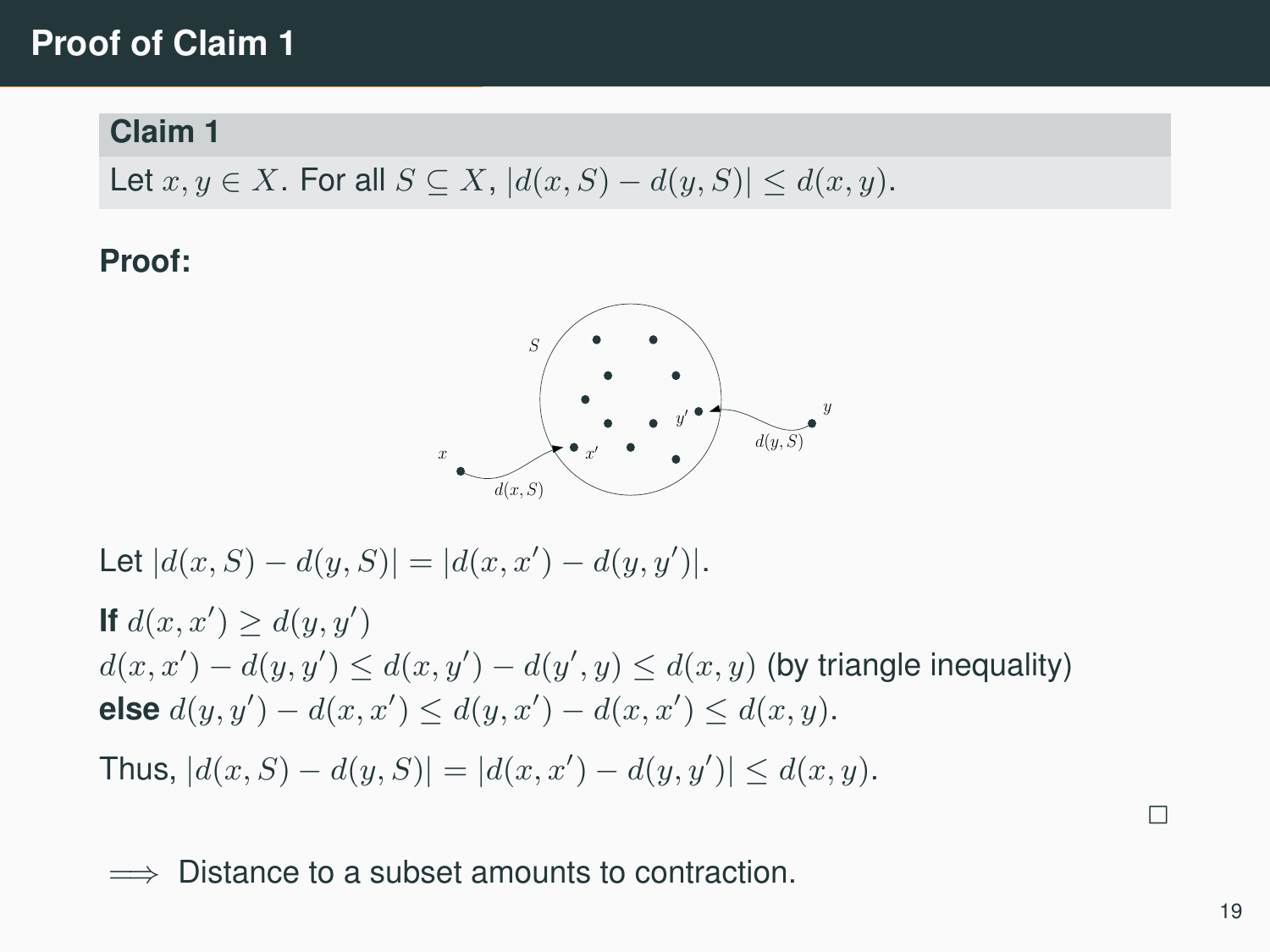## **Proof of Claim 1**

#### **Claim 1**

Let  $x, y \in X$ . For all  $S \subseteq X$ ,  $|d(x, S) - d(y, S)| \leq d(x, y)$ .

**Proof:**



Let  $|d(x, S) - d(y, S)| = |d(x, x') - d(y, y')|$ .

**If**  $d(x, x') \geq d(y, y')$  $d(x, x') - d(y, y') \leq d(x, y') - d(y', y) \leq d(x, y)$  (by triangle inequality) **else**  $d(y, y') - d(x, x') \leq d(y, x') - d(x, x') \leq d(x, y)$ .

Thus,  $|d(x, S) - d(y, S)| = |d(x, x') - d(y, y')| \le d(x, y).$ 

Distance to a subset amounts to contraction.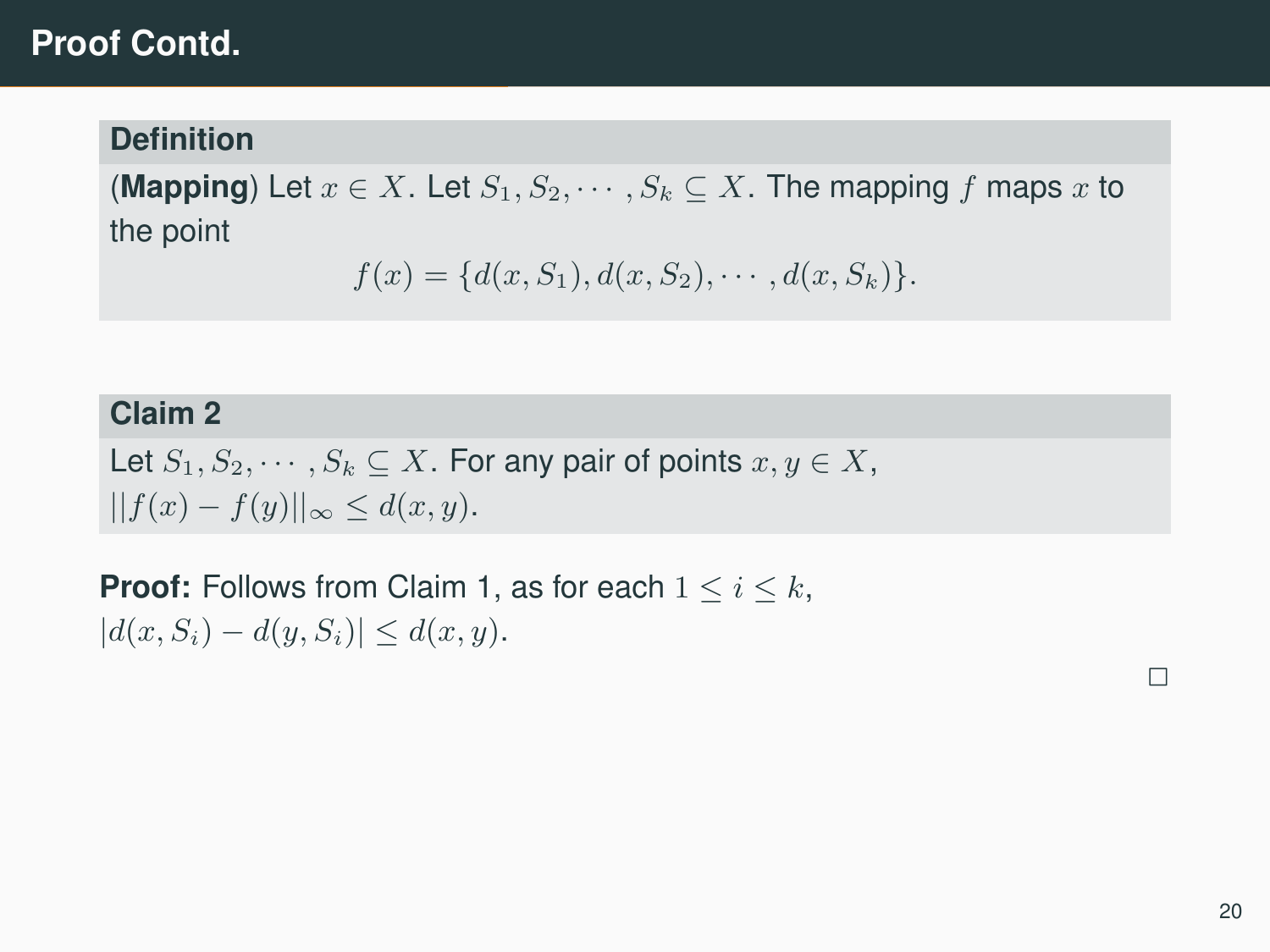## **Proof Contd.**

#### **Definition**

**(Mapping)** Let  $x \in X$ . Let  $S_1, S_2, \cdots, S_k \subseteq X$ . The mapping f maps x to the point

$$
f(x) = \{d(x, S_1), d(x, S_2), \cdots, d(x, S_k)\}.
$$

#### **Claim 2**

Let  $S_1, S_2, \cdots, S_k \subseteq X$ . For any pair of points  $x, y \in X$ ,  $||f(x) - f(y)||_{\infty} \leq d(x, y).$ 

**Proof:** Follows from Claim 1, as for each  $1 \leq i \leq k$ ,  $|d(x, S_i) - d(y, S_i)| \leq d(x, y).$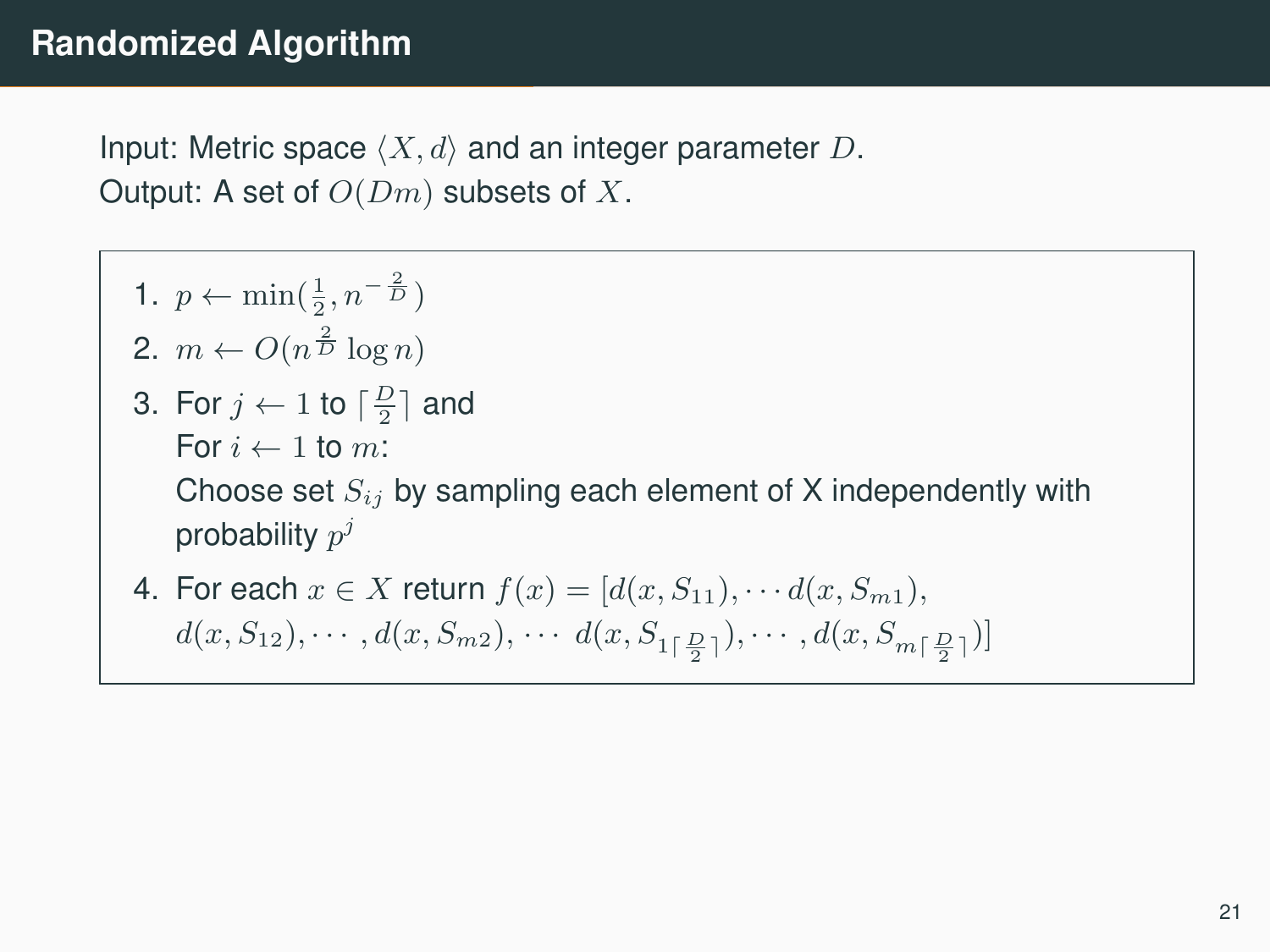Input: Metric space  $\langle X, d \rangle$  and an integer parameter D. Output: A set of  $O(Dm)$  subsets of X.

- 1.  $p \leftarrow \min(\frac{1}{2}, n^{-\frac{2}{D}})$ 2.  $m \leftarrow O(n^{\frac{2}{D}} \log n)$ 3. For  $j \leftarrow 1$  to  $\lceil \frac{D}{2} \rceil$  and For  $i \leftarrow 1$  to m: Choose set  $S_{ij}$  by sampling each element of X independently with probability  $p^j$
- 4. For each  $x \in X$  return  $f(x) = [d(x, S_{11}), \cdots d(x, S_{m1}),$  $d(x, S_{12}), \cdots, d(x, S_{m2}), \cdots, d(x, S_{1\lceil \frac{D}{2} \rceil}), \cdots, d(x, S_{m\lceil \frac{D}{2} \rceil})]$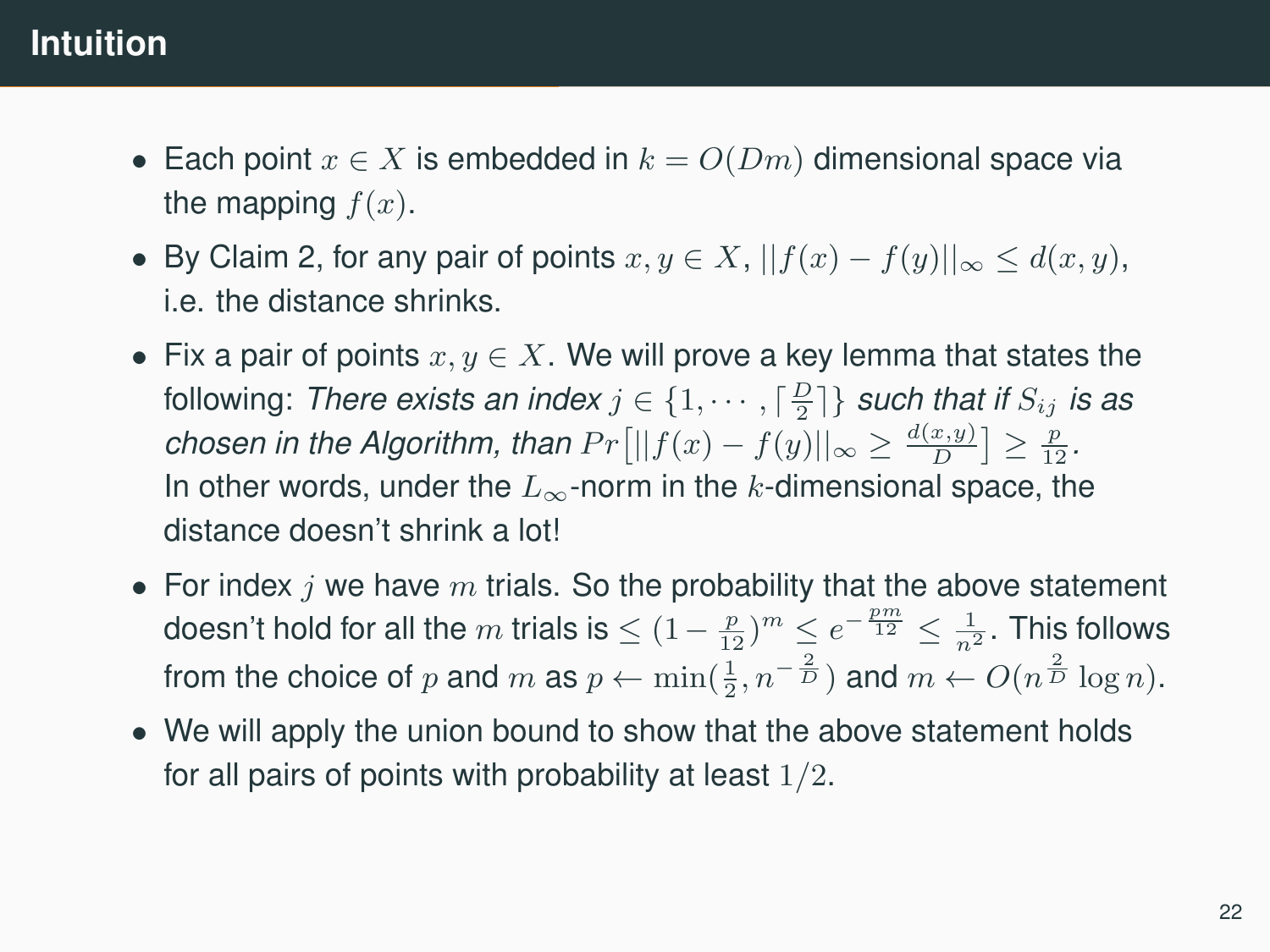# **Intuition**

- Each point  $x \in X$  is embedded in  $k = O(Dm)$  dimensional space via the mapping  $f(x)$ .
- By Claim 2, for any pair of points  $x, y \in X$ ,  $||f(x) f(y)||_{\infty} \le d(x, y)$ , i.e. the distance shrinks.
- Fix a pair of points  $x, y \in X$ . We will prove a key lemma that states the following: *There exists an index*  $j \in \{1, \cdots, \lceil\frac{D}{2}\rceil\}$  *such that if*  $S_{ij}$  *is as chosen in the Algorithm, than*  $Pr[||f(x) - f(y)||_{\infty} \ge \frac{d(x,y)}{D}] \ge \frac{p}{12}$ *.* In other words, under the  $L_{\infty}$ -norm in the k-dimensional space, the distance doesn't shrink a lot!
- For index  $i$  we have  $m$  trials. So the probability that the above statement doesn't hold for all the  $m$  trials is  $\leq (1-\frac{p}{12})^m \leq e^{-\frac{pm}{12}} \leq \frac{1}{n^2}.$  This follows from the choice of p and m as  $p \leftarrow \min(\frac{1}{2}, n^{-\frac{2}{D}})$  and  $m \leftarrow O(n^{\frac{2}{D}} \log n)$ .
- We will apply the union bound to show that the above statement holds for all pairs of points with probability at least  $1/2$ .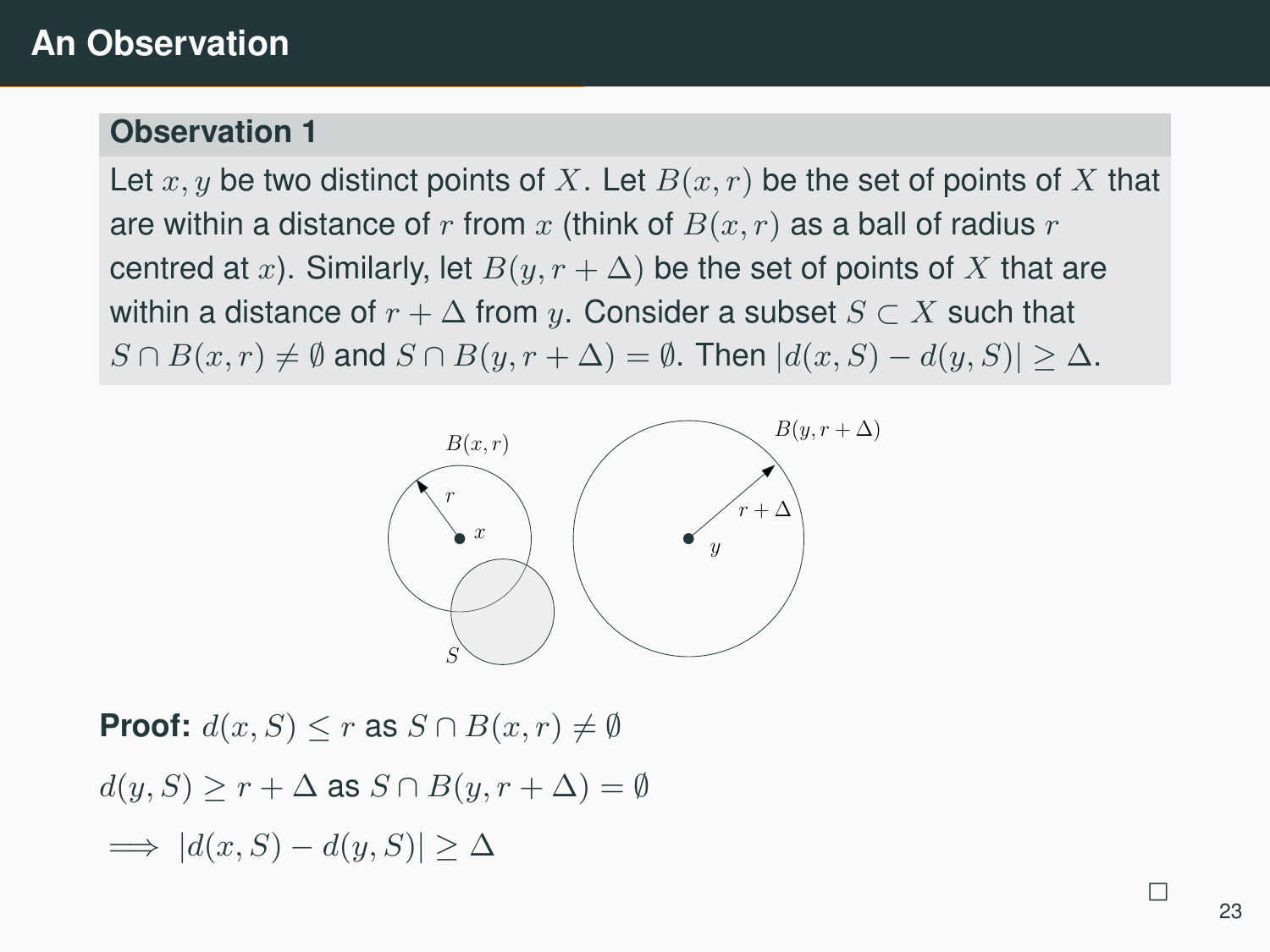#### **Observation 1**

Let  $x, y$  be two distinct points of X. Let  $B(x, r)$  be the set of points of X that are within a distance of r from x (think of  $B(x, r)$  as a ball of radius r centred at x). Similarly, let  $B(y, r + \Delta)$  be the set of points of X that are within a distance of  $r + \Delta$  from y. Consider a subset  $S \subset X$  such that  $S \cap B(x,r) \neq \emptyset$  and  $S \cap B(y,r+\Delta) = \emptyset$ . Then  $|d(x,S) - d(y,S)| \geq \Delta$ .



**Proof:**  $d(x, S) \leq r$  as  $S \cap B(x, r) \neq \emptyset$  $d(y, S) \geq r + \Delta$  as  $S \cap B(y, r + \Delta) = \emptyset$  $\implies$   $|d(x, S) - d(y, S)| \geq \Delta$ 

 $\overline{\phantom{0}}$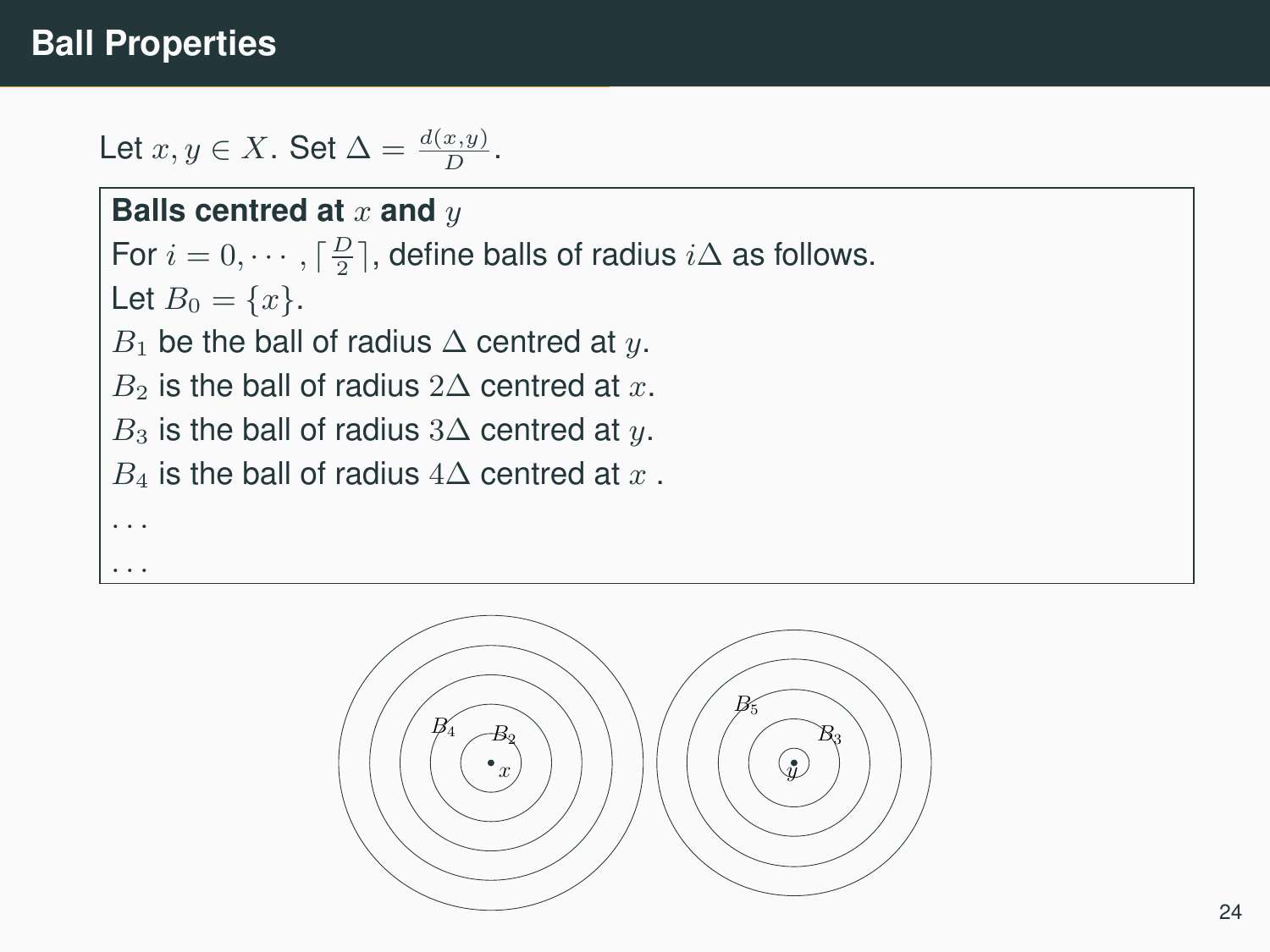## **Ball Properties**

. . .

Let  $x, y \in X$ . Set  $\Delta = \frac{d(x, y)}{D}$ .

**Balls centred at x and y** For  $i = 0, \dots, \lceil \frac{D}{2} \rceil$ , define balls of radius  $i\Delta$  as follows. Let  $B_0 = \{x\}.$  $B_1$  be the ball of radius  $\Delta$  centred at y.  $B_2$  is the ball of radius 2∆ centred at x.  $B_3$  is the ball of radius 3∆ centred at y.  $B_4$  is the ball of radius  $4\Delta$  centred at x. . . .

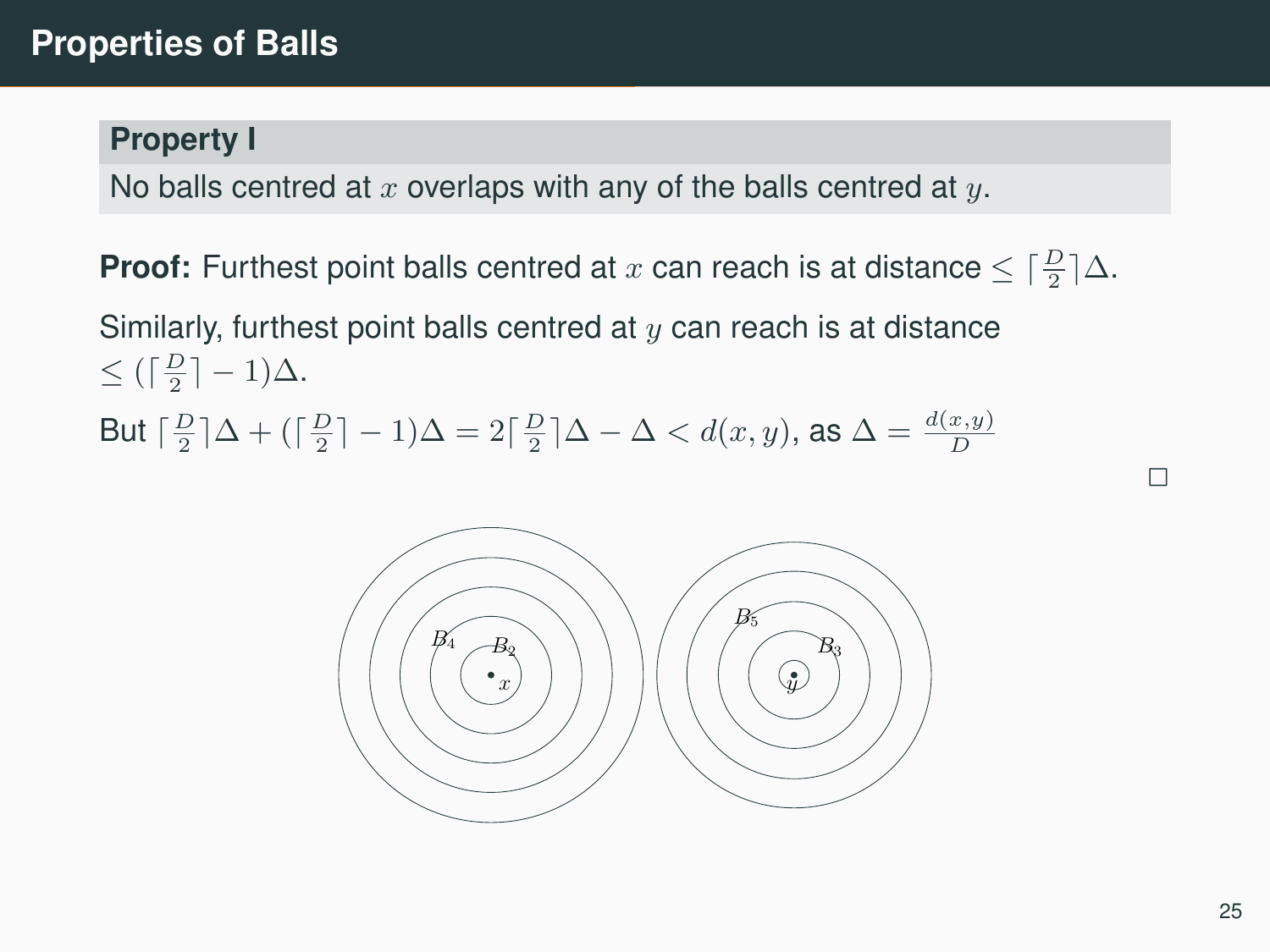#### **Property I**

No balls centred at  $x$  overlaps with any of the balls centred at  $y$ .

**Proof:** Furthest point balls centred at  $x$  can reach is at distance  $\leq \lceil \frac{D}{2} \rceil \Delta$ . Similarly, furthest point balls centred at  $y$  can reach is at distance  $\leq (\lceil \frac{D}{2} \rceil - 1) \Delta.$ But  $\lceil \frac{D}{2} \rceil \Delta + (\lceil \frac{D}{2} \rceil - 1) \Delta = 2 \lceil \frac{D}{2} \rceil \Delta - \Delta < d(x, y)$ , as  $\Delta = \frac{d(x, y)}{D}$ 

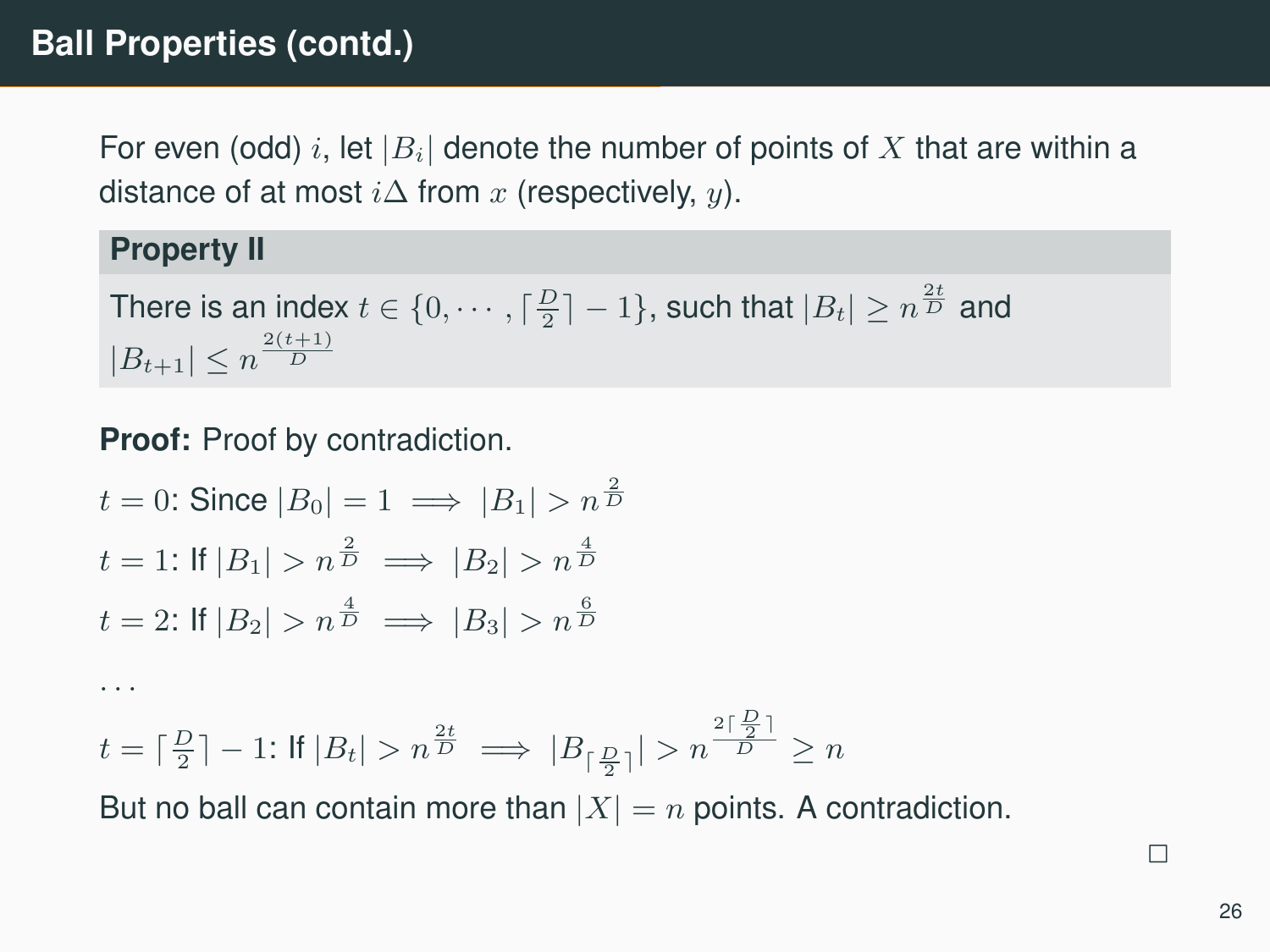For even (odd) i, let  $|B_i|$  denote the number of points of X that are within a distance of at most  $i\Delta$  from x (respectively, y).

#### **Property II**

. . .

There is an index  $t \in \{0, \cdots, \lceil \frac{D}{2} \rceil - 1\}$ , such that  $|B_t| \ge n^{\frac{2t}{D}}$  and  $|B_{t+1}| \leq n^{\frac{2(t+1)}{D}}$ 

**Proof:** Proof by contradiction.

 $t = 0$ : Since  $|B_0| = 1 \implies |B_1| > n^{\frac{2}{D}}$  $t = 1$ : If  $|B_1| > n^{\frac{2}{D}} \implies |B_2| > n^{\frac{4}{D}}$  $t = 2$ : If  $|B_2| > n^{\frac{4}{D}} \implies |B_3| > n^{\frac{6}{D}}$ 

 $t = \lceil \frac{D}{2} \rceil - 1$ : If  $|B_t| > n^{\frac{2t}{D}} \implies |B_{\lceil \frac{D}{2} \rceil}| > n^{\frac{2\lceil \frac{D}{2} \rceil}{D}} \ge n$ 

But no ball can contain more than  $|X| = n$  points. A contradiction.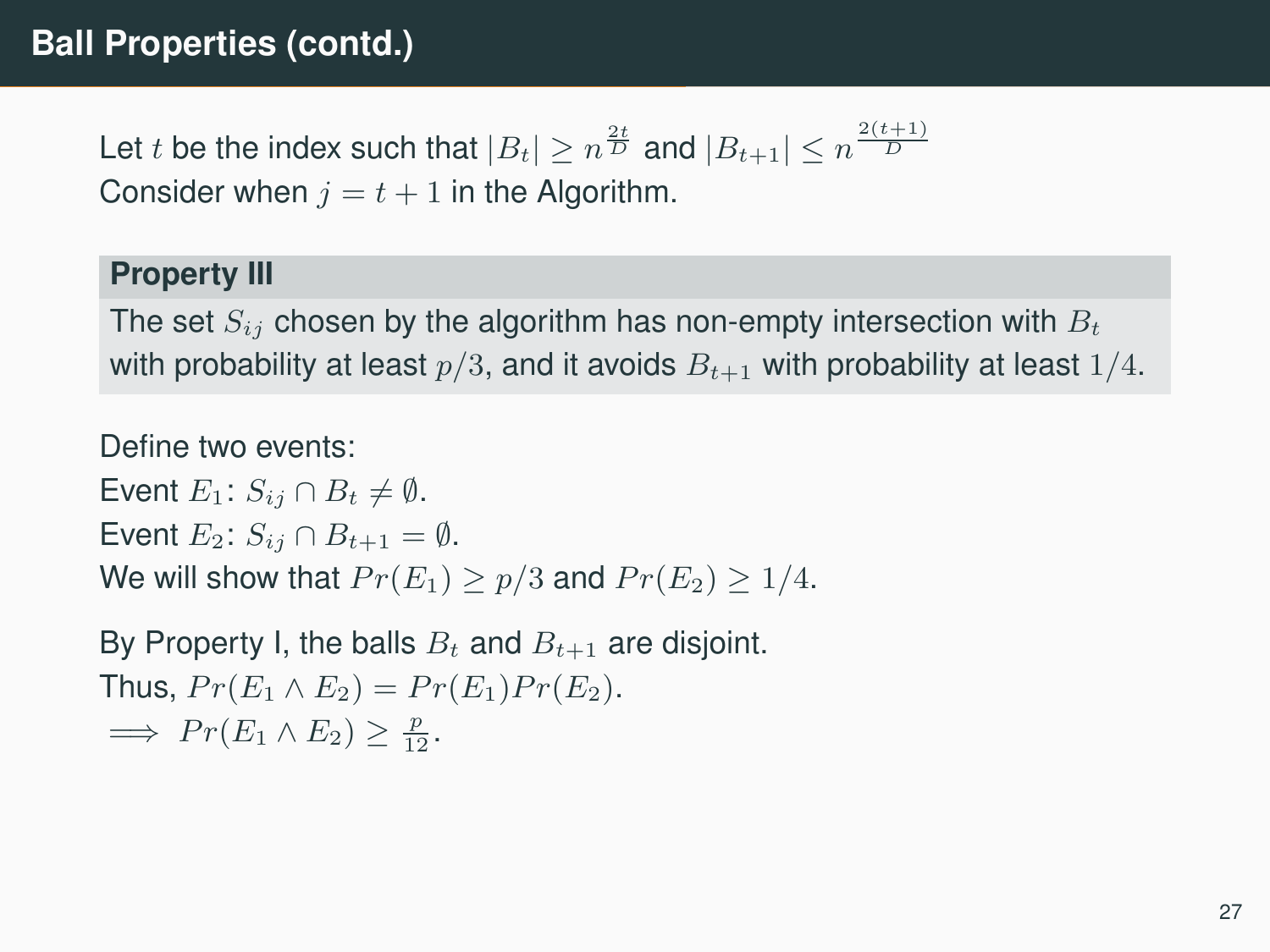# **Ball Properties (contd.)**

Let  $t$  be the index such that  $|B_t|\geq n^{\frac{2t}{D}}$  and  $|B_{t+1}|\leq n^{\frac{2(t+1)}{D}}$ Consider when  $j = t + 1$  in the Algorithm.

#### **Property III**

The set  $S_{ij}$  chosen by the algorithm has non-empty intersection with  $B_t$ with probability at least  $p/3$ , and it avoids  $B_{t+1}$  with probability at least  $1/4$ .

Define two events:

Event  $E_1: S_{ij} \cap B_t \neq \emptyset$ . Event  $E_2$ :  $S_{ij} \cap B_{t+1} = \emptyset$ . We will show that  $Pr(E_1) \ge p/3$  and  $Pr(E_2) \ge 1/4$ .

By Property I, the balls  $B_t$  and  $B_{t+1}$  are disjoint. Thus,  $Pr(E_1 \wedge E_2) = Pr(E_1)Pr(E_2)$ .  $\implies Pr(E_1 \wedge E_2) \geq \frac{p}{12}.$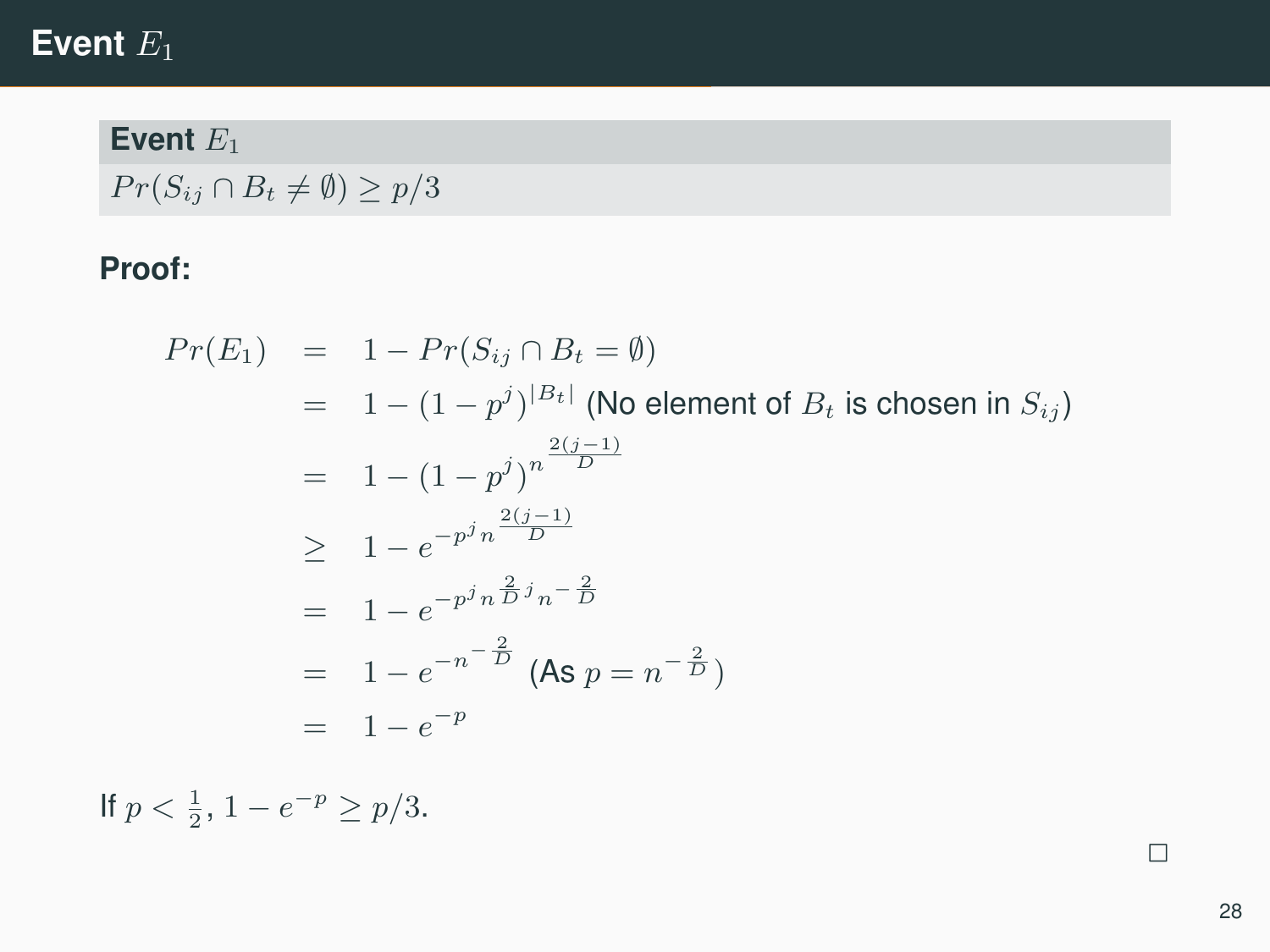# Event<sub>E1</sub>

Event<sub>E1</sub>

 $Pr(S_{ij} \cap B_t \neq \emptyset) \geq p/3$ 

#### **Proof:**

$$
Pr(E_1) = 1 - Pr(S_{ij} \cap B_t = \emptyset)
$$
  
= 1 - (1 - p<sup>j</sup>)<sup>|B\_t|</sup> (No element of B<sub>t</sub> is chosen in S<sub>ij</sub>)  
= 1 - (1 - p<sup>j</sup>)<sup>n</sup><sup>\frac{2(j-1)}{D}</sup>  

$$
\geq 1 - e^{-p^j n \frac{2(j-1)}{D}}
$$
  
= 1 - e<sup>-p<sup>j</sup>n \frac{2j}{D}n - \frac{2}{D}</sup>  
= 1 - e<sup>-n<sup>-1</sup> \frac{2}{D}</sup> (As p = n<sup>-2</sup> \frac{2}{D})  
= 1 - e<sup>-p</sup>

If  $p < \frac{1}{2}$ ,  $1 - e^{-p} \ge p/3$ .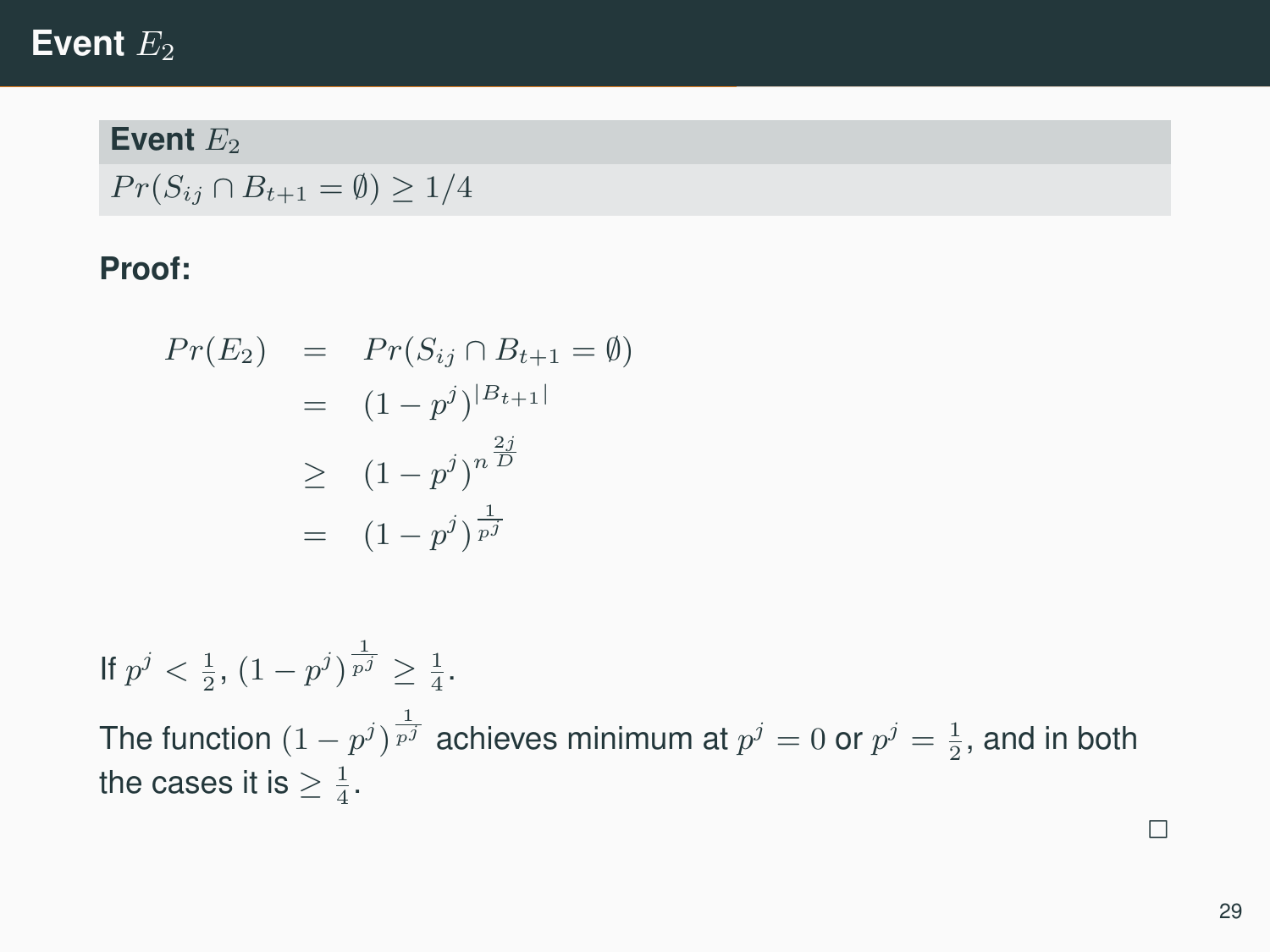## **Event**  $E_2$

#### **Event**  $E_2$

 $Pr(S_{ij} \cap B_{t+1} = \emptyset) \geq 1/4$ 

#### **Proof:**

$$
Pr(E_2) = Pr(S_{ij} \cap B_{t+1} = \emptyset)
$$
  
=  $(1 - p^j)^{|B_{t+1}|}$   
 $\ge (1 - p^j)^{n \overline{D}}$   
=  $(1 - p^j)^{\frac{1}{p^j}}$ 

If  $p^j < \frac{1}{2}$ ,  $(1-p^j)^{\frac{1}{p^j}} \geq \frac{1}{4}$ . The function  $(1-p^j)^{\frac{1}{p^j}}$  achieves minimum at  $p^j=0$  or  $p^j=\frac{1}{2},$  and in both the cases it is  $\geq \frac{1}{4}$ .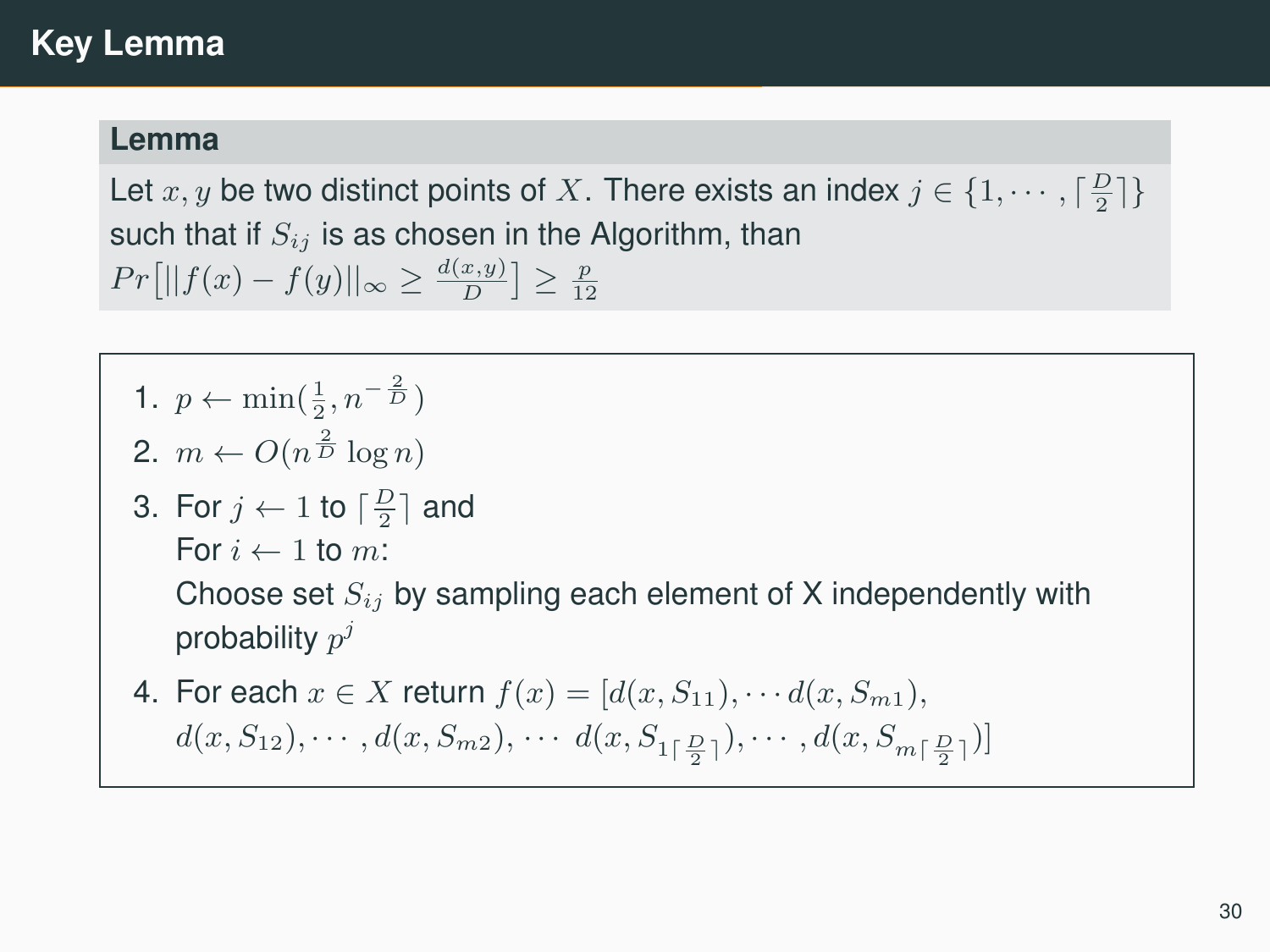#### **Lemma**

Let  $x, y$  be two distinct points of X. There exists an index  $j \in \{1, \cdots, \lceil \frac{D}{2} \rceil\}$ such that if  $S_{ij}$  is as chosen in the Algorithm, than  $Pr[||f(x) - f(y)||_{\infty} \ge \frac{d(x,y)}{D}] \ge \frac{p}{12}$ 

- 1.  $p \leftarrow \min(\frac{1}{2}, n^{-\frac{2}{D}})$
- 2.  $m \leftarrow O(n^{\frac{2}{D}} \log n)$
- 3. For  $j \leftarrow 1$  to  $\lceil \frac{D}{2} \rceil$  and
	- For  $i \leftarrow 1$  to m:

Choose set  $S_{ij}$  by sampling each element of X independently with probability  $p^j$ 

4. For each  $x \in X$  return  $f(x) = [d(x, S_{11}), \cdots d(x, S_{m1}),$ 

$$
d(x, S_{12}), \cdots, d(x, S_{m2}), \cdots d(x, S_{1\lceil \frac{D}{2} \rceil}), \cdots, d(x, S_{m\lceil \frac{D}{2} \rceil})]
$$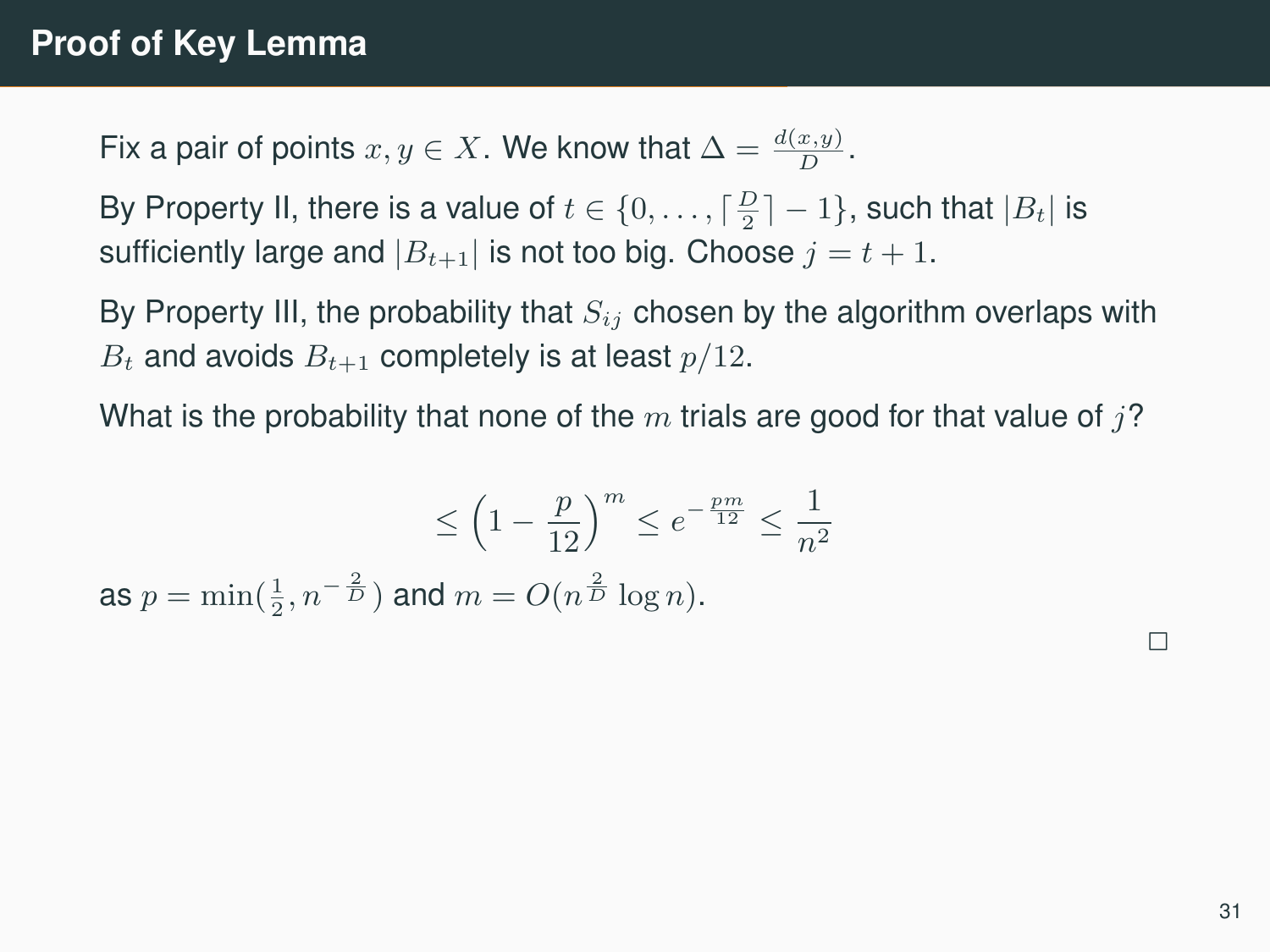Fix a pair of points  $x, y \in X$ . We know that  $\Delta = \frac{d(x, y)}{D}$ .

By Property II, there is a value of  $t \in \{0, \ldots, \lceil \frac{D}{2} \rceil - 1\}$ , such that  $|B_t|$  is sufficiently large and  $|B_{t+1}|$  is not too big. Choose  $j = t + 1$ .

By Property III, the probability that  $S_{ij}$  chosen by the algorithm overlaps with  $B_t$  and avoids  $B_{t+1}$  completely is at least  $p/12$ .

What is the probability that none of the  $m$  trials are good for that value of  $j$ ?

$$
\leq \left(1 - \frac{p}{12}\right)^m \leq e^{-\frac{pm}{12}} \leq \frac{1}{n^2}
$$
\nas  $p = \min(\frac{1}{2}, n^{-\frac{2}{D}})$  and  $m = O(n^{\frac{2}{D}} \log n)$ .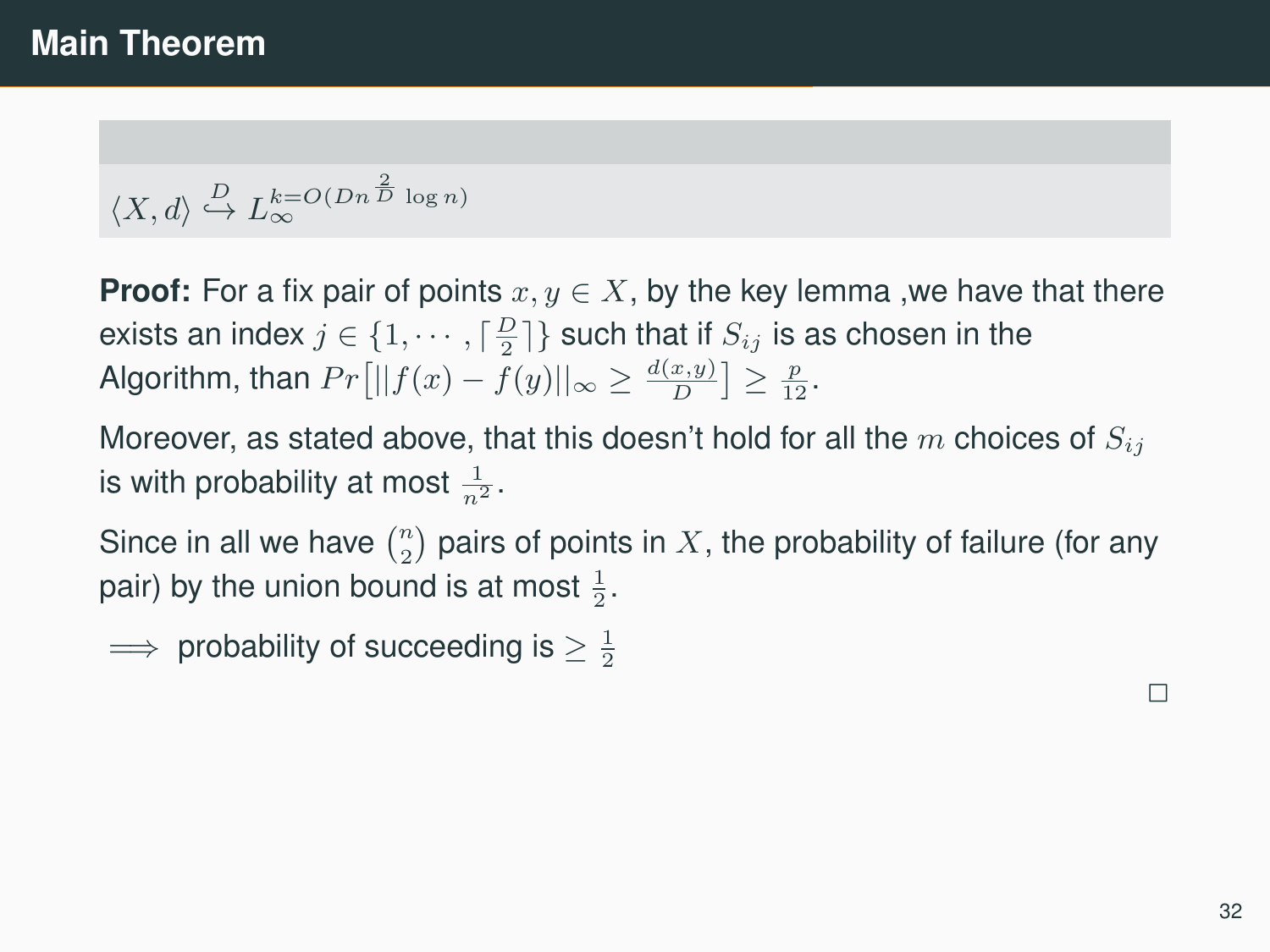### **Main Theorem**

$$
\langle X,d\rangle \overset{D}{\hookrightarrow} L_{\infty}^{k=O(Dn^{\frac{2}{D}}\log n)}
$$

**Proof:** For a fix pair of points  $x, y \in X$ , by the key lemma, we have that there exists an index  $j \in \{1, \cdots, \lceil \frac{D}{2} \rceil\}$  such that if  $S_{ij}$  is as chosen in the Algorithm, than  $Pr[||f(x) - f(y)||_{\infty} \ge \frac{d(x,y)}{D}] \ge \frac{p}{12}$ .

Moreover, as stated above, that this doesn't hold for all the m choices of  $S_{ij}$ is with probability at most  $\frac{1}{n^2}$ .

Since in all we have  $\binom{n}{2}$  pairs of points in  $X$ , the probability of failure (for any pair) by the union bound is at most  $\frac{1}{2}$ .

 $\implies$  probability of succeeding is  $\geq \frac{1}{2}$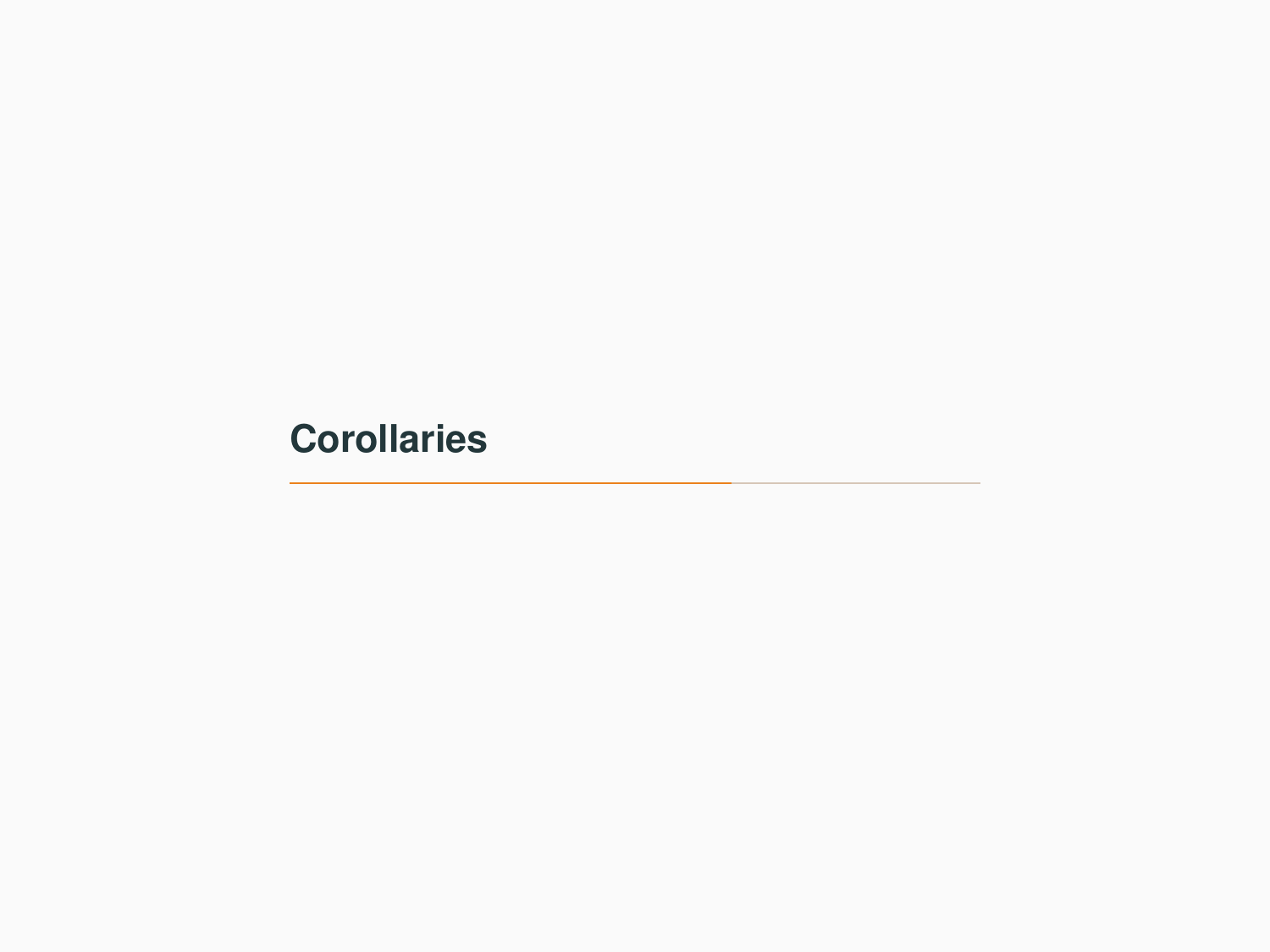# <span id="page-37-0"></span>**[Corollaries](#page-37-0)**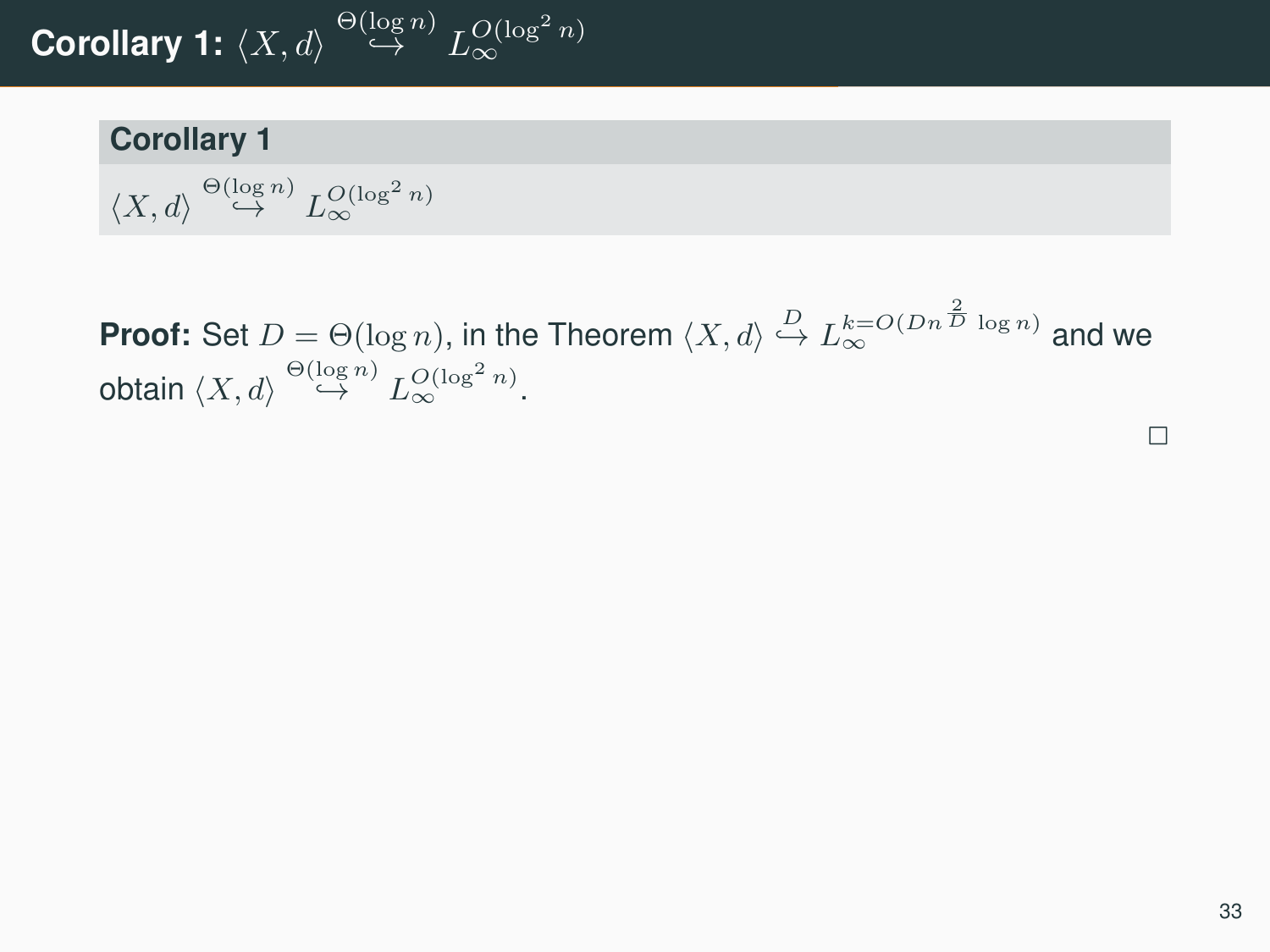# Corollary 1:  $\braket{X,d} \overset{\Theta(\log n)}{\hookrightarrow} L^{O(\log^2 n)}_\infty$

#### **Corollary 1**

$$
\langle X, d \rangle \stackrel{\Theta(\log n)}{\hookrightarrow} L_{\infty}^{O(\log^2 n)}
$$

**Proof:** Set  $D = \Theta(\log n)$ , in the Theorem  $\langle X, d \rangle \stackrel{D}{\hookrightarrow} L_{\infty}^{k=O(Dn^{\frac{2}{D}} \log n)}$  and we obtain  $\langle X, d \rangle \stackrel{\Theta(\log n)}{\hookrightarrow} L_{\infty}^{O(\log^2 n)}.$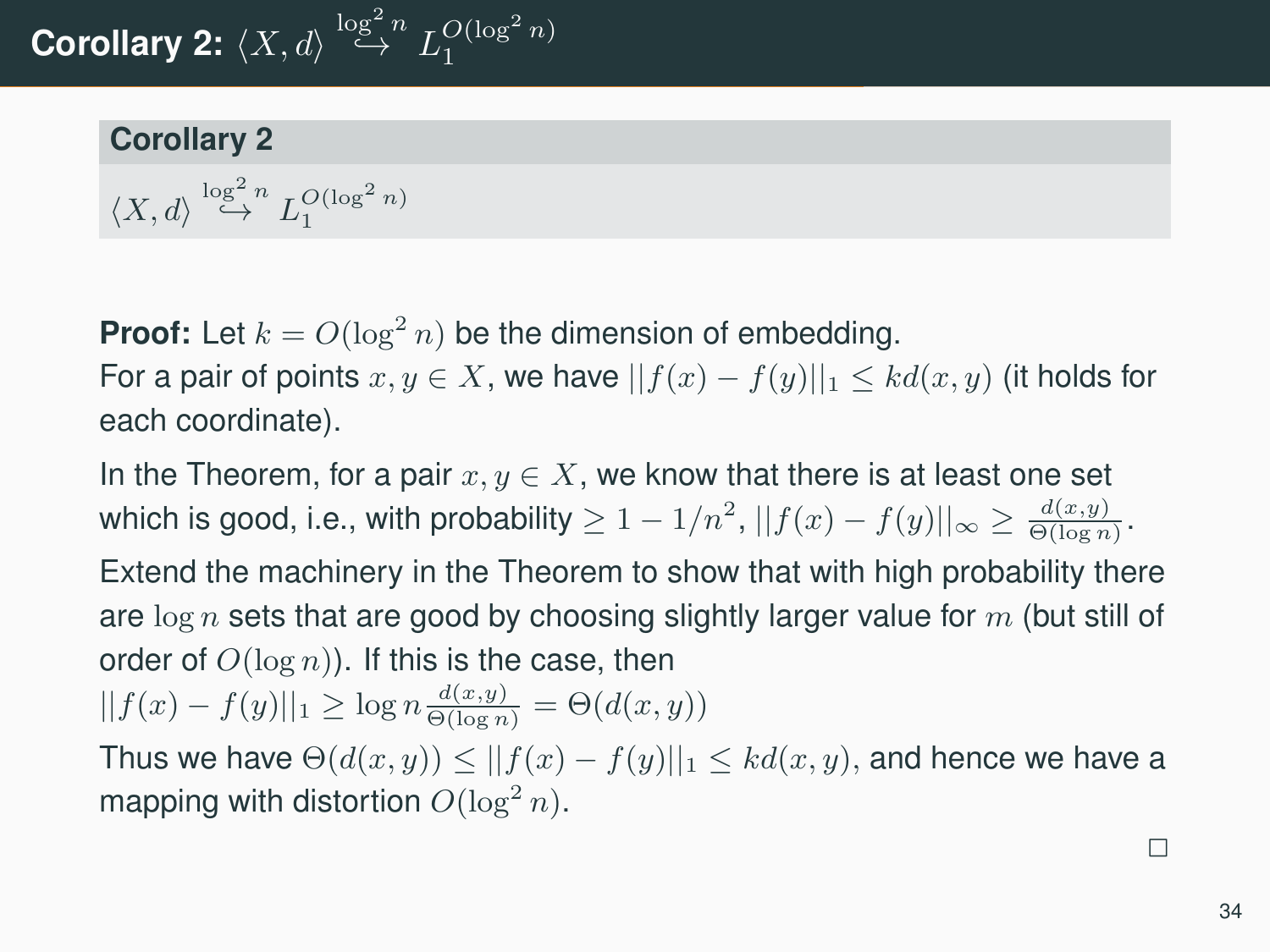# **Corollary 2:**  $\langle X, d \rangle \stackrel{\log^2 n}{\hookrightarrow} L_1^{O(\log^2 n)}$

#### **Corollary 2**

$$
\langle X,d\rangle\overset{\log^2n}{\hookrightarrow}L_1^{O(\log^2n)}
$$

**Proof:** Let  $k = O(\log^2 n)$  be the dimension of embedding. For a pair of points  $x, y \in X$ , we have  $||f(x) - f(y)||_1 \leq k d(x, y)$  (it holds for each coordinate).

In the Theorem, for a pair  $x, y \in X$ , we know that there is at least one set which is good, i.e., with probability  $\geq 1-1/n^2,$   $||f(x)-f(y)||_{\infty}\geq\frac{d(x,y)}{\Theta(\log n)}.$ 

Extend the machinery in the Theorem to show that with high probability there are  $\log n$  sets that are good by choosing slightly larger value for m (but still of order of  $O(\log n)$ ). If this is the case, then

$$
||f(x) - f(y)||_1 \ge \log n \frac{d(x, y)}{\Theta(\log n)} = \Theta(d(x, y))
$$

Thus we have  $\Theta(d(x, y)) \le ||f(x) - f(y)||_1 \le kd(x, y)$ , and hence we have a mapping with distortion  $O(\log^2 n)$ .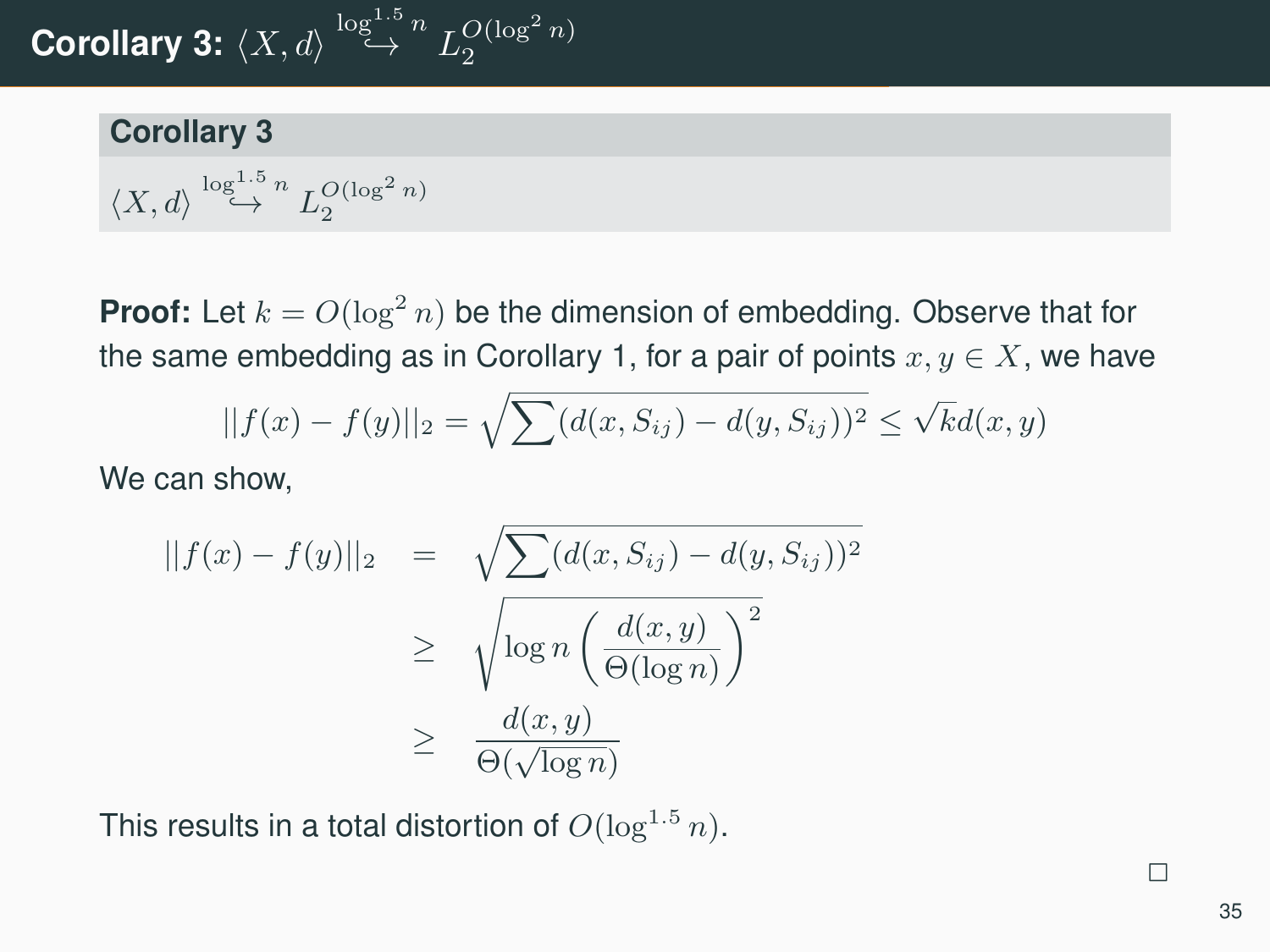# Corollary 3:  $\langle X, d \rangle \overset{\log^{1.5} n}{\hookrightarrow} L_2^{O(\log^2 n)}$

#### **Corollary 3**

$$
\langle X,d\rangle\stackrel{\log^{1.5}n}\hookrightarrow L_2^{O(\log^2n)}
$$

**Proof:** Let  $k = O(\log^2 n)$  be the dimension of embedding. Observe that for the same embedding as in Corollary 1, for a pair of points  $x, y \in X$ , we have

$$
||f(x) - f(y)||_2 = \sqrt{\sum (d(x, S_{ij}) - d(y, S_{ij}))^2} \le \sqrt{k}d(x, y)
$$

We can show,

$$
||f(x) - f(y)||_2 = \sqrt{\sum (d(x, S_{ij}) - d(y, S_{ij}))^2}
$$
  
\n
$$
\geq \sqrt{\log n \left(\frac{d(x, y)}{\Theta(\log n)}\right)^2}
$$
  
\n
$$
\geq \frac{d(x, y)}{\Theta(\sqrt{\log n})}
$$

This results in a total distortion of  $O(\log^{1.5} n)$ .

35

 $\overline{\phantom{0}}$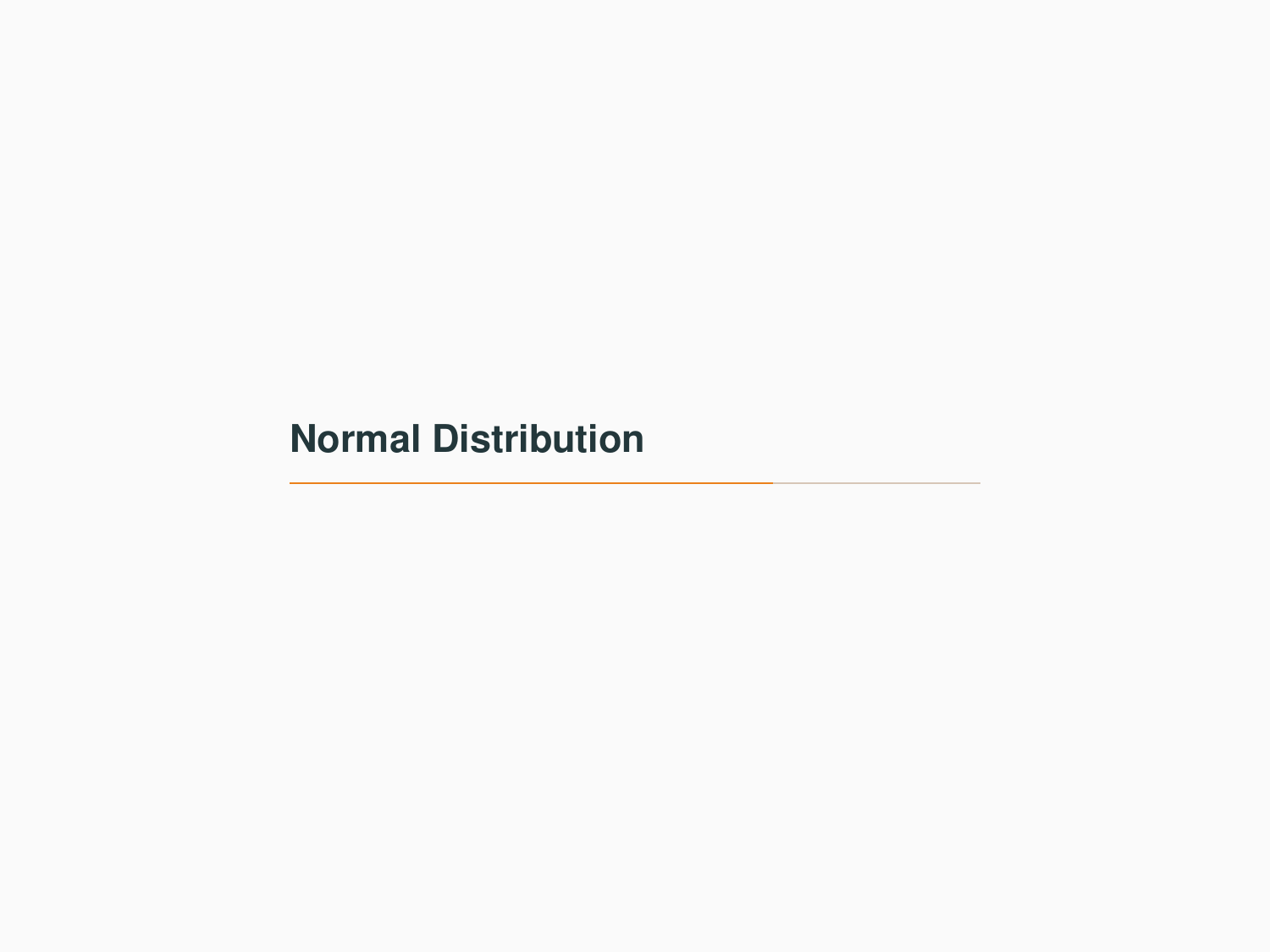# <span id="page-41-0"></span>**[Normal Distribution](#page-41-0)**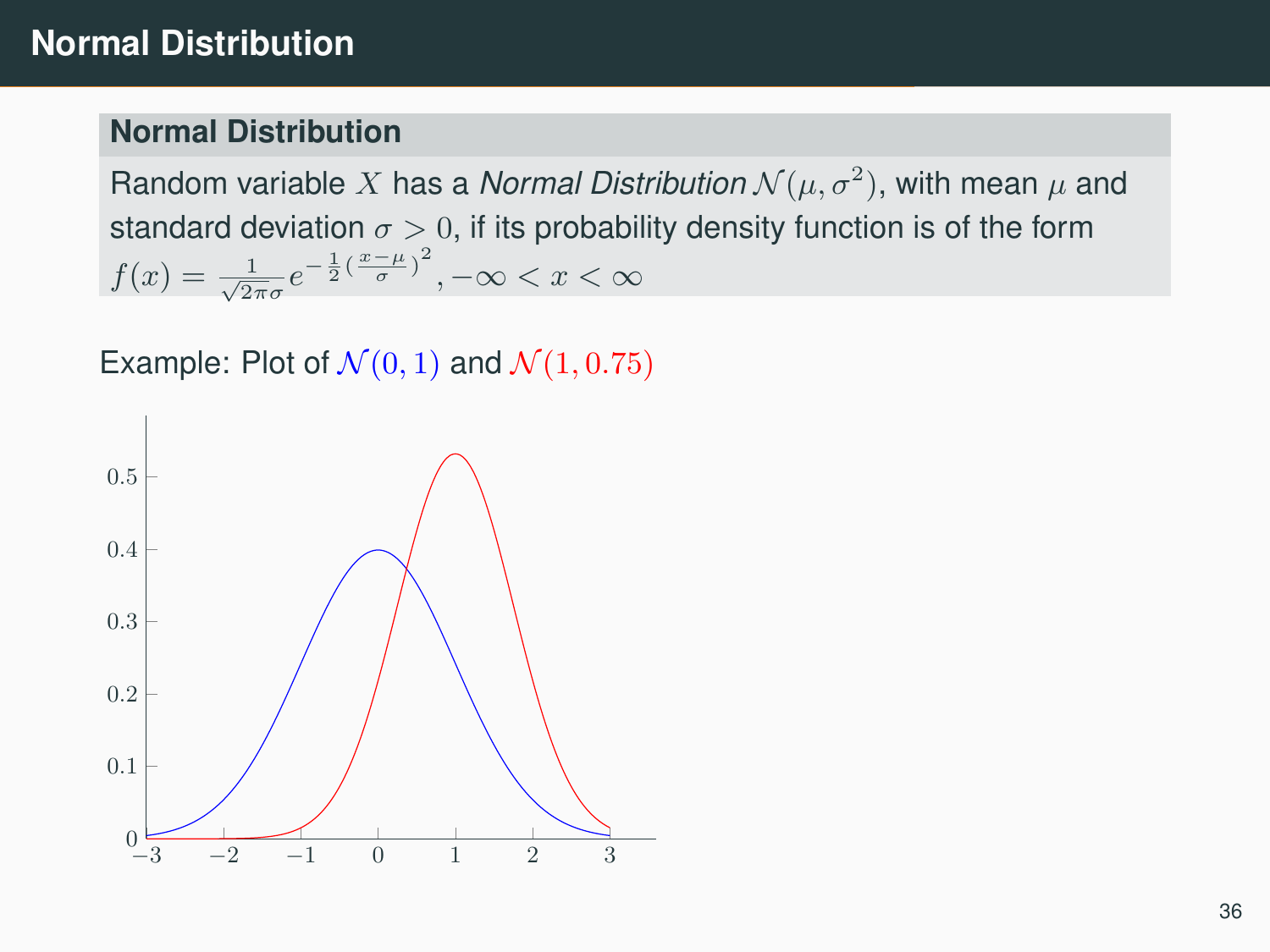#### **Normal Distribution**

Random variable  $X$  has a *Normal Distribution*  $\mathcal{N}(\mu, \sigma^2),$  with mean  $\mu$  and standard deviation  $\sigma > 0$ , if its probability density function is of the form  $f(x) = \frac{1}{\sqrt{2\pi}\sigma} e^{-\frac{1}{2}(\frac{x-\mu}{\sigma})^2}, -\infty < x < \infty$ 

Example: Plot of  $\mathcal{N}(0, 1)$  and  $\mathcal{N}(1, 0.75)$ 

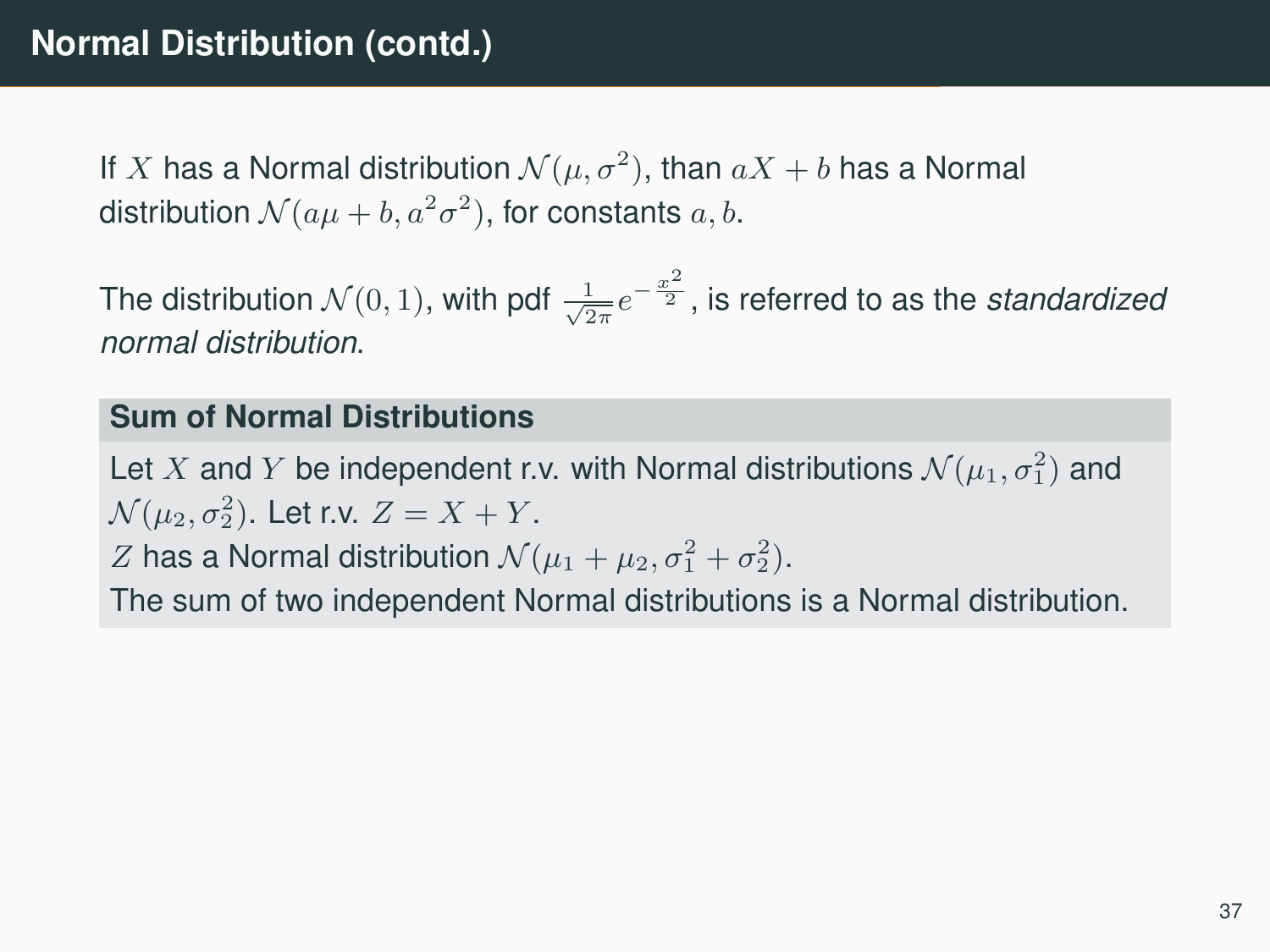If  $X$  has a Normal distribution  $\mathcal{N}(\mu,\sigma^2),$  than  $aX+b$  has a Normal distribution  $\mathcal{N}(a\mu+b,a^2\sigma^2),$  for constants  $a,b.$ 

The distribution  $\mathcal{N}(0,1)$ , with pdf  $\frac{1}{\sqrt{2\pi}}e^{-\frac{x^2}{2}}$ , is referred to as the *standardized normal distribution*.

### **Sum of Normal Distributions**

Let  $X$  and  $Y$  be independent r.v. with Normal distributions  $\mathcal{N}(\mu_1, \sigma_1^2)$  and  $\mathcal{N}(\mu_2, \sigma_2^2)$ . Let r.v.  $Z = X + Y$ .

*Z* has a Normal distribution  $\mathcal{N}(\mu_1 + \mu_2, \sigma_1^2 + \sigma_2^2)$ .

The sum of two independent Normal distributions is a Normal distribution.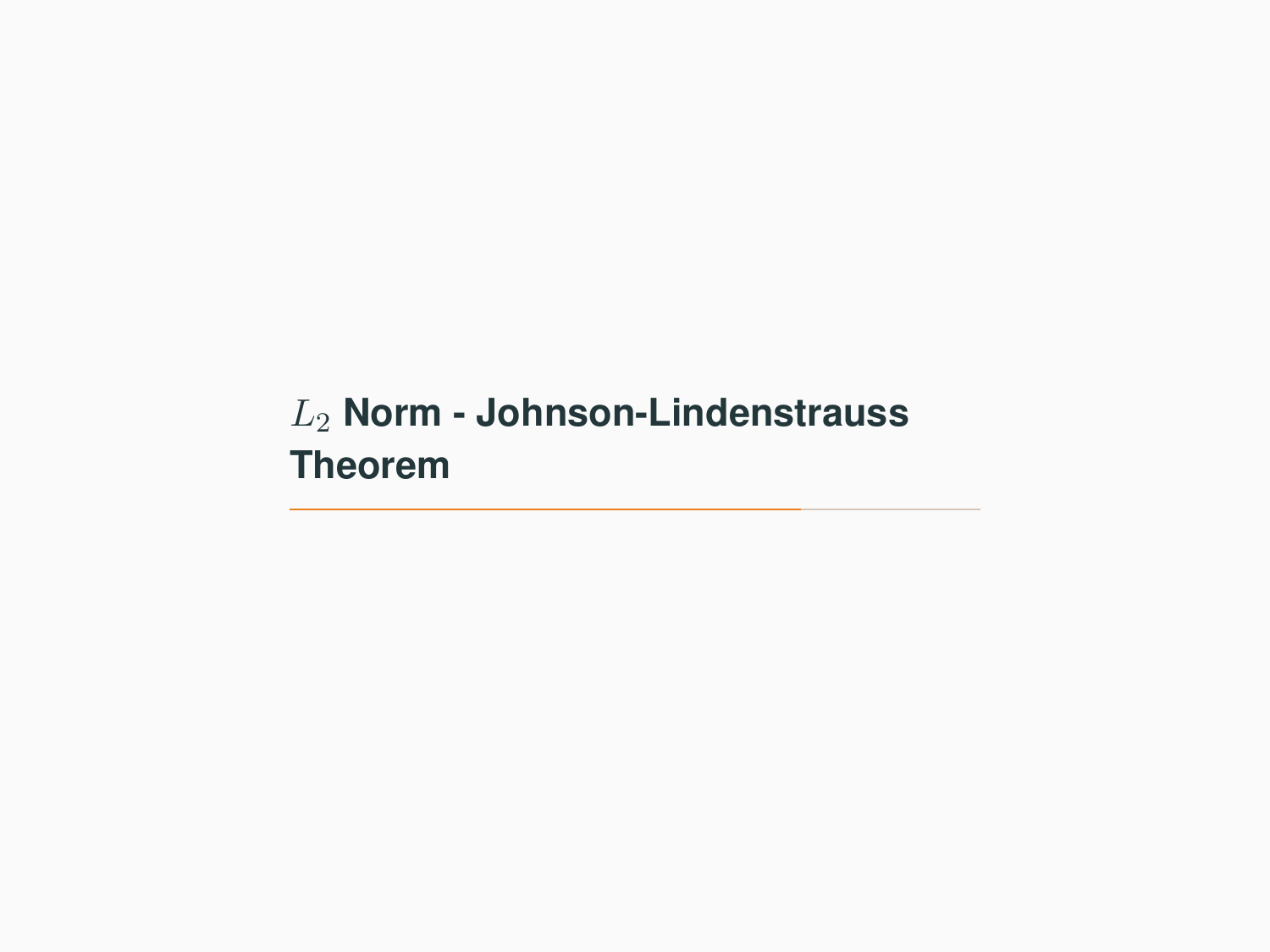# <span id="page-44-0"></span>L<sup>2</sup> **[Norm - Johnson-Lindenstrauss](#page-44-0) [Theorem](#page-44-0)**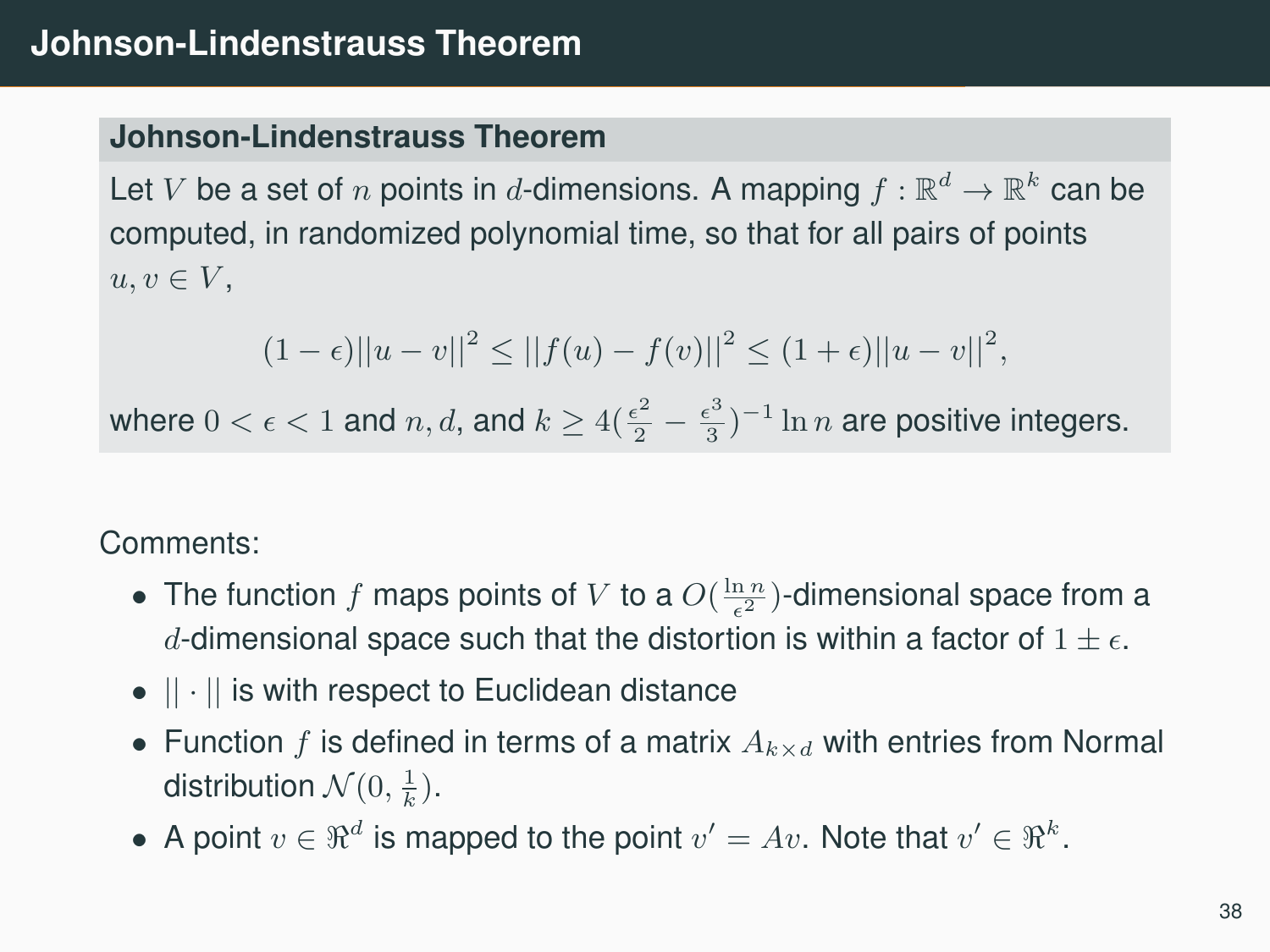### **Johnson-Lindenstrauss Theorem**

Let  $V$  be a set of  $n$  points in  $d$ -dimensions. A mapping  $f:\mathbb{R}^d\to\mathbb{R}^k$  can be computed, in randomized polynomial time, so that for all pairs of points  $u, v \in V$ ,

$$
(1-\epsilon)||u-v||^2 \le ||f(u)-f(v)||^2 \le (1+\epsilon)||u-v||^2,
$$

where  $0 < \epsilon < 1$  and  $n, d$ , and  $k \geq 4(\frac{\epsilon^2}{2} - \frac{\epsilon^3}{3})$  $\frac{\epsilon^3}{3})^{-1} \ln n$  are positive integers.

Comments:

- The function  $f$  maps points of  $V$  to a  $O(\frac{\ln n}{\epsilon^2})$ -dimensional space from a d-dimensional space such that the distortion is within a factor of  $1 \pm \epsilon$ .
- $\bullet$   $|| \cdot ||$  is with respect to Euclidean distance
- Function f is defined in terms of a matrix  $A_{k\times d}$  with entries from Normal distribution  $\mathcal{N}(0, \frac{1}{k}).$
- A point  $v \in \Re^d$  is mapped to the point  $v' = Av$ . Note that  $v' \in \Re^k$ .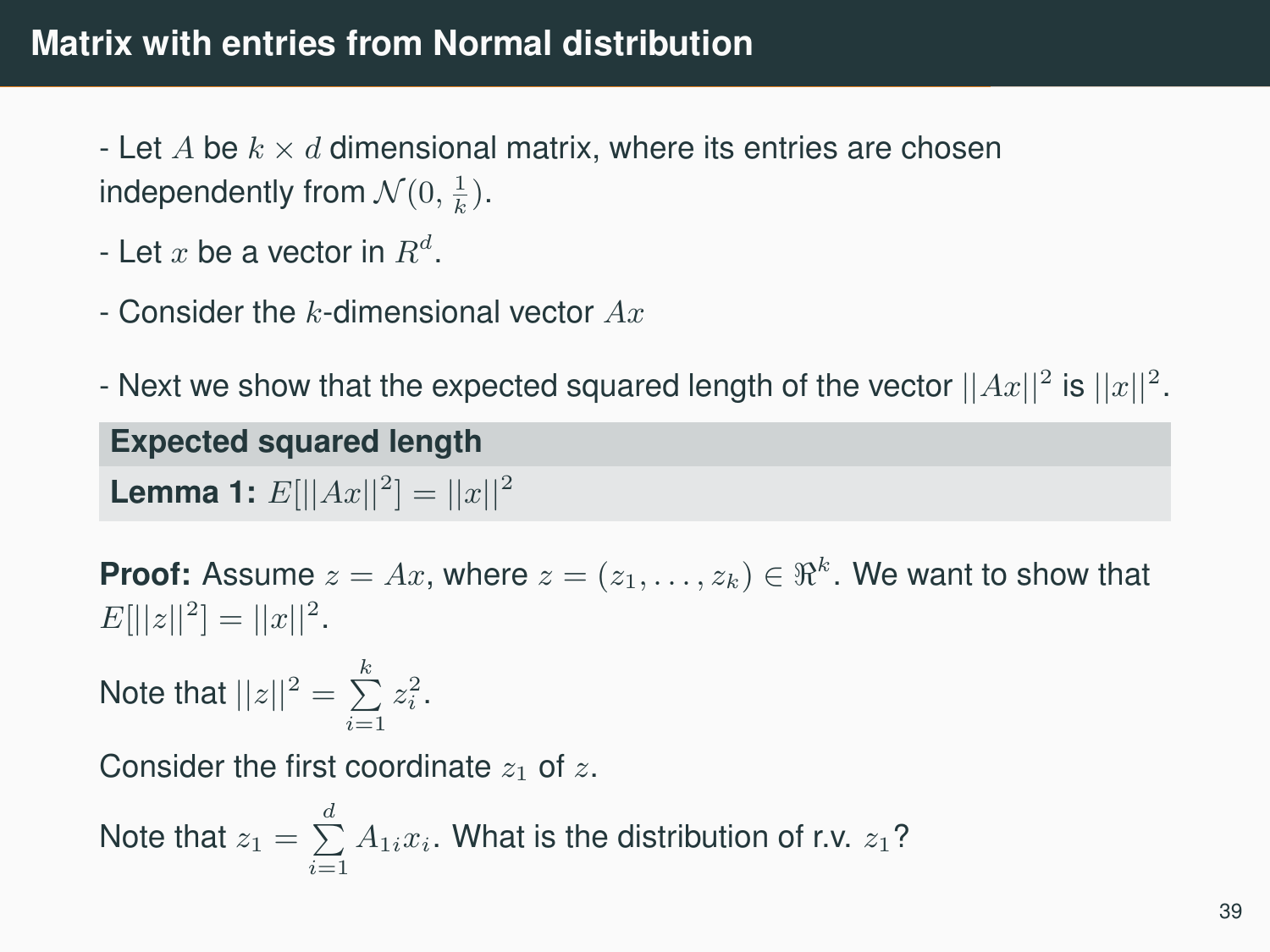# **Matrix with entries from Normal distribution**

- Let A be  $k \times d$  dimensional matrix, where its entries are chosen independently from  $\mathcal{N}(0, \frac{1}{k})$ .

- Let  $x$  be a vector in  $R^d$ .
- Consider the k-dimensional vector  $Ax$
- Next we show that the expected squared length of the vector  $||Ax||^2$  is  $||x||^2$ .

# **Expected squared length**

**Lemma 1:**  $E[||Ax||^2] = ||x||^2$ 

**Proof:** Assume  $z = Ax$ , where  $z = (z_1, \ldots, z_k) \in \Re^k$ . We want to show that  $E[||z||^2] = ||x||^2.$ 

Note that  $||z||^2 = \sum_{i=1}^k z_i^2$ .

Consider the first coordinate  $z_1$  of z.

Note that 
$$
z_1 = \sum_{i=1}^d A_{1i} x_i
$$
. What is the distribution of r.v.  $z_1$ ?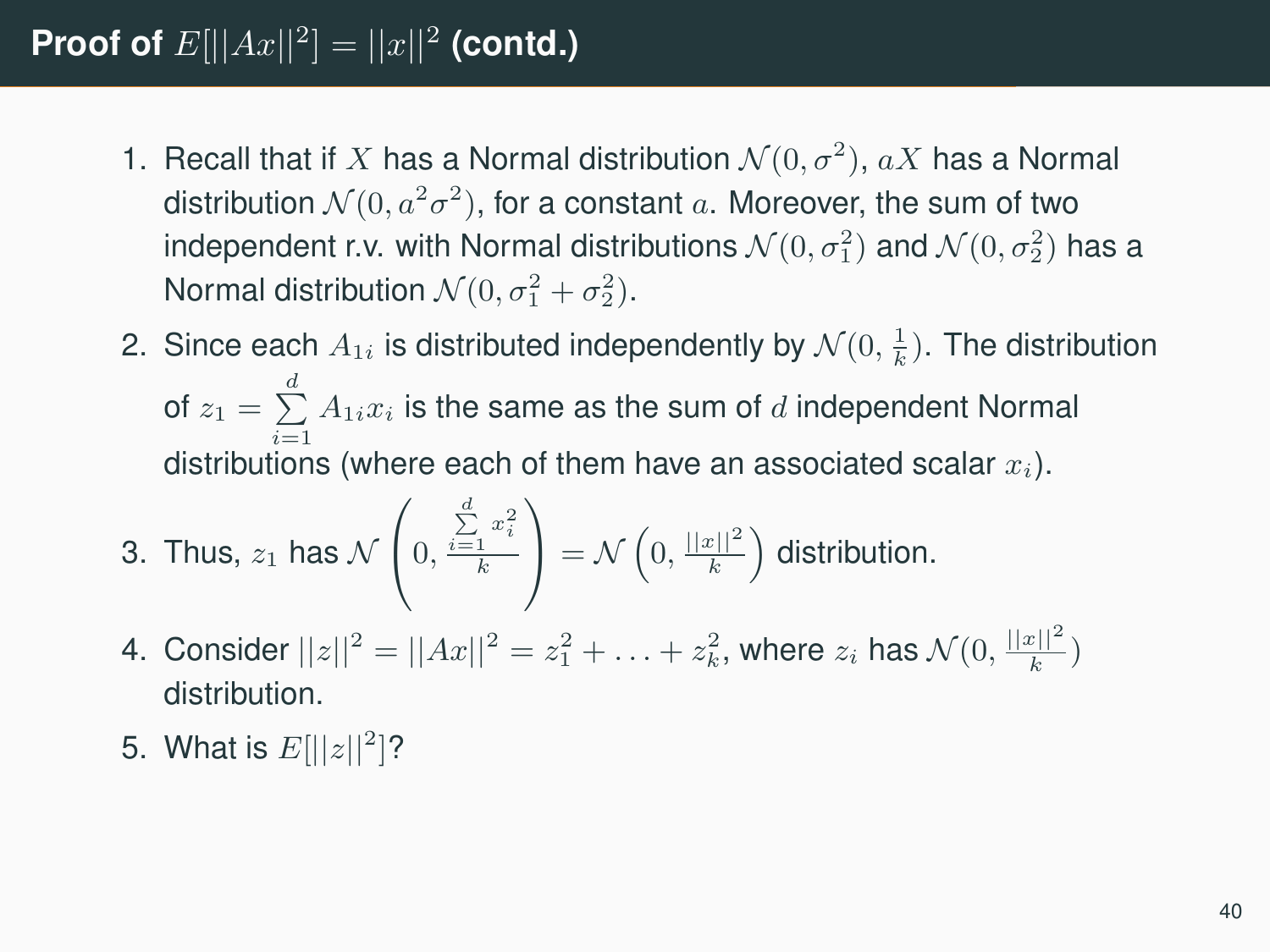# **Proof of**  $E[||Ax||^2] = ||x||^2$  (contd.)

- 1. Recall that if X has a Normal distribution  $\mathcal{N}(0, \sigma^2)$ ,  $aX$  has a Normal distribution  $\mathcal{N}(0, a^2\sigma^2)$ , for a constant  $a$ . Moreover, the sum of two independent r.v. with Normal distributions  $\mathcal{N}(0,\sigma_1^2)$  and  $\mathcal{N}(0,\sigma_2^2)$  has a Normal distribution  $\mathcal{N}(0, \sigma_1^2 + \sigma_2^2)$ .
- 2. Since each  $A_{1i}$  is distributed independently by  $\mathcal{N}(0, \frac{1}{k})$ . The distribution of  $z_1 = \sum\limits_{}^d A_{1i} x_i$  is the same as the sum of  $d$  independent Normal distributions (where each of them have an associated scalar  $x_i$ ).

3. Thus, 
$$
z_1
$$
 has  $\mathcal{N}\left(0, \frac{\sum\limits_{i=1}^d x_i^2}{k}\right) = \mathcal{N}\left(0, \frac{||x||^2}{k}\right)$  distribution.

- 4. Consider  $||z||^2 = ||Ax||^2 = z_1^2 + \ldots + z_k^2$ , where  $z_i$  has  $\mathcal{N}(0, \frac{||x||^2}{k})$ distribution.
- 5. What is  $E[||z||^2]$ ?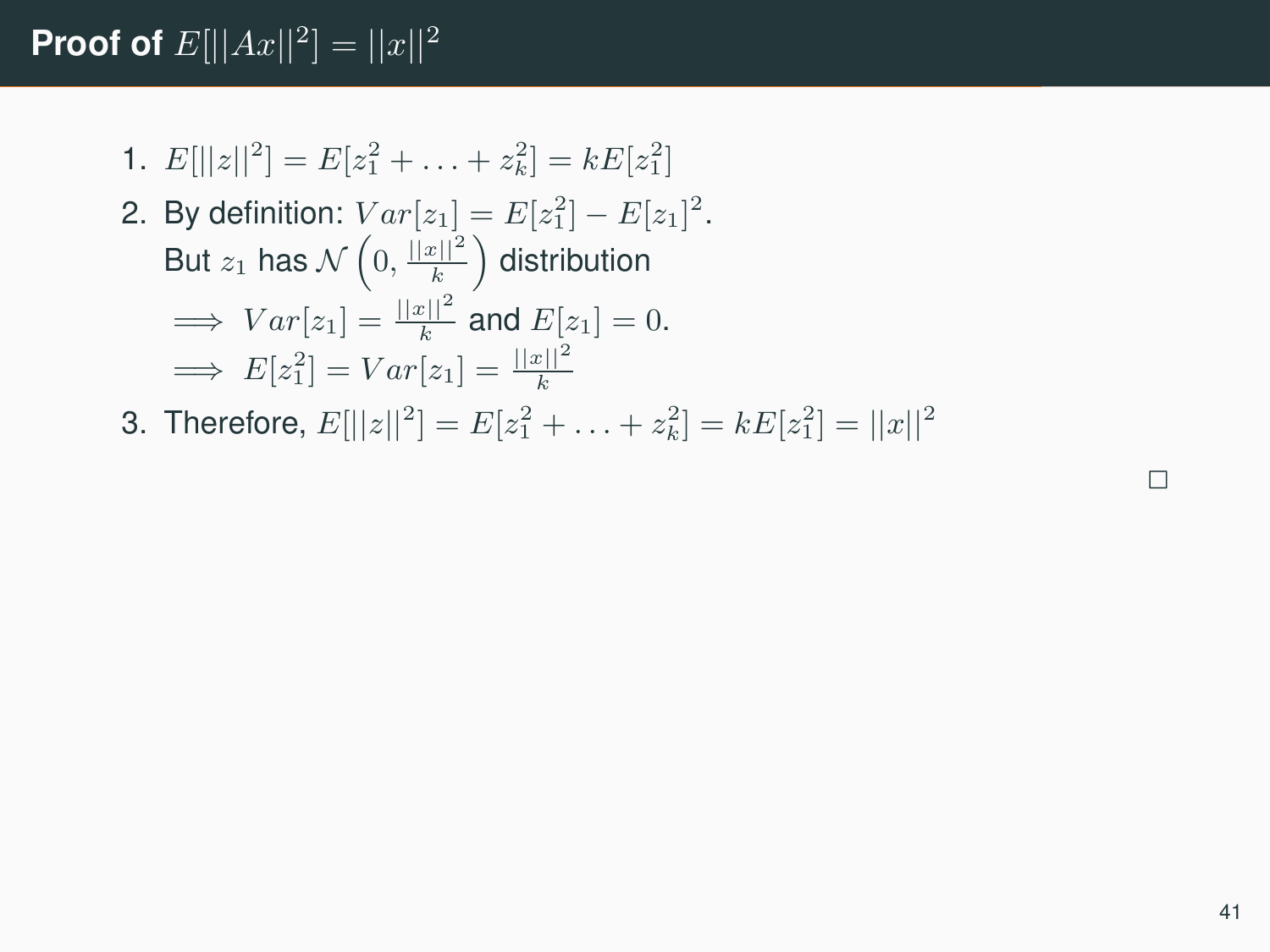# **Proof of**  $E[||Ax||^2] = ||x||^2$

1.  $E[||z||^2] = E[z_1^2 + \ldots + z_k^2] = kE[z_1^2]$ 

2. By definition: 
$$
Var[z_1] = E[z_1^2] - E[z_1]^2
$$
.  
But  $z_1$  has  $\mathcal{N}\left(0, \frac{||x||^2}{k}\right)$  distribution  
 $\implies Var[z_1] = \frac{||x||^2}{k}$  and  $E[z_1] = 0$ .  
 $\implies E[z_1^2] = Var[z_1] = \frac{||x||^2}{k}$ 

3. Therefore,  $E[||z||^2] = E[z_1^2 + \ldots + z_k^2] = kE[z_1^2] = ||x||^2$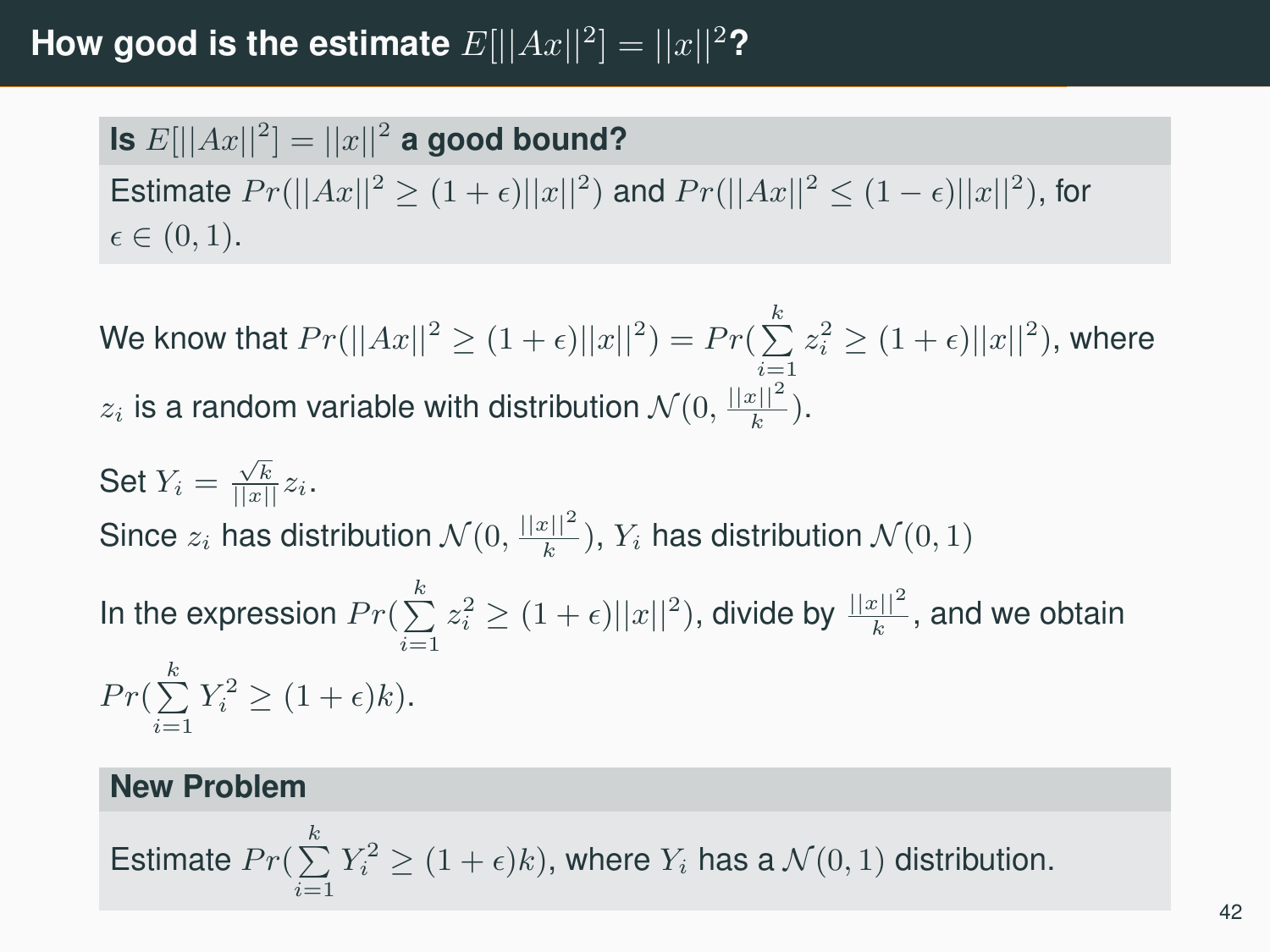# **How good is the estimate**  $E[||Ax||^2] = ||x||^2$ ?

Is  $E[||Ax||^2] = ||x||^2$  a good bound? Estimate  $Pr(||Ax||^2 \ge (1+\epsilon) ||x||^2)$  and  $Pr(||Ax||^2 \le (1-\epsilon) ||x||^2)$ , for  $\epsilon \in (0, 1)$ .

We know that  $Pr(||Ax||^2 \geq (1+\epsilon) ||x||^2) = Pr(\sum_{i=1}^k z_i^2 \geq (1+\epsilon) ||x||^2)$ , where  $z_i$  is a random variable with distribution  $\mathcal{N}(0, \frac{||x||^2}{k})$ .

Set  $Y_i = \frac{\sqrt{k}}{||x||} z_i$ . Since  $z_i$  has distribution  $\mathcal{N}(0, \frac{||x||^2}{k})$ ,  $Y_i$  has distribution  $\mathcal{N}(0, 1)$ In the expression  $Pr(\sum_{i=1}^k z_i^2 \geq (1+\epsilon) ||x||^2)$ , divide by  $\frac{||x||^2}{k}$ , and we obtain  $Pr(\sum_{i=1}^{k} Y_i^2 \ge (1 + \epsilon)k).$ 

#### **New Problem**

Estimate  $Pr(\sum^k Y_i^2 \geq (1+\epsilon)k),$  where  $Y_i$  has a  $\mathcal{N}(0,1)$  distribution.  $i=1$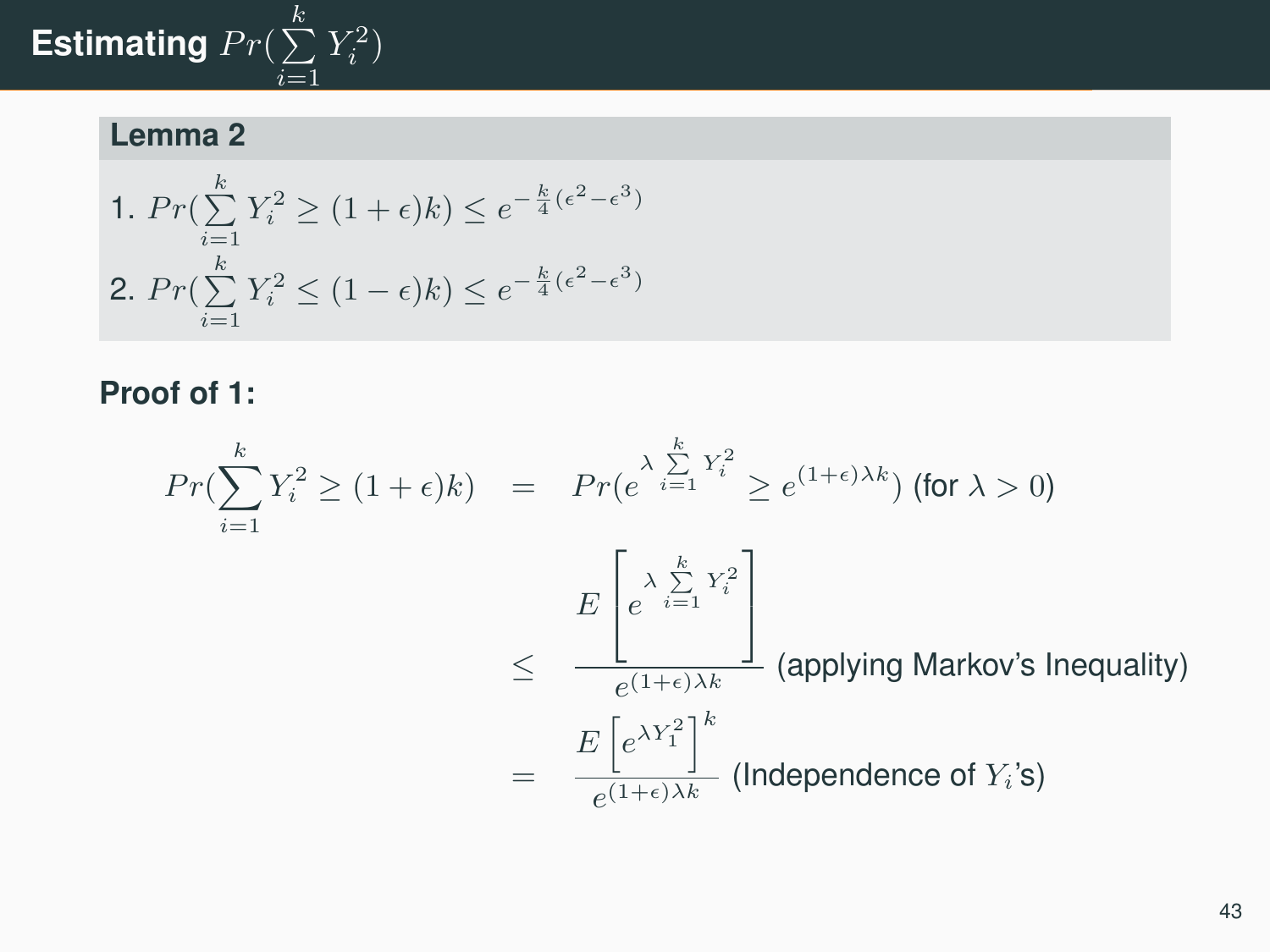#### Estimating  $Pr(\sum\limits_{ }^{k}$  $\frac{i=1}{i}$  $Y_i^2)$

# **Lemma 2**

1. 
$$
Pr(\sum_{i=1}^{k} Y_i^2 \ge (1 + \epsilon)k) \le e^{-\frac{k}{4}(\epsilon^2 - \epsilon^3)}
$$
  
2.  $Pr(\sum_{i=1}^{k} Y_i^2 \le (1 - \epsilon)k) \le e^{-\frac{k}{4}(\epsilon^2 - \epsilon^3)}$ 

## **Proof of 1:**

$$
Pr(\sum_{i=1}^{k} Y_i^2 \ge (1+\epsilon)k) = Pr(e^{\lambda \sum_{i=1}^{k} Y_i^2} \ge e^{(1+\epsilon)\lambda k}) \text{ (for } \lambda > 0)
$$
  

$$
E\begin{bmatrix} \lambda \sum_{i=1}^{k} Y_i^2\\ e^{\lambda i} \ge e^{(1+\epsilon)\lambda k} \end{bmatrix}
$$
 (applying Markov's Inequality)  

$$
= \frac{E\begin{bmatrix} e^{\lambda Y_1^2} \end{bmatrix}^k}{e^{(1+\epsilon)\lambda k}} \text{ (Independence of } Y_i \text{'s)}
$$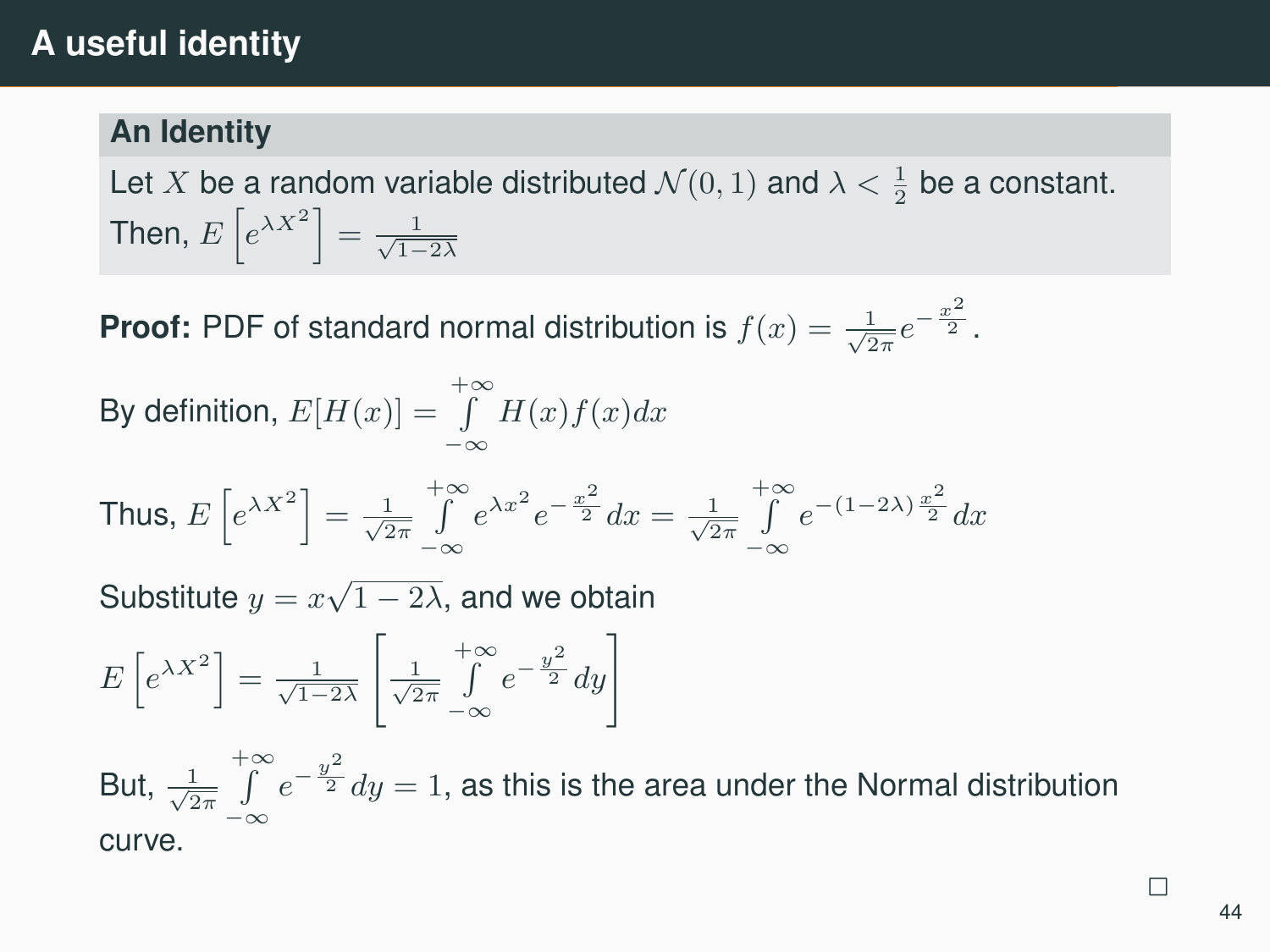# **A useful identity**

### **An Identity**

Let X be a random variable distributed  $\mathcal{N}(0,1)$  and  $\lambda < \frac{1}{2}$  be a constant. Then,  $E\left[e^{\lambda X^2}\right]=\frac{1}{\sqrt{1-2\lambda}}$ 

**Proof:** PDF of standard normal distribution is  $f(x) = \frac{1}{\sqrt{2\pi}}e^{-\frac{x^2}{2}}$ .

By definition,  $E[H(x)] = \int_{0}^{+\infty} H(x)f(x)dx$ −∞ Thus,  $E\left[e^{\lambda X^2}\right] = \frac{1}{\sqrt{2\pi}}$  $\int_{0}^{+\infty} e^{\lambda x^2} e^{-\frac{x^2}{2}} dx = \frac{1}{\sqrt{2\pi}}$ −∞  $\int_{0}^{+\infty} e^{-(1-2\lambda)\frac{x^2}{2}} dx$ −∞ Substitute  $y = x\sqrt{1-2\lambda}$ , and we obtain  $E\left[e^{\lambda X^2}\right]=\frac{1}{\sqrt{1-2\lambda}}$  $\frac{1}{\sqrt{2\pi}}$  $+$ ∞  $\int_{-\infty}^{+\infty} e^{-\frac{y^2}{2}} dy$ 

But,  $\frac{1}{\sqrt{2\pi}}$  $+\infty$  $\int_{-\infty}^{+\infty} e^{-\frac{y^2}{2}} dy = 1$ , as this is the area under the Normal distribution curve.

با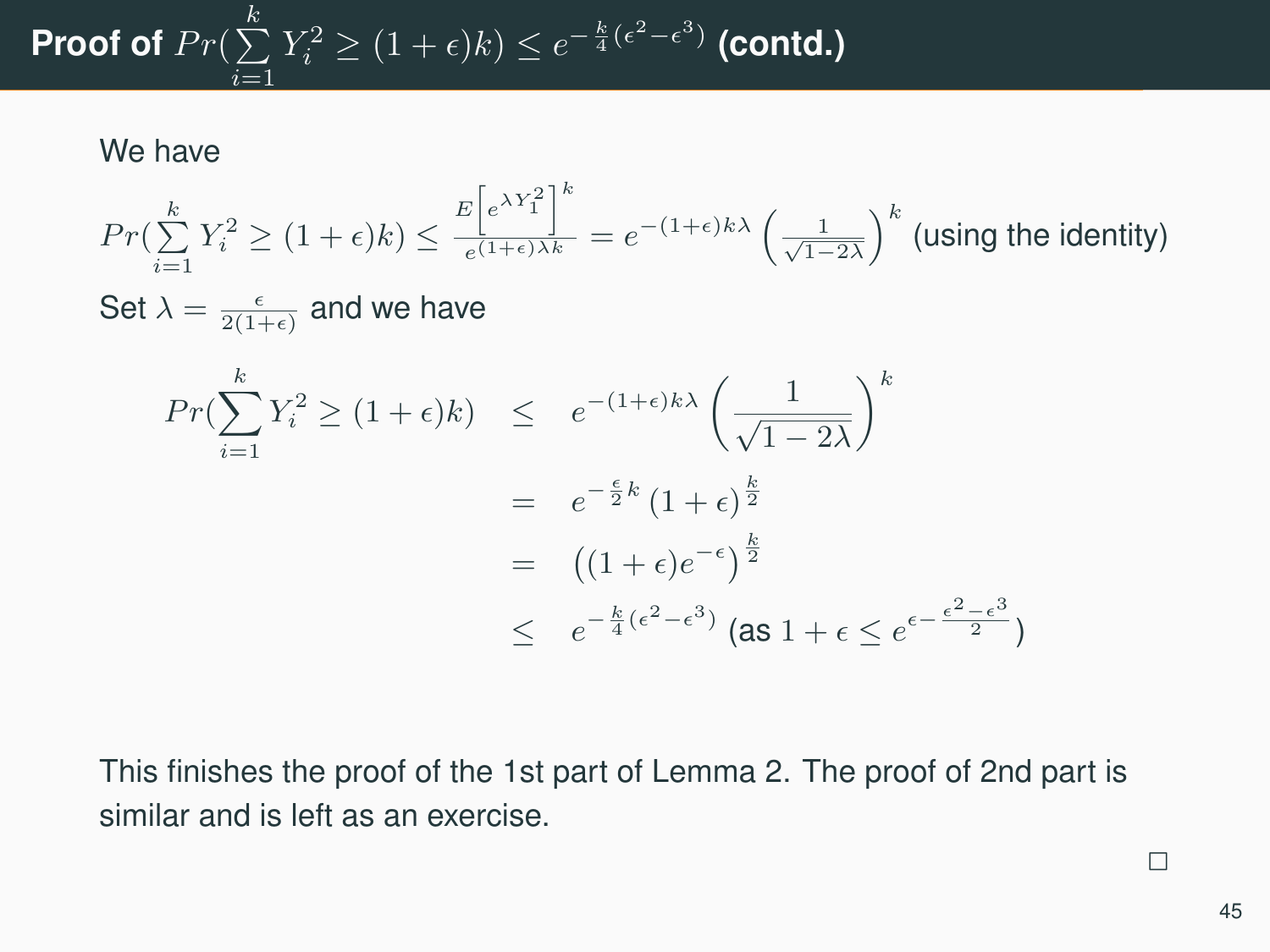# Proof of  $Pr(\sum\limits_{i=1}^kY_i^2\geq (1+\epsilon)k)\leq e^{-\frac{k}{4}(\epsilon^2-\epsilon^3)}$  (contd.)  $\frac{i=1}{i}$

We have

$$
Pr(\sum_{i=1}^{k} Y_i^2 \ge (1+\epsilon)k) \le \frac{E\left[e^{\lambda Y_1^2}\right]^k}{e^{(1+\epsilon)\lambda k}} = e^{-(1+\epsilon)k\lambda} \left(\frac{1}{\sqrt{1-2\lambda}}\right)^k \text{ (using the identity)}
$$
\n
$$
\text{Set } \lambda = \frac{\epsilon}{2(1+\epsilon)} \text{ and we have}
$$
\n
$$
Pr(\sum_{i=1}^{k} Y_i^2 \ge (1+\epsilon)k) \le e^{-(1+\epsilon)k\lambda} \left(\frac{1}{\sqrt{1-2\lambda}}\right)^k
$$
\n
$$
= e^{-\frac{\epsilon}{2}k} (1+\epsilon)^{\frac{k}{2}}
$$
\n
$$
= \left((1+\epsilon)e^{-\epsilon}\right)^{\frac{k}{2}}
$$
\n
$$
\le e^{-\frac{k}{4}(\epsilon^2-\epsilon^3)} \text{ (as } 1+\epsilon \le e^{\epsilon-\frac{\epsilon^2-\epsilon^3}{2}})
$$

This finishes the proof of the 1st part of Lemma 2. The proof of 2nd part is similar and is left as an exercise.

45

 $\overline{a}$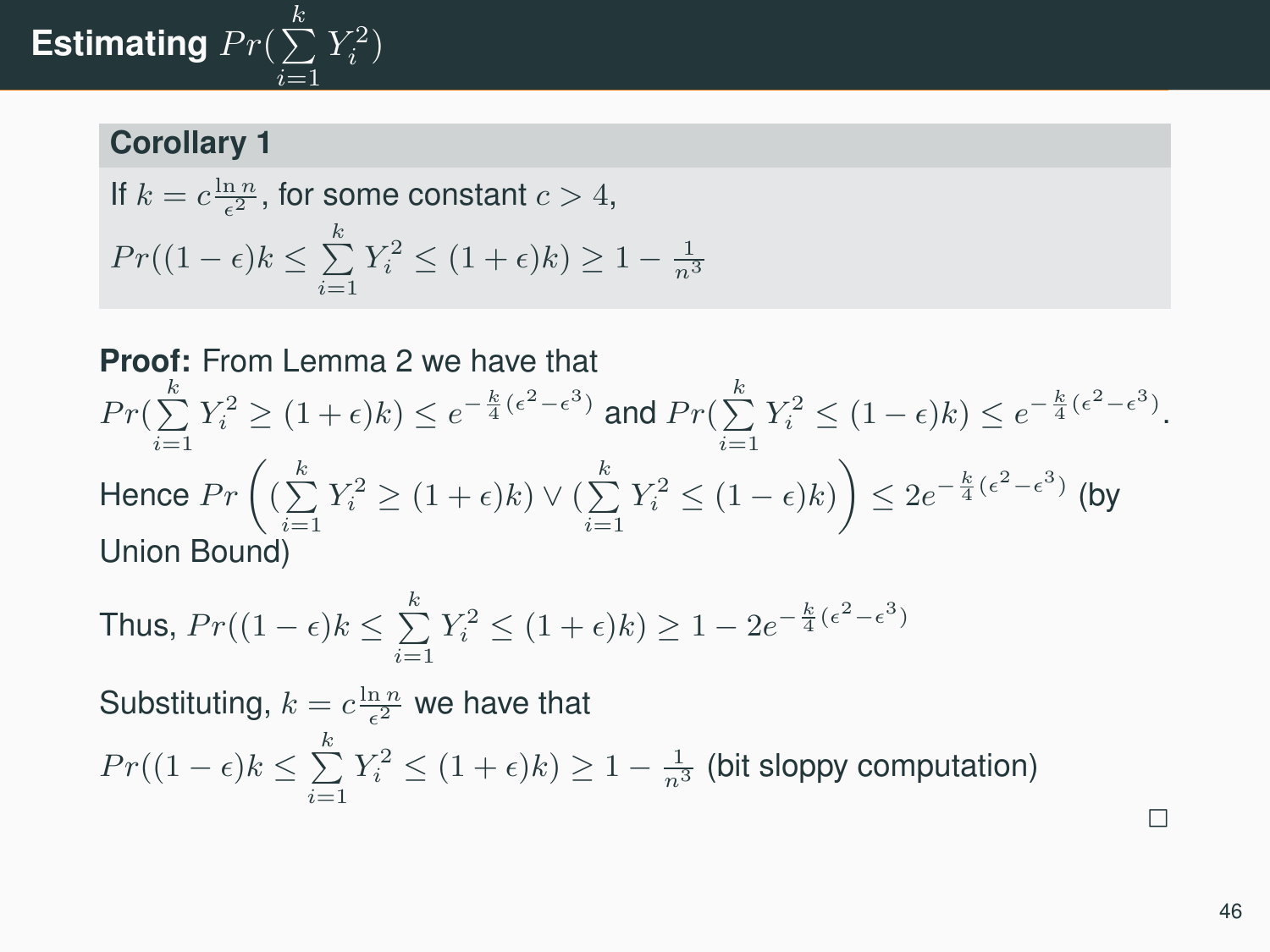# Estimating  $Pr(\sum\limits_{i=1}^kY_i^2)$  $\frac{i=1}{i}$

## **Corollary 1**

$$
\begin{aligned} & \text{If } k=c\frac{\ln n}{\epsilon^2}, \text{ for some constant } c>4, \\ & Pr((1-\epsilon)k\leq \sum\limits_{i=1}^kY_i^2\leq (1+\epsilon)k) \geq 1-\tfrac{1}{n^3} \end{aligned}
$$

#### **Proof:** From Lemma 2 we have that

$$
Pr(\sum_{i=1}^k Y_i^2 \ge (1+\epsilon)k) \le e^{-\frac{k}{4}(\epsilon^2 - \epsilon^3)} \text{ and } Pr(\sum_{i=1}^k Y_i^2 \le (1-\epsilon)k) \le e^{-\frac{k}{4}(\epsilon^2 - \epsilon^3)}.
$$
  
Hence 
$$
Pr\left((\sum_{i=1}^k Y_i^2 \ge (1+\epsilon)k) \vee (\sum_{i=1}^k Y_i^2 \le (1-\epsilon)k)\right) \le 2e^{-\frac{k}{4}(\epsilon^2 - \epsilon^3)} \text{ (by}
$$
  
Union Bound)

Thus, 
$$
Pr((1 - \epsilon)k \le \sum_{i=1}^k Y_i^2 \le (1 + \epsilon)k) \ge 1 - 2e^{-\frac{k}{4}(\epsilon^2 - \epsilon^3)}
$$

Substituting,  $k = c \frac{\ln n}{\epsilon^2}$  we have that

$$
Pr((1 - \epsilon)k \le \sum_{i=1}^{k} Y_i^2 \le (1 + \epsilon)k) \ge 1 - \frac{1}{n^3}
$$
 (bit sloppy computation)

 $\overline{\phantom{0}}$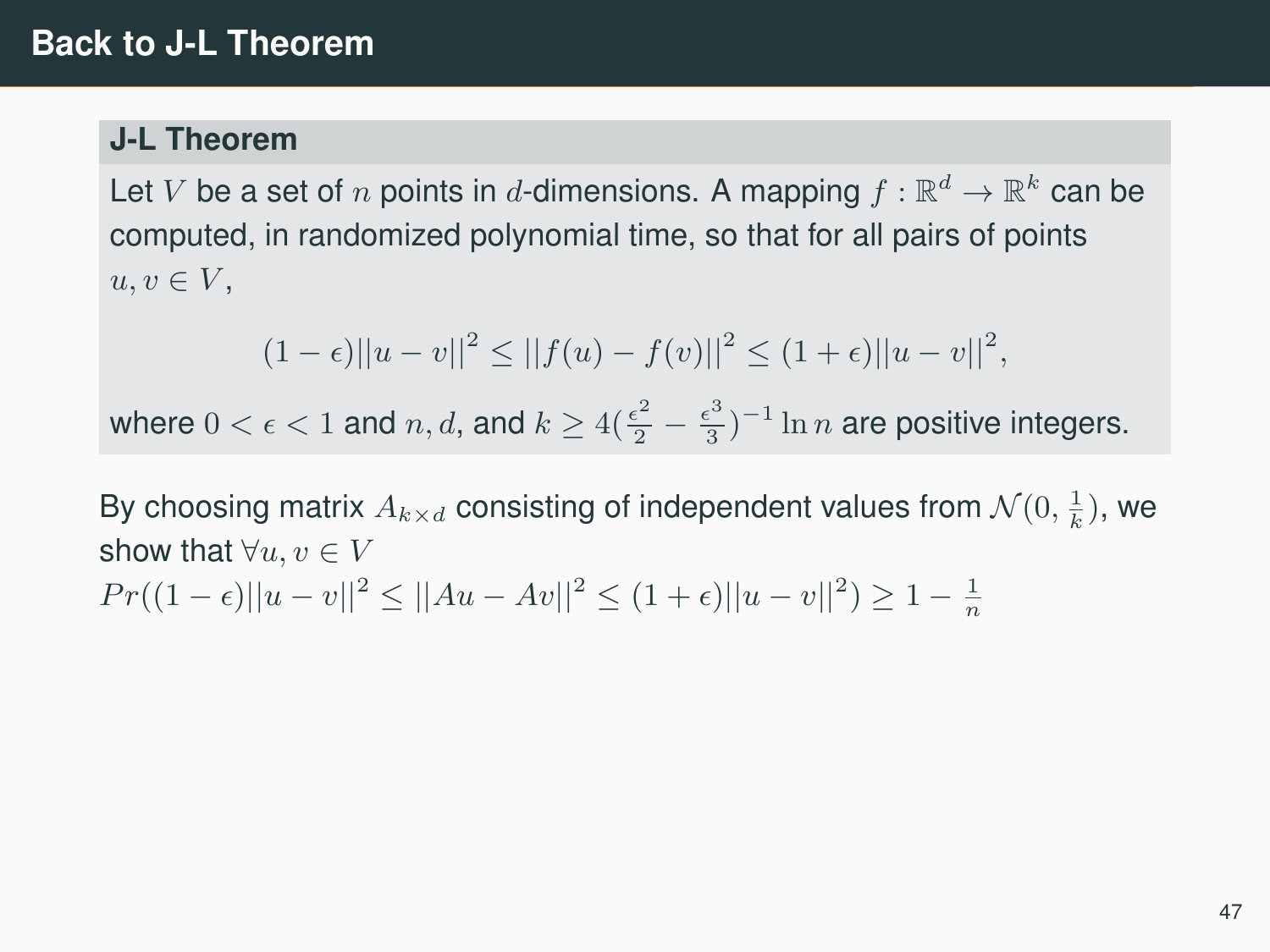#### **J-L Theorem**

Let  $V$  be a set of  $n$  points in  $d$ -dimensions. A mapping  $f:\mathbb{R}^d\rightarrow\mathbb{R}^k$  can be computed, in randomized polynomial time, so that for all pairs of points  $u, v \in V$ ,

$$
(1 - \epsilon)||u - v||^{2} \le ||f(u) - f(v)||^{2} \le (1 + \epsilon)||u - v||^{2},
$$

where  $0 < \epsilon < 1$  and  $n, d$ , and  $k \geq 4(\frac{\epsilon^2}{2} - \frac{\epsilon^3}{3})$  $\frac{\epsilon^3}{3})^{-1} \ln n$  are positive integers.

By choosing matrix  $A_{k\times d}$  consisting of independent values from  $\mathcal{N}(0,\frac{1}{k}),$  we show that  $\forall u, v \in V$  $Pr((1 - \epsilon) ||u - v||^2 \le ||Au - Av||^2 \le (1 + \epsilon) ||u - v||^2) \ge 1 - \frac{1}{n}$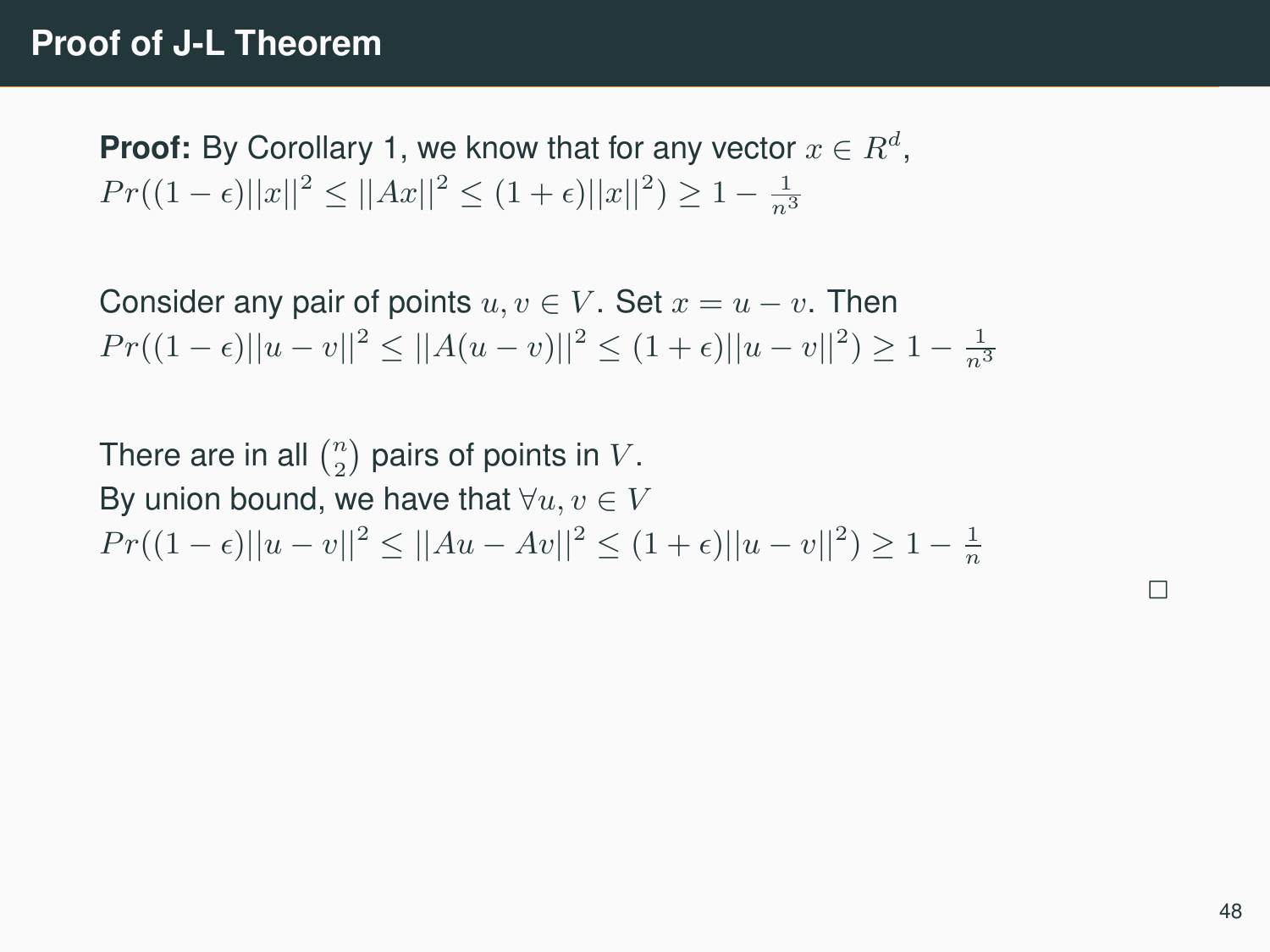**Proof:** By Corollary 1, we know that for any vector  $x \in R^d$ ,  $Pr((1 - \epsilon)||x||^2 \leq ||Ax||^2 \leq (1 + \epsilon)||x||^2) \geq 1 - \frac{1}{n^3}$ 

Consider any pair of points  $u, v \in V$ . Set  $x = u - v$ . Then  $Pr((1 - \epsilon) ||u - v||^2 \le ||A(u - v)||^2 \le (1 + \epsilon) ||u - v||^2) \ge 1 - \frac{1}{n^3}$ 

There are in all  $\binom{n}{2}$  pairs of points in  $V.$ By union bound, we have that  $\forall u, v \in V$  $Pr((1 - \epsilon) ||u - v||^2 \le ||Au - Av||^2 \le (1 + \epsilon) ||u - v||^2) \ge 1 - \frac{1}{n}$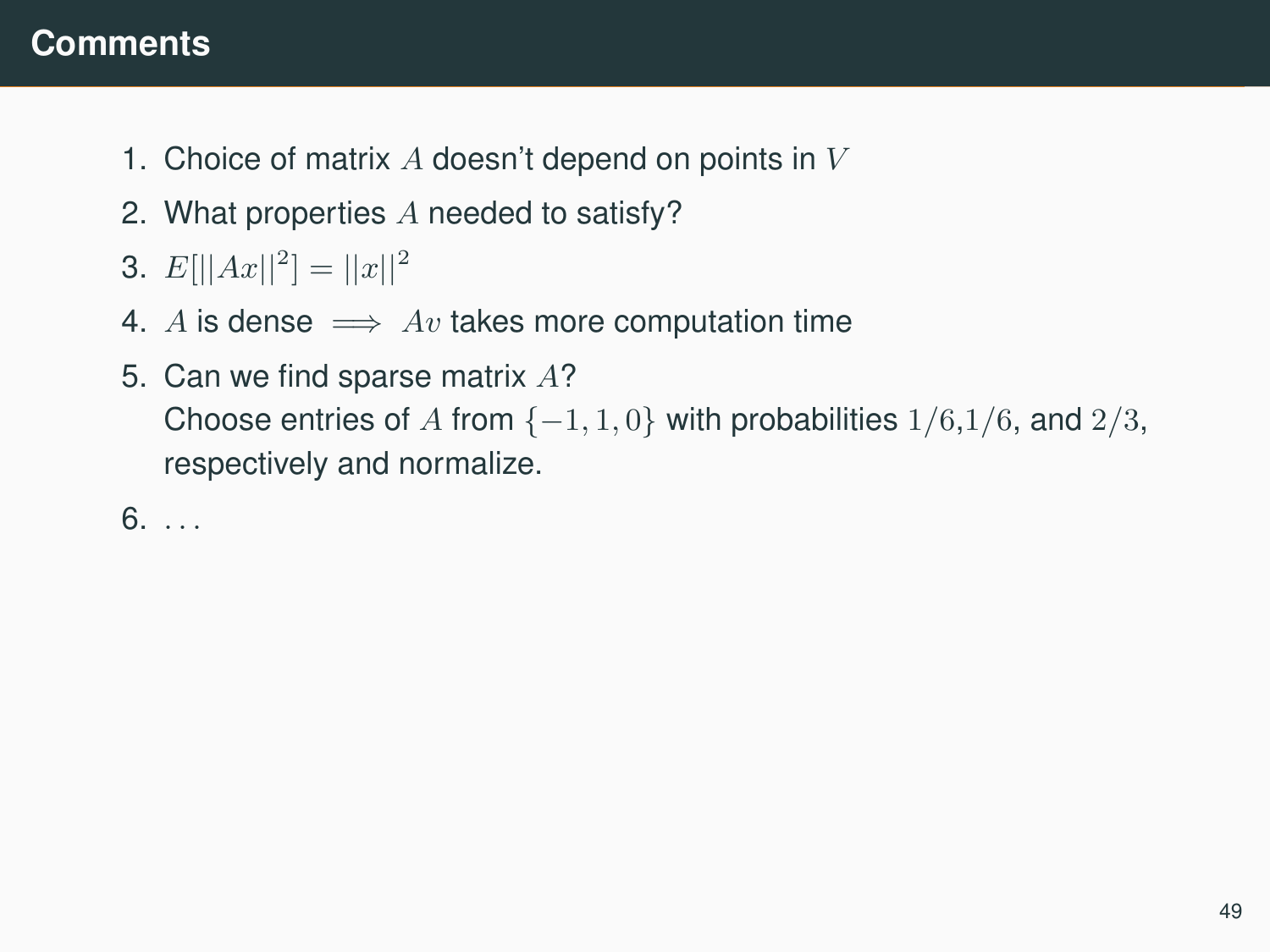## **Comments**

- 1. Choice of matrix  $A$  doesn't depend on points in  $V$
- 2. What properties A needed to satisfy?
- 3.  $E[||Ax||^2] = ||x||^2$
- 4. A is dense  $\implies Av$  takes more computation time
- 5. Can we find sparse matrix A? Choose entries of A from  $\{-1, 1, 0\}$  with probabilities  $1/6, 1/6$ , and  $2/3$ , respectively and normalize.

 $6. \ldots$